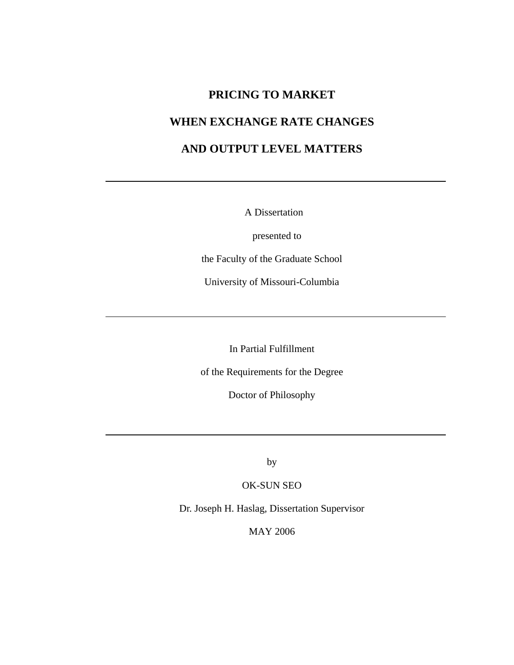# **PRICING TO MARKET**

# **WHEN EXCHANGE RATE CHANGES**

# **AND OUTPUT LEVEL MATTERS**

A Dissertation

presented to

the Faculty of the Graduate School

University of Missouri-Columbia

In Partial Fulfillment

of the Requirements for the Degree

Doctor of Philosophy

by

OK-SUN SEO

Dr. Joseph H. Haslag, Dissertation Supervisor

MAY 2006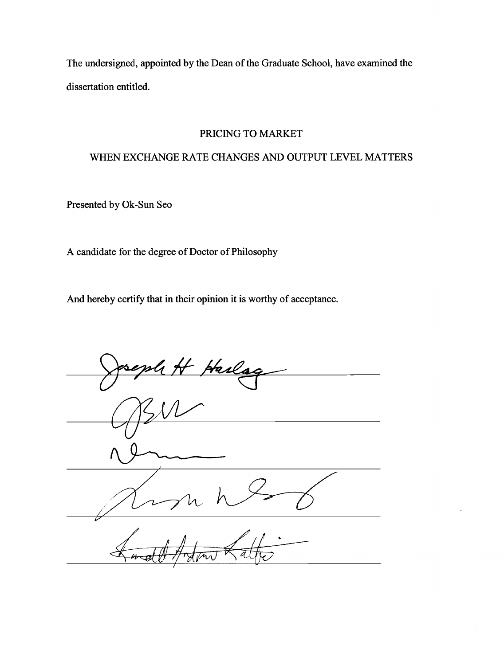The undersigned, appointed by the Dean of the Graduate School, have examined the dissertation entitled.

#### PRICING TO MARKET

## WHEN EXCHANGE RATE CHANGES AND OUTPUT LEVEL MATTERS

Presented by Ok-Sun Seo

A candidate for the degree of Doctor of Philosophy

And hereby certify that in their opinion it is worthy of acceptance.

<u>tarls</u>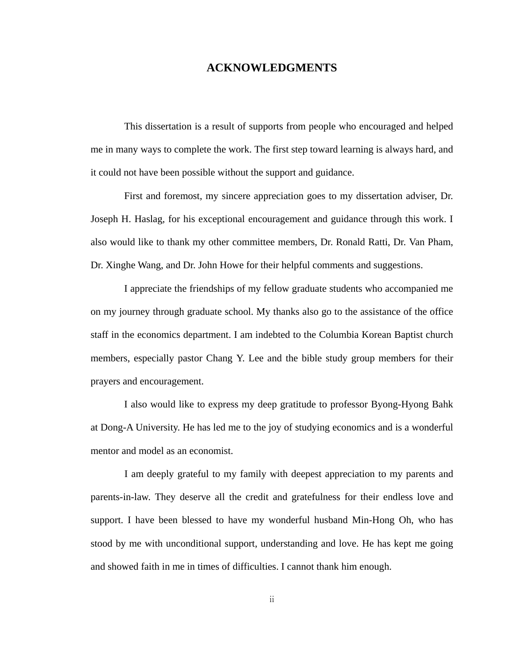#### **ACKNOWLEDGMENTS**

This dissertation is a result of supports from people who encouraged and helped me in many ways to complete the work. The first step toward learning is always hard, and it could not have been possible without the support and guidance.

First and foremost, my sincere appreciation goes to my dissertation adviser, Dr. Joseph H. Haslag, for his exceptional encouragement and guidance through this work. I also would like to thank my other committee members, Dr. Ronald Ratti, Dr. Van Pham, Dr. Xinghe Wang, and Dr. John Howe for their helpful comments and suggestions.

I appreciate the friendships of my fellow graduate students who accompanied me on my journey through graduate school. My thanks also go to the assistance of the office staff in the economics department. I am indebted to the Columbia Korean Baptist church members, especially pastor Chang Y. Lee and the bible study group members for their prayers and encouragement.

I also would like to express my deep gratitude to professor Byong-Hyong Bahk at Dong-A University. He has led me to the joy of studying economics and is a wonderful mentor and model as an economist.

 I am deeply grateful to my family with deepest appreciation to my parents and parents-in-law. They deserve all the credit and gratefulness for their endless love and support. I have been blessed to have my wonderful husband Min-Hong Oh, who has stood by me with unconditional support, understanding and love. He has kept me going and showed faith in me in times of difficulties. I cannot thank him enough.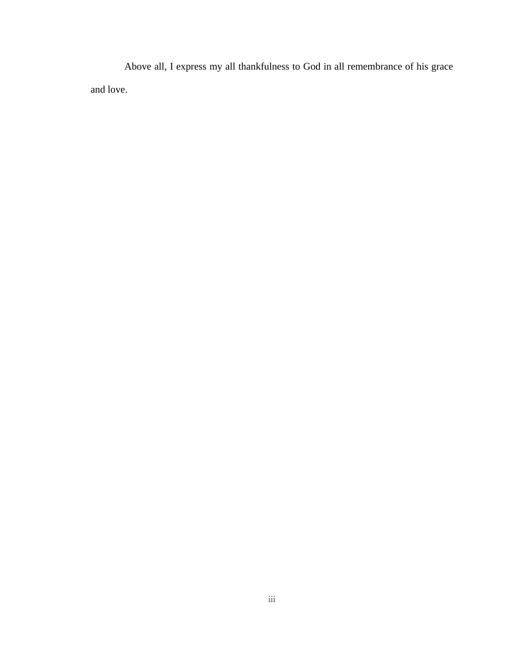Above all, I express my all thankfulness to God in all remembrance of his grace and love.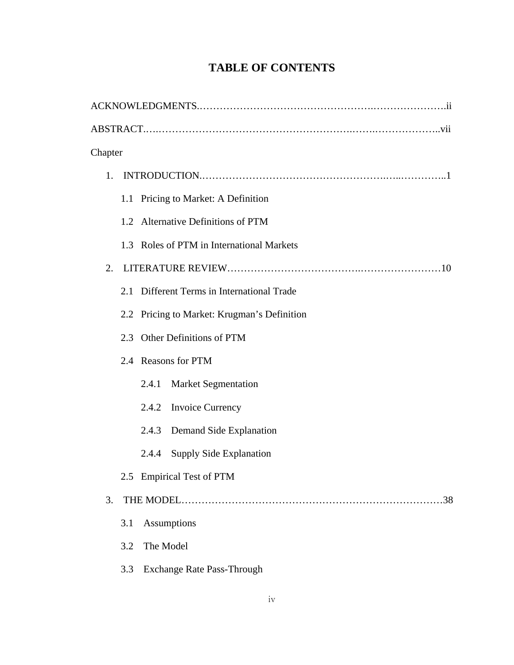| Chapter                                     |  |  |
|---------------------------------------------|--|--|
| 1.                                          |  |  |
| 1.1 Pricing to Market: A Definition         |  |  |
| 1.2 Alternative Definitions of PTM          |  |  |
| 1.3 Roles of PTM in International Markets   |  |  |
| 2.                                          |  |  |
| 2.1 Different Terms in International Trade  |  |  |
| 2.2 Pricing to Market: Krugman's Definition |  |  |
| 2.3 Other Definitions of PTM                |  |  |
| 2.4 Reasons for PTM                         |  |  |
| 2.4.1<br><b>Market Segmentation</b>         |  |  |
| <b>Invoice Currency</b><br>2.4.2            |  |  |
| Demand Side Explanation<br>2.4.3            |  |  |
| <b>Supply Side Explanation</b><br>2.4.4     |  |  |
| 2.5 Empirical Test of PTM                   |  |  |
| 3.<br>.38                                   |  |  |
| Assumptions<br>3.1                          |  |  |
| 3.2<br>The Model                            |  |  |
| <b>Exchange Rate Pass-Through</b><br>3.3    |  |  |

# **TABLE OF CONTENTS**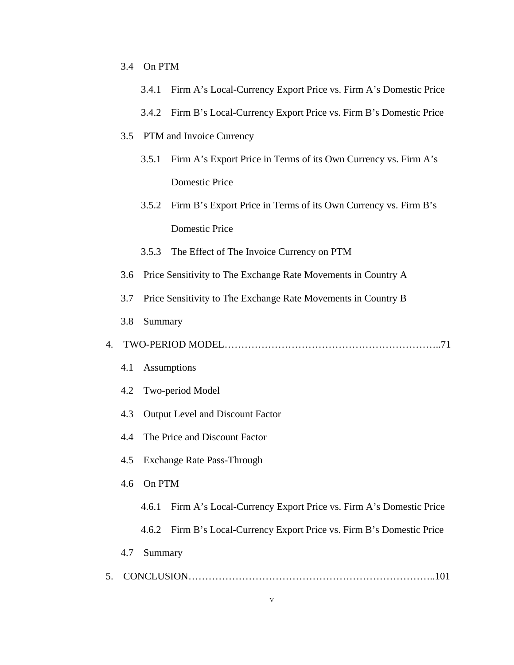| 3.4 | On PTM |
|-----|--------|
|     |        |

|    |                                                                      | 3.4.1                             | Firm A's Local-Currency Export Price vs. Firm A's Domestic Price |  |
|----|----------------------------------------------------------------------|-----------------------------------|------------------------------------------------------------------|--|
|    |                                                                      | 3.4.2                             | Firm B's Local-Currency Export Price vs. Firm B's Domestic Price |  |
|    | PTM and Invoice Currency<br>3.5                                      |                                   |                                                                  |  |
|    |                                                                      | 3.5.1                             | Firm A's Export Price in Terms of its Own Currency vs. Firm A's  |  |
|    |                                                                      |                                   | <b>Domestic Price</b>                                            |  |
|    |                                                                      | 3.5.2                             | Firm B's Export Price in Terms of its Own Currency vs. Firm B's  |  |
|    |                                                                      |                                   | <b>Domestic Price</b>                                            |  |
|    |                                                                      | 3.5.3                             | The Effect of The Invoice Currency on PTM                        |  |
|    | Price Sensitivity to The Exchange Rate Movements in Country A<br>3.6 |                                   |                                                                  |  |
|    | 3.7                                                                  |                                   | Price Sensitivity to The Exchange Rate Movements in Country B    |  |
|    | 3.8                                                                  | Summary                           |                                                                  |  |
| 4. |                                                                      |                                   |                                                                  |  |
|    | 4.1                                                                  |                                   | Assumptions                                                      |  |
|    | 4.2                                                                  |                                   | Two-period Model                                                 |  |
|    | Output Level and Discount Factor<br>4.3                              |                                   |                                                                  |  |
|    | 4.4                                                                  | The Price and Discount Factor     |                                                                  |  |
|    | 4.5                                                                  | <b>Exchange Rate Pass-Through</b> |                                                                  |  |
|    | 4.6                                                                  | On PTM                            |                                                                  |  |
|    |                                                                      | 4.6.1                             | Firm A's Local-Currency Export Price vs. Firm A's Domestic Price |  |
|    |                                                                      | 4.6.2                             | Firm B's Local-Currency Export Price vs. Firm B's Domestic Price |  |
|    | 4.7                                                                  | Summary                           |                                                                  |  |
| 5. |                                                                      |                                   |                                                                  |  |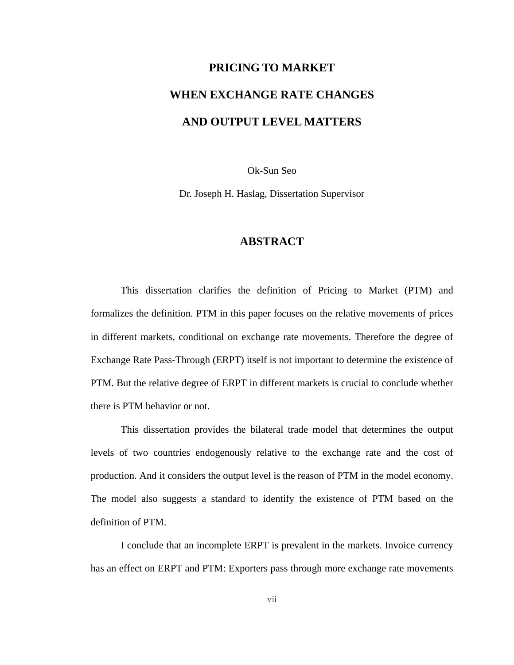# **PRICING TO MARKET WHEN EXCHANGE RATE CHANGES AND OUTPUT LEVEL MATTERS**

Ok-Sun Seo

Dr. Joseph H. Haslag, Dissertation Supervisor

## **ABSTRACT**

This dissertation clarifies the definition of Pricing to Market (PTM) and formalizes the definition. PTM in this paper focuses on the relative movements of prices in different markets, conditional on exchange rate movements. Therefore the degree of Exchange Rate Pass-Through (ERPT) itself is not important to determine the existence of PTM. But the relative degree of ERPT in different markets is crucial to conclude whether there is PTM behavior or not.

This dissertation provides the bilateral trade model that determines the output levels of two countries endogenously relative to the exchange rate and the cost of production. And it considers the output level is the reason of PTM in the model economy. The model also suggests a standard to identify the existence of PTM based on the definition of PTM.

I conclude that an incomplete ERPT is prevalent in the markets. Invoice currency has an effect on ERPT and PTM: Exporters pass through more exchange rate movements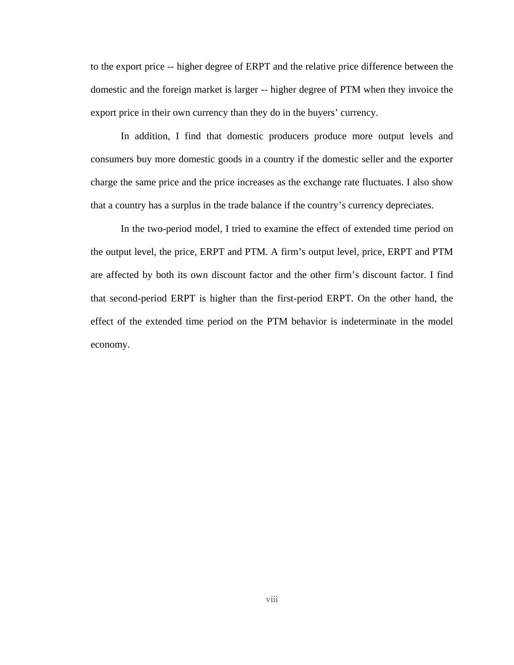to the export price -- higher degree of ERPT and the relative price difference between the domestic and the foreign market is larger -- higher degree of PTM when they invoice the export price in their own currency than they do in the buyers' currency.

In addition, I find that domestic producers produce more output levels and consumers buy more domestic goods in a country if the domestic seller and the exporter charge the same price and the price increases as the exchange rate fluctuates. I also show that a country has a surplus in the trade balance if the country's currency depreciates.

In the two-period model, I tried to examine the effect of extended time period on the output level, the price, ERPT and PTM. A firm's output level, price, ERPT and PTM are affected by both its own discount factor and the other firm's discount factor. I find that second-period ERPT is higher than the first-period ERPT. On the other hand, the effect of the extended time period on the PTM behavior is indeterminate in the model economy.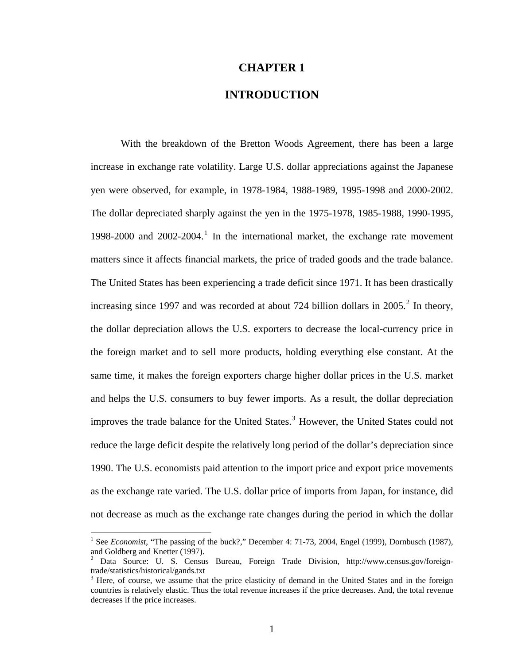#### **CHAPTER 1**

## **INTRODUCTION**

With the breakdown of the Bretton Woods Agreement, there has been a large increase in exchange rate volatility. Large U.S. dollar appreciations against the Japanese yen were observed, for example, in 1978-1984, 1988-1989, 1995-1998 and 2000-2002. The dollar depreciated sharply against the yen in the 1975-1978, 1985-1988, 1990-1995, [1](#page-9-0)998-2000 and  $2002$ -2004.<sup>1</sup> In the international market, the exchange rate movement matters since it affects financial markets, the price of traded goods and the trade balance. The United States has been experiencing a trade deficit since 1971. It has been drastically increasing since 1997 and was recorded at about 7[2](#page-9-1)4 billion dollars in  $2005$ <sup>2</sup>. In theory, the dollar depreciation allows the U.S. exporters to decrease the local-currency price in the foreign market and to sell more products, holding everything else constant. At the same time, it makes the foreign exporters charge higher dollar prices in the U.S. market and helps the U.S. consumers to buy fewer imports. As a result, the dollar depreciation improves the trade balance for the United States.<sup>[3](#page-9-2)</sup> However, the United States could not reduce the large deficit despite the relatively long period of the dollar's depreciation since 1990. The U.S. economists paid attention to the import price and export price movements as the exchange rate varied. The U.S. dollar price of imports from Japan, for instance, did not decrease as much as the exchange rate changes during the period in which the dollar

<span id="page-9-0"></span><sup>&</sup>lt;sup>1</sup> See *Economist*, "The passing of the buck?," December 4: 71-73, 2004, Engel (1999), Dornbusch (1987), and Goldberg and Knetter (1997).

<span id="page-9-1"></span><sup>&</sup>lt;sup>2</sup> Data Source: U. S. Census Bureau, Foreign Trade Division, http://www.census.gov/foreigntrade/statistics/historical/gands.txt

<span id="page-9-2"></span><sup>&</sup>lt;sup>3</sup> Here, of course, we assume that the price elasticity of demand in the United States and in the foreign countries is relatively elastic. Thus the total revenue increases if the price decreases. And, the total revenue decreases if the price increases.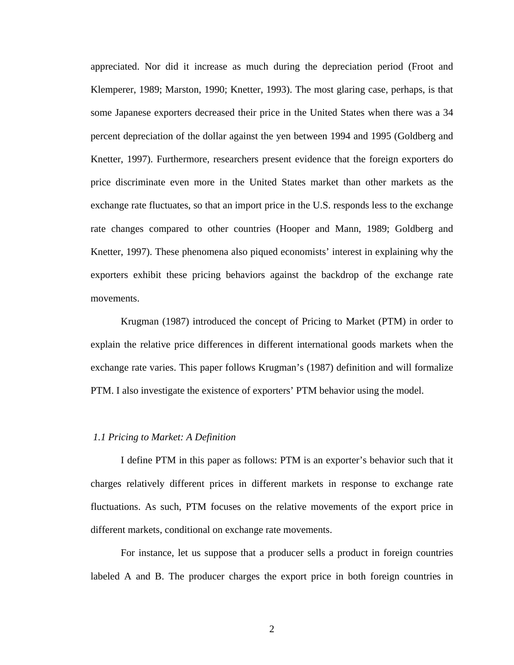appreciated. Nor did it increase as much during the depreciation period (Froot and Klemperer, 1989; Marston, 1990; Knetter, 1993). The most glaring case, perhaps, is that some Japanese exporters decreased their price in the United States when there was a 34 percent depreciation of the dollar against the yen between 1994 and 1995 (Goldberg and Knetter, 1997). Furthermore, researchers present evidence that the foreign exporters do price discriminate even more in the United States market than other markets as the exchange rate fluctuates, so that an import price in the U.S. responds less to the exchange rate changes compared to other countries (Hooper and Mann, 1989; Goldberg and Knetter, 1997). These phenomena also piqued economists' interest in explaining why the exporters exhibit these pricing behaviors against the backdrop of the exchange rate movements.

Krugman (1987) introduced the concept of Pricing to Market (PTM) in order to explain the relative price differences in different international goods markets when the exchange rate varies. This paper follows Krugman's (1987) definition and will formalize PTM. I also investigate the existence of exporters' PTM behavior using the model.

#### *1.1 Pricing to Market: A Definition*

I define PTM in this paper as follows: PTM is an exporter's behavior such that it charges relatively different prices in different markets in response to exchange rate fluctuations. As such, PTM focuses on the relative movements of the export price in different markets, conditional on exchange rate movements.

For instance, let us suppose that a producer sells a product in foreign countries labeled A and B. The producer charges the export price in both foreign countries in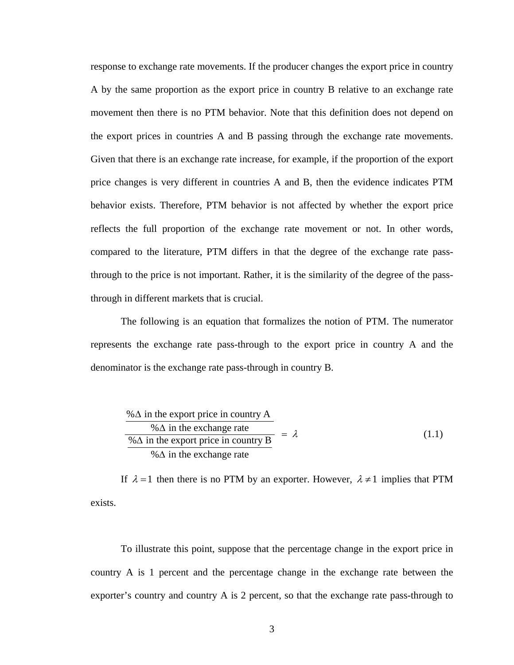response to exchange rate movements. If the producer changes the export price in country A by the same proportion as the export price in country B relative to an exchange rate movement then there is no PTM behavior. Note that this definition does not depend on the export prices in countries A and B passing through the exchange rate movements. Given that there is an exchange rate increase, for example, if the proportion of the export price changes is very different in countries A and B, then the evidence indicates PTM behavior exists. Therefore, PTM behavior is not affected by whether the export price reflects the full proportion of the exchange rate movement or not. In other words, compared to the literature, PTM differs in that the degree of the exchange rate passthrough to the price is not important. Rather, it is the similarity of the degree of the passthrough in different markets that is crucial.

The following is an equation that formalizes the notion of PTM. The numerator represents the exchange rate pass-through to the export price in country A and the denominator is the exchange rate pass-through in country B.

$$
\frac{\% \Delta \text{ in the export price in country A}}{\% \Delta \text{ in the exphere price in country B}} = \lambda \tag{1.1}
$$
\n
$$
\frac{\% \Delta \text{ in the export price in country B}}{\% \Delta \text{ in the exchange rate}}
$$

If  $\lambda = 1$  then there is no PTM by an exporter. However,  $\lambda \neq 1$  implies that PTM exists.

To illustrate this point, suppose that the percentage change in the export price in country A is 1 percent and the percentage change in the exchange rate between the exporter's country and country A is 2 percent, so that the exchange rate pass-through to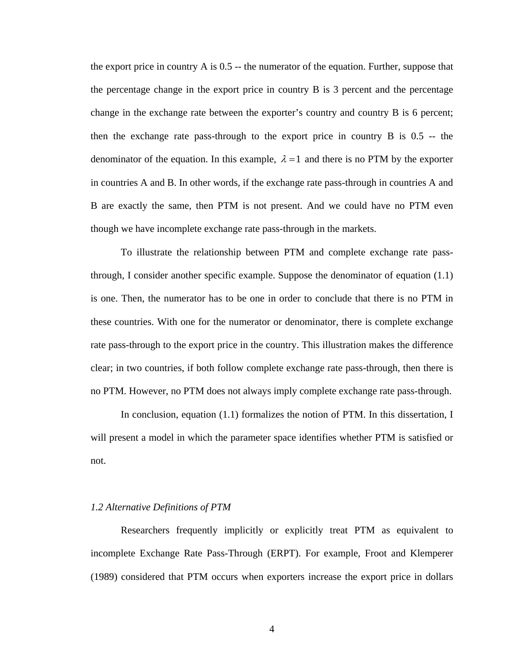the export price in country A is 0.5 -- the numerator of the equation. Further, suppose that the percentage change in the export price in country B is 3 percent and the percentage change in the exchange rate between the exporter's country and country B is 6 percent; then the exchange rate pass-through to the export price in country B is 0.5 -- the denominator of the equation. In this example,  $\lambda = 1$  and there is no PTM by the exporter in countries A and B. In other words, if the exchange rate pass-through in countries A and B are exactly the same, then PTM is not present. And we could have no PTM even though we have incomplete exchange rate pass-through in the markets.

To illustrate the relationship between PTM and complete exchange rate passthrough, I consider another specific example. Suppose the denominator of equation (1.1) is one. Then, the numerator has to be one in order to conclude that there is no PTM in these countries. With one for the numerator or denominator, there is complete exchange rate pass-through to the export price in the country. This illustration makes the difference clear; in two countries, if both follow complete exchange rate pass-through, then there is no PTM. However, no PTM does not always imply complete exchange rate pass-through.

 In conclusion, equation (1.1) formalizes the notion of PTM. In this dissertation, I will present a model in which the parameter space identifies whether PTM is satisfied or not.

#### *1.2 Alternative Definitions of PTM*

Researchers frequently implicitly or explicitly treat PTM as equivalent to incomplete Exchange Rate Pass-Through (ERPT). For example, Froot and Klemperer (1989) considered that PTM occurs when exporters increase the export price in dollars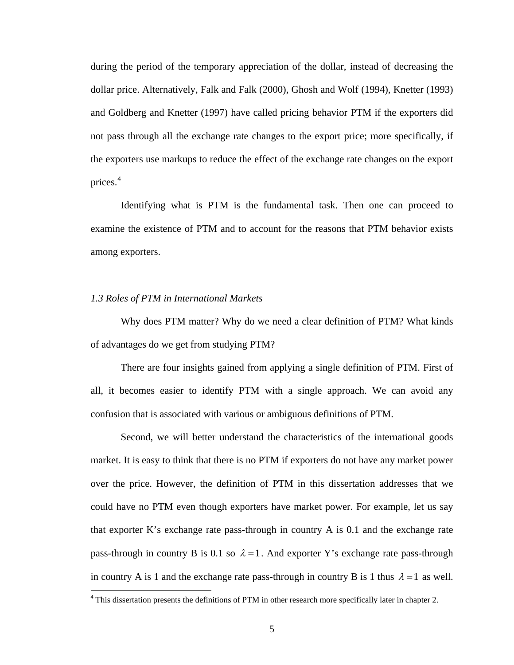during the period of the temporary appreciation of the dollar, instead of decreasing the dollar price. Alternatively, Falk and Falk (2000), Ghosh and Wolf (1994), Knetter (1993) and Goldberg and Knetter (1997) have called pricing behavior PTM if the exporters did not pass through all the exchange rate changes to the export price; more specifically, if the exporters use markups to reduce the effect of the exchange rate changes on the export prices.<sup>[4](#page-13-0)</sup>

Identifying what is PTM is the fundamental task. Then one can proceed to examine the existence of PTM and to account for the reasons that PTM behavior exists among exporters.

#### *1.3 Roles of PTM in International Markets*

<u>.</u>

Why does PTM matter? Why do we need a clear definition of PTM? What kinds of advantages do we get from studying PTM?

There are four insights gained from applying a single definition of PTM. First of all, it becomes easier to identify PTM with a single approach. We can avoid any confusion that is associated with various or ambiguous definitions of PTM.

Second, we will better understand the characteristics of the international goods market. It is easy to think that there is no PTM if exporters do not have any market power over the price. However, the definition of PTM in this dissertation addresses that we could have no PTM even though exporters have market power. For example, let us say that exporter K's exchange rate pass-through in country A is 0.1 and the exchange rate pass-through in country B is 0.1 so  $\lambda = 1$ . And exporter Y's exchange rate pass-through in country A is 1 and the exchange rate pass-through in country B is 1 thus  $\lambda = 1$  as well.

<span id="page-13-0"></span><sup>&</sup>lt;sup>4</sup> This dissertation presents the definitions of PTM in other research more specifically later in chapter 2.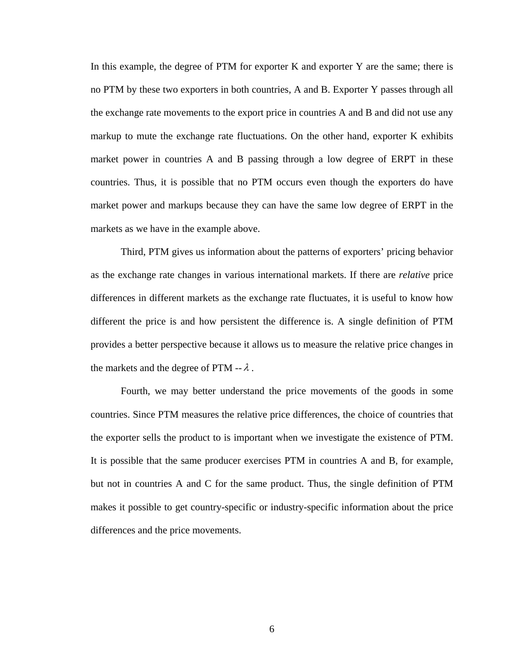In this example, the degree of PTM for exporter K and exporter Y are the same; there is no PTM by these two exporters in both countries, A and B. Exporter Y passes through all the exchange rate movements to the export price in countries A and B and did not use any markup to mute the exchange rate fluctuations. On the other hand, exporter K exhibits market power in countries A and B passing through a low degree of ERPT in these countries. Thus, it is possible that no PTM occurs even though the exporters do have market power and markups because they can have the same low degree of ERPT in the markets as we have in the example above.

Third, PTM gives us information about the patterns of exporters' pricing behavior as the exchange rate changes in various international markets. If there are *relative* price differences in different markets as the exchange rate fluctuates, it is useful to know how different the price is and how persistent the difference is. A single definition of PTM provides a better perspective because it allows us to measure the relative price changes in the markets and the degree of PTM  $- \lambda$ .

Fourth, we may better understand the price movements of the goods in some countries. Since PTM measures the relative price differences, the choice of countries that the exporter sells the product to is important when we investigate the existence of PTM. It is possible that the same producer exercises PTM in countries A and B, for example, but not in countries A and C for the same product. Thus, the single definition of PTM makes it possible to get country-specific or industry-specific information about the price differences and the price movements.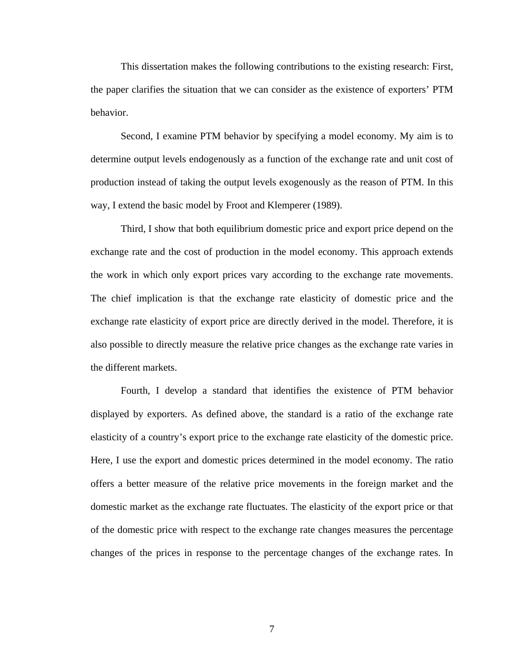This dissertation makes the following contributions to the existing research: First, the paper clarifies the situation that we can consider as the existence of exporters' PTM behavior.

Second, I examine PTM behavior by specifying a model economy. My aim is to determine output levels endogenously as a function of the exchange rate and unit cost of production instead of taking the output levels exogenously as the reason of PTM. In this way, I extend the basic model by Froot and Klemperer (1989).

Third, I show that both equilibrium domestic price and export price depend on the exchange rate and the cost of production in the model economy. This approach extends the work in which only export prices vary according to the exchange rate movements. The chief implication is that the exchange rate elasticity of domestic price and the exchange rate elasticity of export price are directly derived in the model. Therefore, it is also possible to directly measure the relative price changes as the exchange rate varies in the different markets.

Fourth, I develop a standard that identifies the existence of PTM behavior displayed by exporters. As defined above, the standard is a ratio of the exchange rate elasticity of a country's export price to the exchange rate elasticity of the domestic price. Here, I use the export and domestic prices determined in the model economy. The ratio offers a better measure of the relative price movements in the foreign market and the domestic market as the exchange rate fluctuates. The elasticity of the export price or that of the domestic price with respect to the exchange rate changes measures the percentage changes of the prices in response to the percentage changes of the exchange rates. In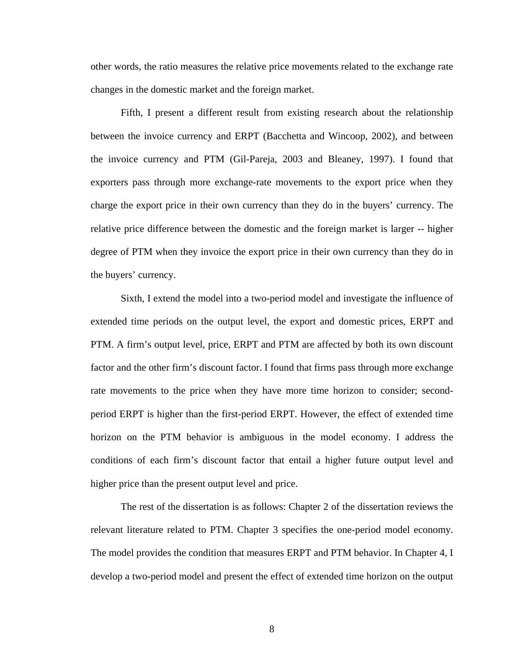other words, the ratio measures the relative price movements related to the exchange rate changes in the domestic market and the foreign market.

Fifth, I present a different result from existing research about the relationship between the invoice currency and ERPT (Bacchetta and Wincoop, 2002), and between the invoice currency and PTM (Gil-Pareja, 2003 and Bleaney, 1997). I found that exporters pass through more exchange-rate movements to the export price when they charge the export price in their own currency than they do in the buyers' currency. The relative price difference between the domestic and the foreign market is larger -- higher degree of PTM when they invoice the export price in their own currency than they do in the buyers' currency.

Sixth, I extend the model into a two-period model and investigate the influence of extended time periods on the output level, the export and domestic prices, ERPT and PTM. A firm's output level, price, ERPT and PTM are affected by both its own discount factor and the other firm's discount factor. I found that firms pass through more exchange rate movements to the price when they have more time horizon to consider; secondperiod ERPT is higher than the first-period ERPT. However, the effect of extended time horizon on the PTM behavior is ambiguous in the model economy. I address the conditions of each firm's discount factor that entail a higher future output level and higher price than the present output level and price.

The rest of the dissertation is as follows: Chapter 2 of the dissertation reviews the relevant literature related to PTM. Chapter 3 specifies the one-period model economy. The model provides the condition that measures ERPT and PTM behavior. In Chapter 4, I develop a two-period model and present the effect of extended time horizon on the output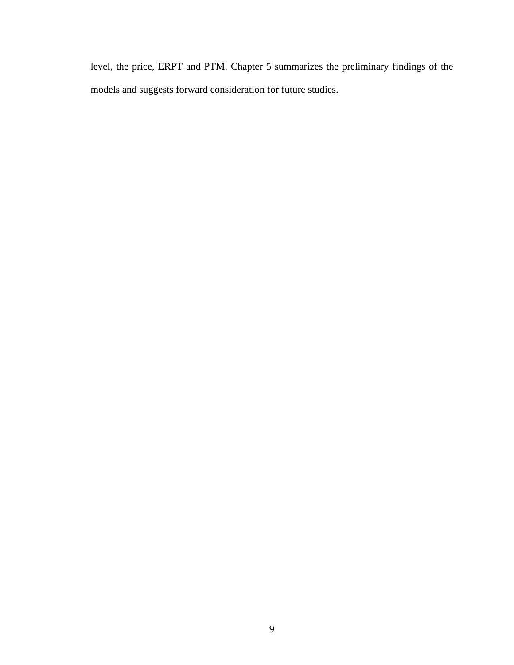level, the price, ERPT and PTM. Chapter 5 summarizes the preliminary findings of the models and suggests forward consideration for future studies.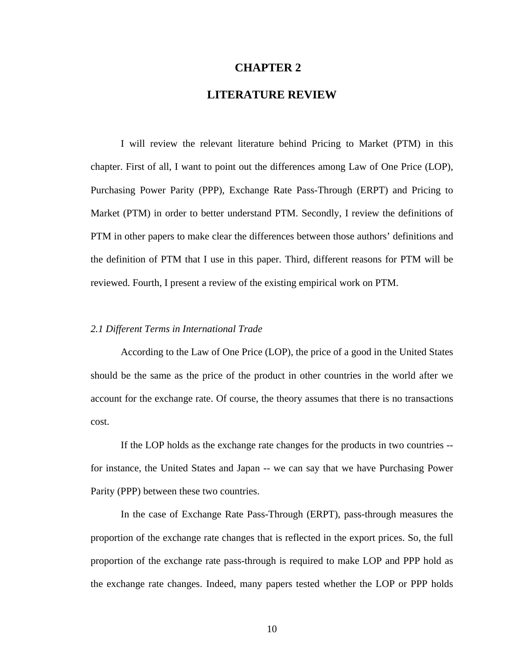#### **CHAPTER 2**

# **LITERATURE REVIEW**

 I will review the relevant literature behind Pricing to Market (PTM) in this chapter. First of all, I want to point out the differences among Law of One Price (LOP), Purchasing Power Parity (PPP), Exchange Rate Pass-Through (ERPT) and Pricing to Market (PTM) in order to better understand PTM. Secondly, I review the definitions of PTM in other papers to make clear the differences between those authors' definitions and the definition of PTM that I use in this paper. Third, different reasons for PTM will be reviewed. Fourth, I present a review of the existing empirical work on PTM.

#### *2.1 Different Terms in International Trade*

According to the Law of One Price (LOP), the price of a good in the United States should be the same as the price of the product in other countries in the world after we account for the exchange rate. Of course, the theory assumes that there is no transactions cost.

If the LOP holds as the exchange rate changes for the products in two countries - for instance, the United States and Japan -- we can say that we have Purchasing Power Parity (PPP) between these two countries.

In the case of Exchange Rate Pass-Through (ERPT), pass-through measures the proportion of the exchange rate changes that is reflected in the export prices. So, the full proportion of the exchange rate pass-through is required to make LOP and PPP hold as the exchange rate changes. Indeed, many papers tested whether the LOP or PPP holds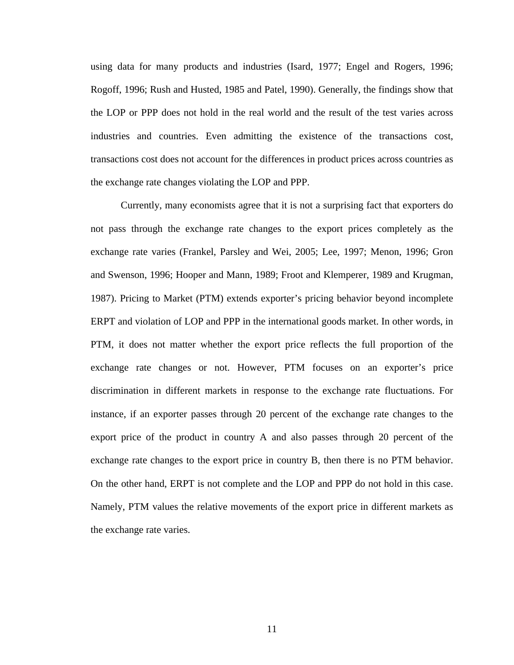using data for many products and industries (Isard, 1977; Engel and Rogers, 1996; Rogoff, 1996; Rush and Husted, 1985 and Patel, 1990). Generally, the findings show that the LOP or PPP does not hold in the real world and the result of the test varies across industries and countries. Even admitting the existence of the transactions cost, transactions cost does not account for the differences in product prices across countries as the exchange rate changes violating the LOP and PPP.

Currently, many economists agree that it is not a surprising fact that exporters do not pass through the exchange rate changes to the export prices completely as the exchange rate varies (Frankel, Parsley and Wei, 2005; Lee, 1997; Menon, 1996; Gron and Swenson, 1996; Hooper and Mann, 1989; Froot and Klemperer, 1989 and Krugman, 1987). Pricing to Market (PTM) extends exporter's pricing behavior beyond incomplete ERPT and violation of LOP and PPP in the international goods market. In other words, in PTM, it does not matter whether the export price reflects the full proportion of the exchange rate changes or not. However, PTM focuses on an exporter's price discrimination in different markets in response to the exchange rate fluctuations. For instance, if an exporter passes through 20 percent of the exchange rate changes to the export price of the product in country A and also passes through 20 percent of the exchange rate changes to the export price in country B, then there is no PTM behavior. On the other hand, ERPT is not complete and the LOP and PPP do not hold in this case. Namely, PTM values the relative movements of the export price in different markets as the exchange rate varies.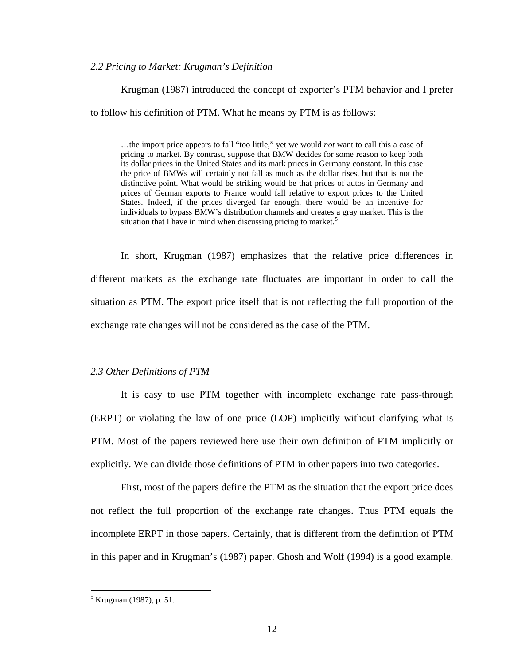#### *2.2 Pricing to Market: Krugman's Definition*

Krugman (1987) introduced the concept of exporter's PTM behavior and I prefer

to follow his definition of PTM. What he means by PTM is as follows:

…the import price appears to fall "too little," yet we would *not* want to call this a case of pricing to market. By contrast, suppose that BMW decides for some reason to keep both its dollar prices in the United States and its mark prices in Germany constant. In this case the price of BMWs will certainly not fall as much as the dollar rises, but that is not the distinctive point. What would be striking would be that prices of autos in Germany and prices of German exports to France would fall relative to export prices to the United States. Indeed, if the prices diverged far enough, there would be an incentive for individuals to bypass BMW's distribution channels and creates a gray market. This is the situation that I have in mind when discussing pricing to market.<sup>[5](#page-20-0)</sup>

In short, Krugman (1987) emphasizes that the relative price differences in different markets as the exchange rate fluctuates are important in order to call the situation as PTM. The export price itself that is not reflecting the full proportion of the exchange rate changes will not be considered as the case of the PTM.

#### *2.3 Other Definitions of PTM*

It is easy to use PTM together with incomplete exchange rate pass-through (ERPT) or violating the law of one price (LOP) implicitly without clarifying what is PTM. Most of the papers reviewed here use their own definition of PTM implicitly or explicitly. We can divide those definitions of PTM in other papers into two categories.

First, most of the papers define the PTM as the situation that the export price does not reflect the full proportion of the exchange rate changes. Thus PTM equals the incomplete ERPT in those papers. Certainly, that is different from the definition of PTM in this paper and in Krugman's (1987) paper. Ghosh and Wolf (1994) is a good example.

<span id="page-20-0"></span><sup>&</sup>lt;sup>5</sup> Krugman (1987), p. 51.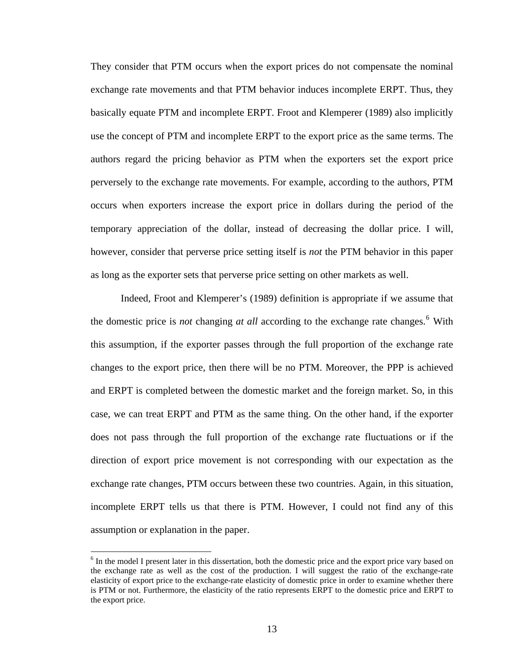They consider that PTM occurs when the export prices do not compensate the nominal exchange rate movements and that PTM behavior induces incomplete ERPT. Thus, they basically equate PTM and incomplete ERPT. Froot and Klemperer (1989) also implicitly use the concept of PTM and incomplete ERPT to the export price as the same terms. The authors regard the pricing behavior as PTM when the exporters set the export price perversely to the exchange rate movements. For example, according to the authors, PTM occurs when exporters increase the export price in dollars during the period of the temporary appreciation of the dollar, instead of decreasing the dollar price. I will, however, consider that perverse price setting itself is *not* the PTM behavior in this paper as long as the exporter sets that perverse price setting on other markets as well.

Indeed, Froot and Klemperer's (1989) definition is appropriate if we assume that the domestic price is *not* changing *at all* according to the exchange rate changes.<sup>[6](#page-21-0)</sup> With this assumption, if the exporter passes through the full proportion of the exchange rate changes to the export price, then there will be no PTM. Moreover, the PPP is achieved and ERPT is completed between the domestic market and the foreign market. So, in this case, we can treat ERPT and PTM as the same thing. On the other hand, if the exporter does not pass through the full proportion of the exchange rate fluctuations or if the direction of export price movement is not corresponding with our expectation as the exchange rate changes, PTM occurs between these two countries. Again, in this situation, incomplete ERPT tells us that there is PTM. However, I could not find any of this assumption or explanation in the paper.

<span id="page-21-0"></span><sup>&</sup>lt;sup>6</sup> In the model I present later in this dissertation, both the domestic price and the export price vary based on the exchange rate as well as the cost of the production. I will suggest the ratio of the exchange-rate elasticity of export price to the exchange-rate elasticity of domestic price in order to examine whether there is PTM or not. Furthermore, the elasticity of the ratio represents ERPT to the domestic price and ERPT to the export price.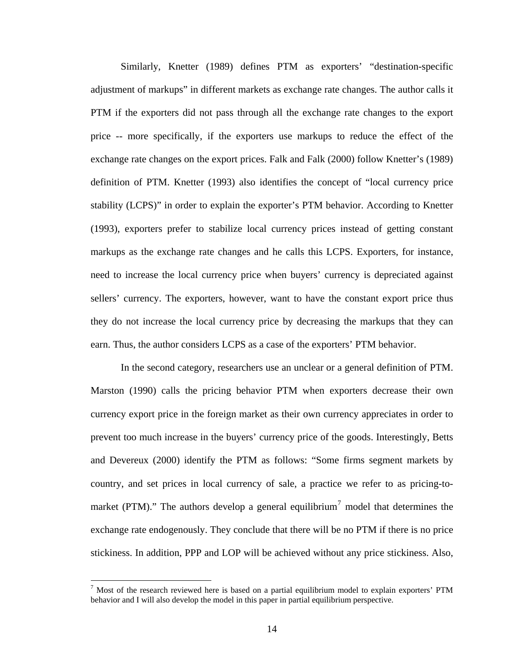Similarly, Knetter (1989) defines PTM as exporters' "destination-specific adjustment of markups" in different markets as exchange rate changes. The author calls it PTM if the exporters did not pass through all the exchange rate changes to the export price -- more specifically, if the exporters use markups to reduce the effect of the exchange rate changes on the export prices. Falk and Falk (2000) follow Knetter's (1989) definition of PTM. Knetter (1993) also identifies the concept of "local currency price stability (LCPS)" in order to explain the exporter's PTM behavior. According to Knetter (1993), exporters prefer to stabilize local currency prices instead of getting constant markups as the exchange rate changes and he calls this LCPS. Exporters, for instance, need to increase the local currency price when buyers' currency is depreciated against sellers' currency. The exporters, however, want to have the constant export price thus they do not increase the local currency price by decreasing the markups that they can earn. Thus, the author considers LCPS as a case of the exporters' PTM behavior.

In the second category, researchers use an unclear or a general definition of PTM. Marston (1990) calls the pricing behavior PTM when exporters decrease their own currency export price in the foreign market as their own currency appreciates in order to prevent too much increase in the buyers' currency price of the goods. Interestingly, Betts and Devereux (2000) identify the PTM as follows: "Some firms segment markets by country, and set prices in local currency of sale, a practice we refer to as pricing-to-market (PTM)." The authors develop a general equilibrium<sup>[7](#page-22-0)</sup> model that determines the exchange rate endogenously. They conclude that there will be no PTM if there is no price stickiness. In addition, PPP and LOP will be achieved without any price stickiness. Also,

<span id="page-22-0"></span> $<sup>7</sup>$  Most of the research reviewed here is based on a partial equilibrium model to explain exporters' PTM</sup> behavior and I will also develop the model in this paper in partial equilibrium perspective.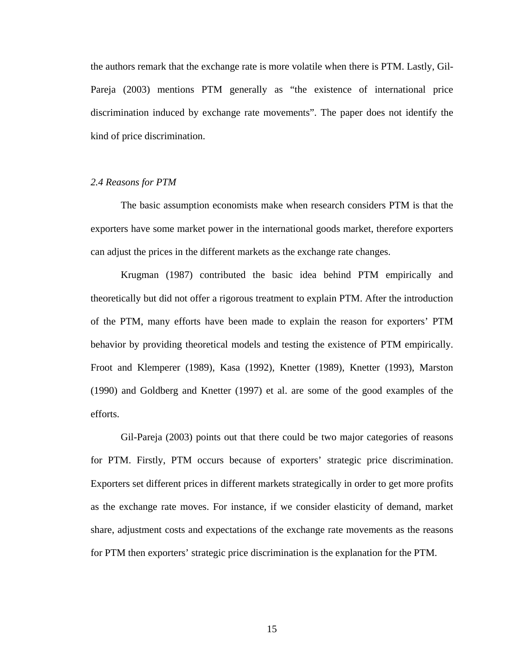the authors remark that the exchange rate is more volatile when there is PTM. Lastly, Gil-Pareja (2003) mentions PTM generally as "the existence of international price discrimination induced by exchange rate movements". The paper does not identify the kind of price discrimination.

#### *2.4 Reasons for PTM*

The basic assumption economists make when research considers PTM is that the exporters have some market power in the international goods market, therefore exporters can adjust the prices in the different markets as the exchange rate changes.

Krugman (1987) contributed the basic idea behind PTM empirically and theoretically but did not offer a rigorous treatment to explain PTM. After the introduction of the PTM, many efforts have been made to explain the reason for exporters' PTM behavior by providing theoretical models and testing the existence of PTM empirically. Froot and Klemperer (1989), Kasa (1992), Knetter (1989), Knetter (1993), Marston (1990) and Goldberg and Knetter (1997) et al. are some of the good examples of the efforts.

Gil-Pareja (2003) points out that there could be two major categories of reasons for PTM. Firstly, PTM occurs because of exporters' strategic price discrimination. Exporters set different prices in different markets strategically in order to get more profits as the exchange rate moves. For instance, if we consider elasticity of demand, market share, adjustment costs and expectations of the exchange rate movements as the reasons for PTM then exporters' strategic price discrimination is the explanation for the PTM.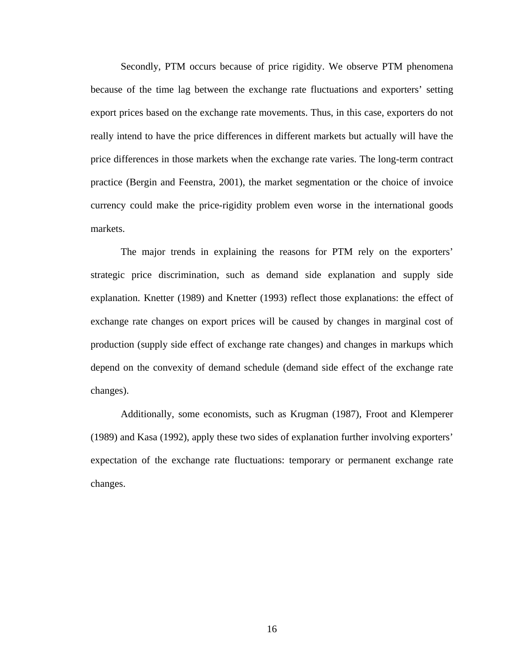Secondly, PTM occurs because of price rigidity. We observe PTM phenomena because of the time lag between the exchange rate fluctuations and exporters' setting export prices based on the exchange rate movements. Thus, in this case, exporters do not really intend to have the price differences in different markets but actually will have the price differences in those markets when the exchange rate varies. The long-term contract practice (Bergin and Feenstra, 2001), the market segmentation or the choice of invoice currency could make the price-rigidity problem even worse in the international goods markets.

The major trends in explaining the reasons for PTM rely on the exporters' strategic price discrimination, such as demand side explanation and supply side explanation. Knetter (1989) and Knetter (1993) reflect those explanations: the effect of exchange rate changes on export prices will be caused by changes in marginal cost of production (supply side effect of exchange rate changes) and changes in markups which depend on the convexity of demand schedule (demand side effect of the exchange rate changes).

Additionally, some economists, such as Krugman (1987), Froot and Klemperer (1989) and Kasa (1992), apply these two sides of explanation further involving exporters' expectation of the exchange rate fluctuations: temporary or permanent exchange rate changes.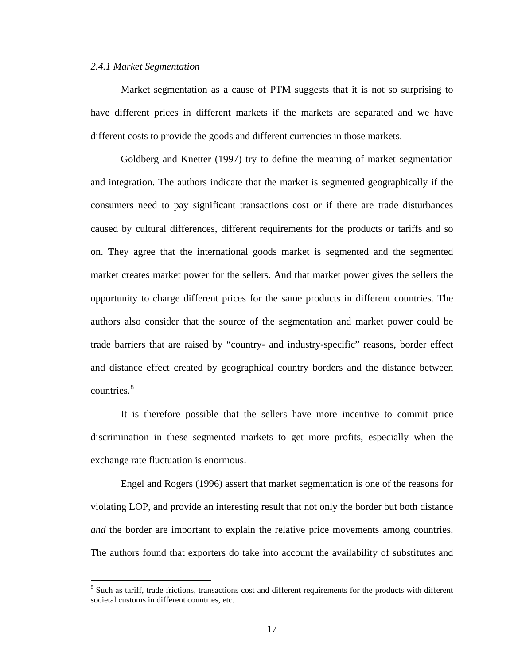#### *2.4.1 Market Segmentation*

Market segmentation as a cause of PTM suggests that it is not so surprising to have different prices in different markets if the markets are separated and we have different costs to provide the goods and different currencies in those markets.

Goldberg and Knetter (1997) try to define the meaning of market segmentation and integration. The authors indicate that the market is segmented geographically if the consumers need to pay significant transactions cost or if there are trade disturbances caused by cultural differences, different requirements for the products or tariffs and so on. They agree that the international goods market is segmented and the segmented market creates market power for the sellers. And that market power gives the sellers the opportunity to charge different prices for the same products in different countries. The authors also consider that the source of the segmentation and market power could be trade barriers that are raised by "country- and industry-specific" reasons, border effect and distance effect created by geographical country borders and the distance between countries.<sup>[8](#page-25-0)</sup>

It is therefore possible that the sellers have more incentive to commit price discrimination in these segmented markets to get more profits, especially when the exchange rate fluctuation is enormous.

Engel and Rogers (1996) assert that market segmentation is one of the reasons for violating LOP, and provide an interesting result that not only the border but both distance *and* the border are important to explain the relative price movements among countries. The authors found that exporters do take into account the availability of substitutes and

<span id="page-25-0"></span><sup>&</sup>lt;sup>8</sup> Such as tariff, trade frictions, transactions cost and different requirements for the products with different societal customs in different countries, etc.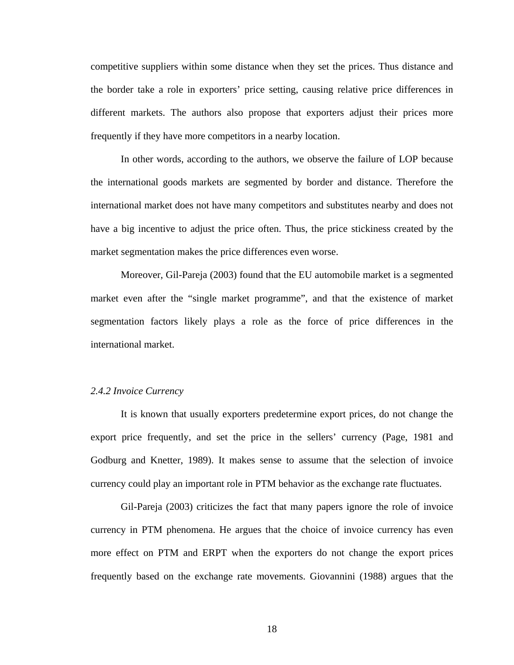competitive suppliers within some distance when they set the prices. Thus distance and the border take a role in exporters' price setting, causing relative price differences in different markets. The authors also propose that exporters adjust their prices more frequently if they have more competitors in a nearby location.

In other words, according to the authors, we observe the failure of LOP because the international goods markets are segmented by border and distance. Therefore the international market does not have many competitors and substitutes nearby and does not have a big incentive to adjust the price often. Thus, the price stickiness created by the market segmentation makes the price differences even worse.

Moreover, Gil-Pareja (2003) found that the EU automobile market is a segmented market even after the "single market programme", and that the existence of market segmentation factors likely plays a role as the force of price differences in the international market.

#### *2.4.2 Invoice Currency*

It is known that usually exporters predetermine export prices, do not change the export price frequently, and set the price in the sellers' currency (Page, 1981 and Godburg and Knetter, 1989). It makes sense to assume that the selection of invoice currency could play an important role in PTM behavior as the exchange rate fluctuates.

Gil-Pareja (2003) criticizes the fact that many papers ignore the role of invoice currency in PTM phenomena. He argues that the choice of invoice currency has even more effect on PTM and ERPT when the exporters do not change the export prices frequently based on the exchange rate movements. Giovannini (1988) argues that the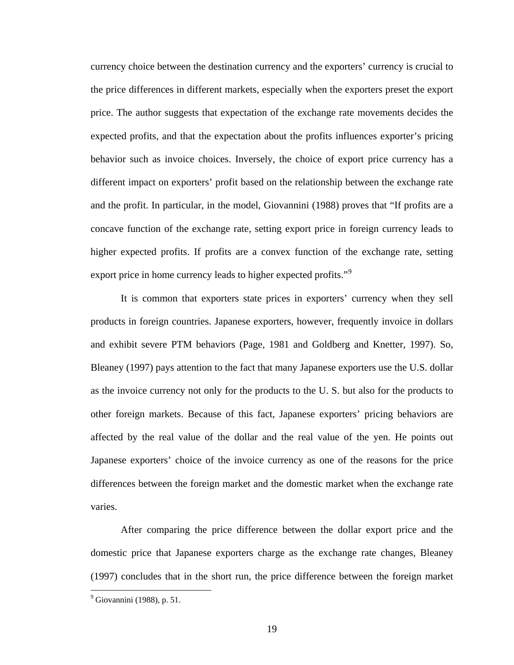currency choice between the destination currency and the exporters' currency is crucial to the price differences in different markets, especially when the exporters preset the export price. The author suggests that expectation of the exchange rate movements decides the expected profits, and that the expectation about the profits influences exporter's pricing behavior such as invoice choices. Inversely, the choice of export price currency has a different impact on exporters' profit based on the relationship between the exchange rate and the profit. In particular, in the model, Giovannini (1988) proves that "If profits are a concave function of the exchange rate, setting export price in foreign currency leads to higher expected profits. If profits are a convex function of the exchange rate, setting export price in home currency leads to higher expected profits."<sup>[9](#page-27-0)</sup>

It is common that exporters state prices in exporters' currency when they sell products in foreign countries. Japanese exporters, however, frequently invoice in dollars and exhibit severe PTM behaviors (Page, 1981 and Goldberg and Knetter, 1997). So, Bleaney (1997) pays attention to the fact that many Japanese exporters use the U.S. dollar as the invoice currency not only for the products to the U. S. but also for the products to other foreign markets. Because of this fact, Japanese exporters' pricing behaviors are affected by the real value of the dollar and the real value of the yen. He points out Japanese exporters' choice of the invoice currency as one of the reasons for the price differences between the foreign market and the domestic market when the exchange rate varies.

After comparing the price difference between the dollar export price and the domestic price that Japanese exporters charge as the exchange rate changes, Bleaney (1997) concludes that in the short run, the price difference between the foreign market

<span id="page-27-0"></span> 9 Giovannini (1988), p. 51.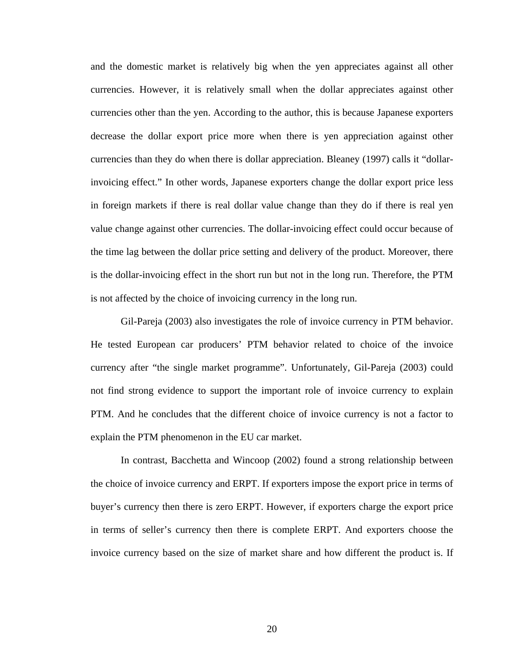and the domestic market is relatively big when the yen appreciates against all other currencies. However, it is relatively small when the dollar appreciates against other currencies other than the yen. According to the author, this is because Japanese exporters decrease the dollar export price more when there is yen appreciation against other currencies than they do when there is dollar appreciation. Bleaney (1997) calls it "dollarinvoicing effect." In other words, Japanese exporters change the dollar export price less in foreign markets if there is real dollar value change than they do if there is real yen value change against other currencies. The dollar-invoicing effect could occur because of the time lag between the dollar price setting and delivery of the product. Moreover, there is the dollar-invoicing effect in the short run but not in the long run. Therefore, the PTM is not affected by the choice of invoicing currency in the long run.

Gil-Pareja (2003) also investigates the role of invoice currency in PTM behavior. He tested European car producers' PTM behavior related to choice of the invoice currency after "the single market programme". Unfortunately, Gil-Pareja (2003) could not find strong evidence to support the important role of invoice currency to explain PTM. And he concludes that the different choice of invoice currency is not a factor to explain the PTM phenomenon in the EU car market.

In contrast, Bacchetta and Wincoop (2002) found a strong relationship between the choice of invoice currency and ERPT. If exporters impose the export price in terms of buyer's currency then there is zero ERPT. However, if exporters charge the export price in terms of seller's currency then there is complete ERPT. And exporters choose the invoice currency based on the size of market share and how different the product is. If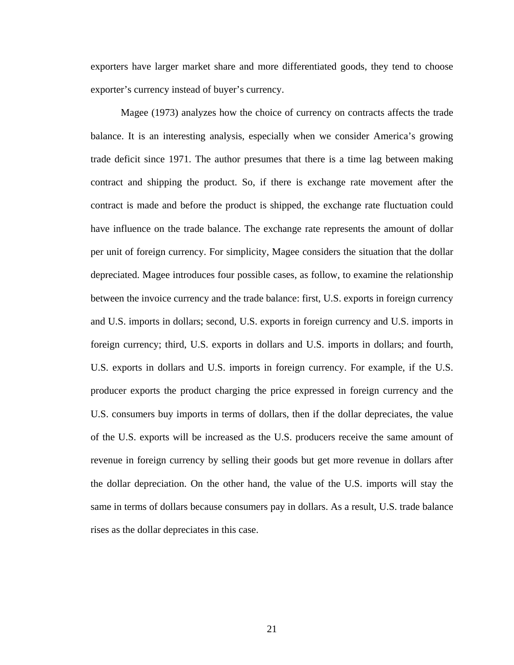exporters have larger market share and more differentiated goods, they tend to choose exporter's currency instead of buyer's currency.

Magee (1973) analyzes how the choice of currency on contracts affects the trade balance. It is an interesting analysis, especially when we consider America's growing trade deficit since 1971. The author presumes that there is a time lag between making contract and shipping the product. So, if there is exchange rate movement after the contract is made and before the product is shipped, the exchange rate fluctuation could have influence on the trade balance. The exchange rate represents the amount of dollar per unit of foreign currency. For simplicity, Magee considers the situation that the dollar depreciated. Magee introduces four possible cases, as follow, to examine the relationship between the invoice currency and the trade balance: first, U.S. exports in foreign currency and U.S. imports in dollars; second, U.S. exports in foreign currency and U.S. imports in foreign currency; third, U.S. exports in dollars and U.S. imports in dollars; and fourth, U.S. exports in dollars and U.S. imports in foreign currency. For example, if the U.S. producer exports the product charging the price expressed in foreign currency and the U.S. consumers buy imports in terms of dollars, then if the dollar depreciates, the value of the U.S. exports will be increased as the U.S. producers receive the same amount of revenue in foreign currency by selling their goods but get more revenue in dollars after the dollar depreciation. On the other hand, the value of the U.S. imports will stay the same in terms of dollars because consumers pay in dollars. As a result, U.S. trade balance rises as the dollar depreciates in this case.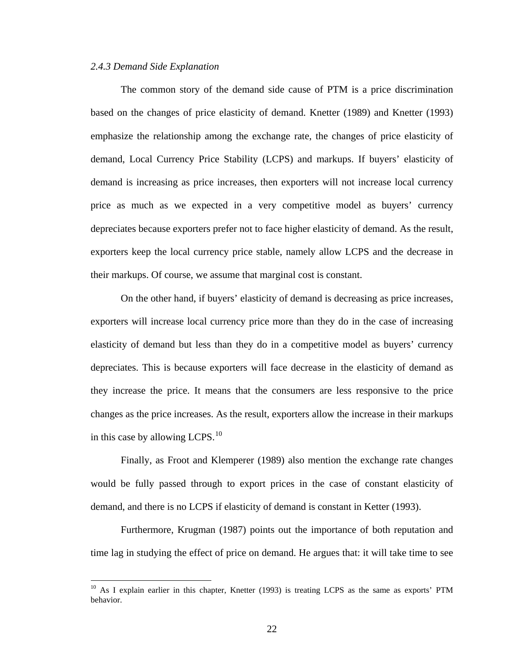#### *2.4.3 Demand Side Explanation*

 $\overline{a}$ 

 The common story of the demand side cause of PTM is a price discrimination based on the changes of price elasticity of demand. Knetter (1989) and Knetter (1993) emphasize the relationship among the exchange rate, the changes of price elasticity of demand, Local Currency Price Stability (LCPS) and markups. If buyers' elasticity of demand is increasing as price increases, then exporters will not increase local currency price as much as we expected in a very competitive model as buyers' currency depreciates because exporters prefer not to face higher elasticity of demand. As the result, exporters keep the local currency price stable, namely allow LCPS and the decrease in their markups. Of course, we assume that marginal cost is constant.

On the other hand, if buyers' elasticity of demand is decreasing as price increases, exporters will increase local currency price more than they do in the case of increasing elasticity of demand but less than they do in a competitive model as buyers' currency depreciates. This is because exporters will face decrease in the elasticity of demand as they increase the price. It means that the consumers are less responsive to the price changes as the price increases. As the result, exporters allow the increase in their markups in this case by allowing LCPS. $^{10}$  $^{10}$  $^{10}$ 

Finally, as Froot and Klemperer (1989) also mention the exchange rate changes would be fully passed through to export prices in the case of constant elasticity of demand, and there is no LCPS if elasticity of demand is constant in Ketter (1993).

Furthermore, Krugman (1987) points out the importance of both reputation and time lag in studying the effect of price on demand. He argues that: it will take time to see

<span id="page-30-0"></span><sup>&</sup>lt;sup>10</sup> As I explain earlier in this chapter, Knetter (1993) is treating LCPS as the same as exports' PTM behavior.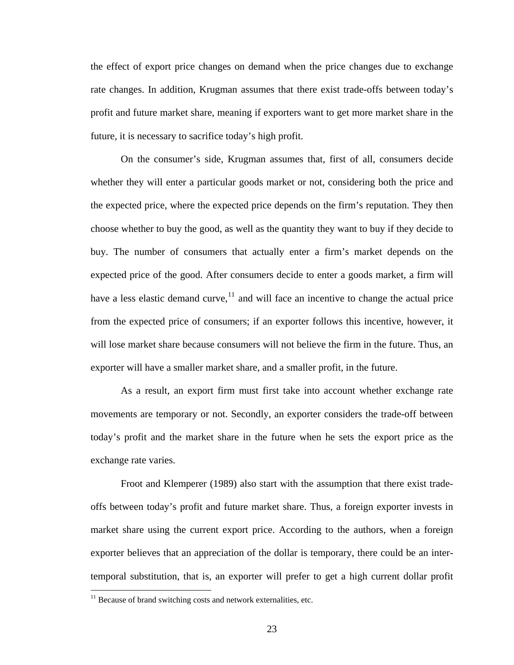the effect of export price changes on demand when the price changes due to exchange rate changes. In addition, Krugman assumes that there exist trade-offs between today's profit and future market share, meaning if exporters want to get more market share in the future, it is necessary to sacrifice today's high profit.

On the consumer's side, Krugman assumes that, first of all, consumers decide whether they will enter a particular goods market or not, considering both the price and the expected price, where the expected price depends on the firm's reputation. They then choose whether to buy the good, as well as the quantity they want to buy if they decide to buy. The number of consumers that actually enter a firm's market depends on the expected price of the good. After consumers decide to enter a goods market, a firm will have a less elastic demand curve, $11$  and will face an incentive to change the actual price from the expected price of consumers; if an exporter follows this incentive, however, it will lose market share because consumers will not believe the firm in the future. Thus, an exporter will have a smaller market share, and a smaller profit, in the future.

As a result, an export firm must first take into account whether exchange rate movements are temporary or not. Secondly, an exporter considers the trade-off between today's profit and the market share in the future when he sets the export price as the exchange rate varies.

 Froot and Klemperer (1989) also start with the assumption that there exist tradeoffs between today's profit and future market share. Thus, a foreign exporter invests in market share using the current export price. According to the authors, when a foreign exporter believes that an appreciation of the dollar is temporary, there could be an intertemporal substitution, that is, an exporter will prefer to get a high current dollar profit

<span id="page-31-0"></span> $11$  Because of brand switching costs and network externalities, etc.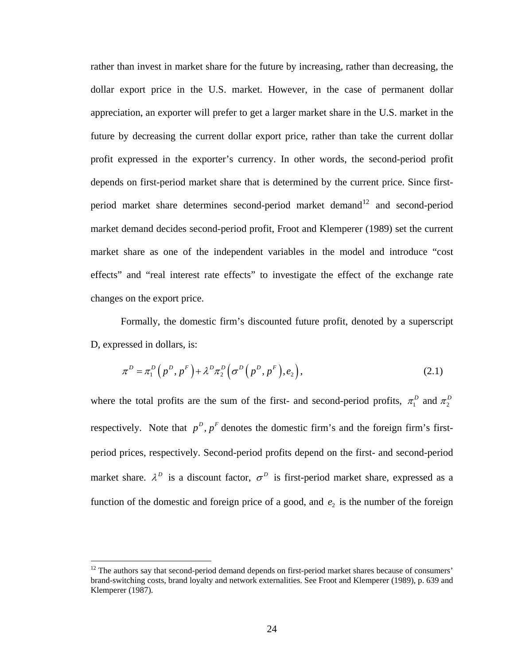rather than invest in market share for the future by increasing, rather than decreasing, the dollar export price in the U.S. market. However, in the case of permanent dollar appreciation, an exporter will prefer to get a larger market share in the U.S. market in the future by decreasing the current dollar export price, rather than take the current dollar profit expressed in the exporter's currency. In other words, the second-period profit depends on first-period market share that is determined by the current price. Since first-period market share determines second-period market demand<sup>[12](#page-32-0)</sup> and second-period market demand decides second-period profit, Froot and Klemperer (1989) set the current market share as one of the independent variables in the model and introduce "cost effects" and "real interest rate effects" to investigate the effect of the exchange rate changes on the export price.

 Formally, the domestic firm's discounted future profit, denoted by a superscript D, expressed in dollars, is:

$$
\pi^D = \pi_1^D(p^D, p^F) + \lambda^D \pi_2^D(\sigma^D(p^D, p^F), e_2), \qquad (2.1)
$$

where the total profits are the sum of the first- and second-period profits,  $\pi_1^D$  and  $\pi_2^D$ respectively. Note that  $p^D$ ,  $p^F$  denotes the domestic firm's and the foreign firm's firstperiod prices, respectively. Second-period profits depend on the first- and second-period market share.  $\lambda^D$  is a discount factor,  $\sigma^D$  is first-period market share, expressed as a function of the domestic and foreign price of a good, and  $e<sub>2</sub>$  is the number of the foreign

<span id="page-32-0"></span> $12$  The authors say that second-period demand depends on first-period market shares because of consumers' brand-switching costs, brand loyalty and network externalities. See Froot and Klemperer (1989), p. 639 and Klemperer (1987).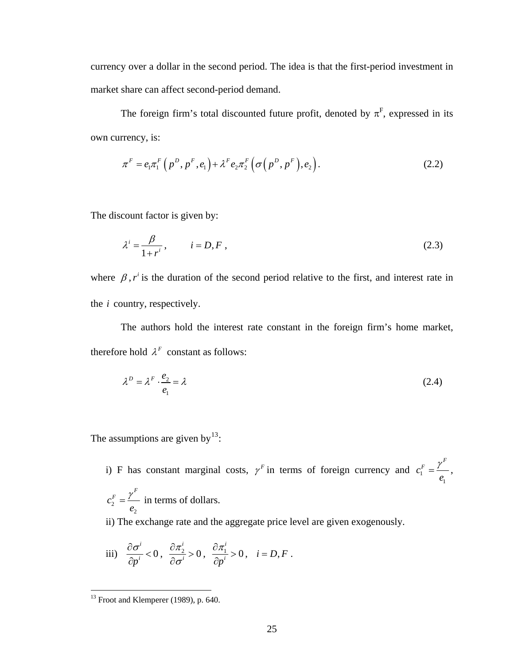currency over a dollar in the second period. The idea is that the first-period investment in market share can affect second-period demand.

The foreign firm's total discounted future profit, denoted by  $\pi^F$ , expressed in its own currency, is:

$$
\pi^F = e_1 \pi_1^F \left( p^D, p^F, e_1 \right) + \lambda^F e_2 \pi_2^F \left( \sigma \left( p^D, p^F \right), e_2 \right). \tag{2.2}
$$

The discount factor is given by:

$$
\lambda^i = \frac{\beta}{1 + r^i}, \qquad i = D, F,
$$
\n(2.3)

where  $\beta$ ,  $r^i$  is the duration of the second period relative to the first, and interest rate in the  $i$  country, respectively.

 The authors hold the interest rate constant in the foreign firm's home market, therefore hold  $\lambda^F$  constant as follows:

$$
\lambda^D = \lambda^F \cdot \frac{e_2}{e_1} = \lambda \tag{2.4}
$$

The assumptions are given by  $13$ :

i) F has constant marginal costs,  $\gamma^F$  in terms of foreign currency and  $c_1^T$ 1  $c_1^F = \frac{\gamma^F}{\gamma}$ *e*  $=\frac{\gamma}{\gamma}$ , 2 2  $c_2^F = \frac{\gamma^F}{\gamma}$ *e*  $=\frac{\gamma}{\gamma}$  in terms of dollars.

ii) The exchange rate and the aggregate price level are given exogenously.

iii) 
$$
\frac{\partial \sigma^i}{\partial p^i} < 0
$$
,  $\frac{\partial \pi_2^i}{\partial \sigma^i} > 0$ ,  $\frac{\partial \pi_1^i}{\partial p^i} > 0$ ,  $i = D, F$ .

<span id="page-33-0"></span> $13$  Froot and Klemperer (1989), p. 640.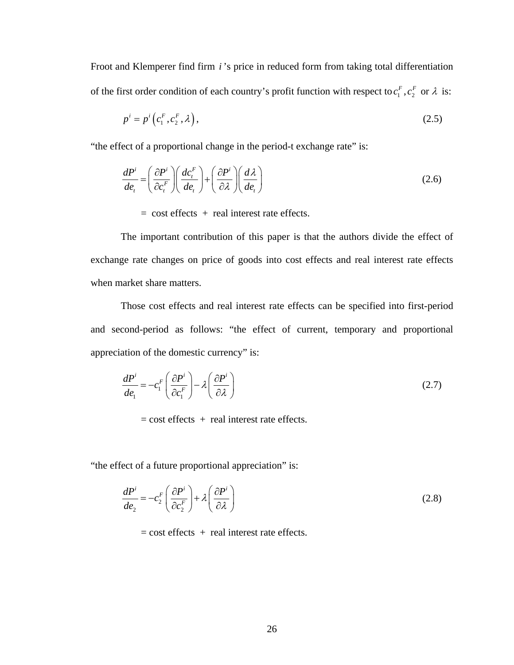Froot and Klemperer find firm *i* 's price in reduced form from taking total differentiation of the first order condition of each country's profit function with respect to  $c_1^F$ ,  $c_2^F$  or  $\lambda$  is:

$$
p^i = p^i\left(c_1^F, c_2^F, \lambda\right),\tag{2.5}
$$

"the effect of a proportional change in the period-t exchange rate" is:

$$
\frac{dP^i}{de_t} = \left(\frac{\partial P^i}{\partial c_t^F}\right) \left(\frac{dc_t^F}{de_t}\right) + \left(\frac{\partial P^i}{\partial \lambda}\right) \left(\frac{d\lambda}{de_t}\right)
$$
\n(2.6)

 $=$  cost effects  $+$  real interest rate effects.

 The important contribution of this paper is that the authors divide the effect of exchange rate changes on price of goods into cost effects and real interest rate effects when market share matters.

 Those cost effects and real interest rate effects can be specified into first-period and second-period as follows: "the effect of current, temporary and proportional appreciation of the domestic currency" is:

$$
\frac{dP^i}{de_1} = -c_1^F \left( \frac{\partial P^i}{\partial c_1^F} \right) - \lambda \left( \frac{\partial P^i}{\partial \lambda} \right) \tag{2.7}
$$

 $=$  cost effects  $+$  real interest rate effects.

"the effect of a future proportional appreciation" is:

$$
\frac{dP^i}{de_2} = -c_2^F \left( \frac{\partial P^i}{\partial c_2^F} \right) + \lambda \left( \frac{\partial P^i}{\partial \lambda} \right)
$$
\n(2.8)

 $=$  cost effects  $+$  real interest rate effects.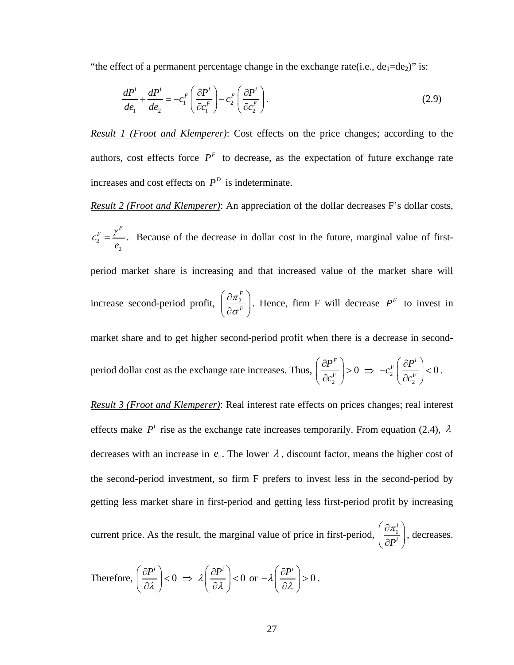"the effect of a permanent percentage change in the exchange rate(i.e.,  $de_1 = de_2$ )" is:

$$
\frac{dP^i}{de_1} + \frac{dP^i}{de_2} = -c_1^F \left(\frac{\partial P^i}{\partial c_1^F}\right) - c_2^F \left(\frac{\partial P^i}{\partial c_2^F}\right).
$$
\n(2.9)

*Result 1 (Froot and Klemperer)*: Cost effects on the price changes; according to the authors, cost effects force  $P<sup>F</sup>$  to decrease, as the expectation of future exchange rate increases and cost effects on  $P^D$  is indeterminate.

*Result 2 (Froot and Klemperer)*: An appreciation of the dollar decreases F's dollar costs,

2 2  $c_2^F = \frac{\gamma^F}{\gamma}$ *e*  $=\frac{\gamma}{\gamma}$ . Because of the decrease in dollar cost in the future, marginal value of firstperiod market share is increasing and that increased value of the market share will increase second-period profit,  $\frac{\partial n_2}{\partial n_1}$ *F F* π σ  $\left(\begin{array}{c} \partial \pi_2^F \end{array}\right)$  $\left(\frac{\partial R_2}{\partial \sigma^F}\right)$ . Hence, firm F will decrease  $P^F$  to invest in market share and to get higher second-period profit when there is a decrease in secondperiod dollar cost as the exchange rate increases. Thus, 2 0 *F F P c*  $\left( \begin{array}{c} \partial P^F \end{array} \right)$  $\left|\frac{U_{\bullet}}{2\sigma^F}\right|>$  $\big(\,\partial c_2^F\,\big)$  $\Rightarrow -c_2^P$ 2 0  $_F\left( \begin{array}{c} \partial P^i \end{array} \right)$ *F*  $c_2^F\left(\frac{\partial P}{\partial r}\right)$ *c*  $\left( \begin{array}{c} \partial P^i \end{array} \right)$  $-c_2^F\left(\frac{c_1}{\partial c_2^F}\right) < 0$ . *Result 3 (Froot and Klemperer)*: Real interest rate effects on prices changes; real interest effects make  $P^i$  rise as the exchange rate increases temporarily. From equation (2.4),  $\lambda$ decreases with an increase in  $e_1$ . The lower  $\lambda$ , discount factor, means the higher cost of

the second-period investment, so firm F prefers to invest less in the second-period by getting less market share in first-period and getting less first-period profit by increasing

current price. As the result, the marginal value of price in first-period,  $\frac{U_i}{V_i}$ *i*  $P^{i}$  $\left(\begin{array}{c} \partial\pi_1^i \end{array}\right)$  $\left(\frac{\partial n_1}{\partial P^i}\right)$ , decreases.

Therefore, 
$$
\left(\frac{\partial P^i}{\partial \lambda}\right) < 0 \implies \lambda \left(\frac{\partial P^i}{\partial \lambda}\right) < 0 \text{ or } -\lambda \left(\frac{\partial P^i}{\partial \lambda}\right) > 0.
$$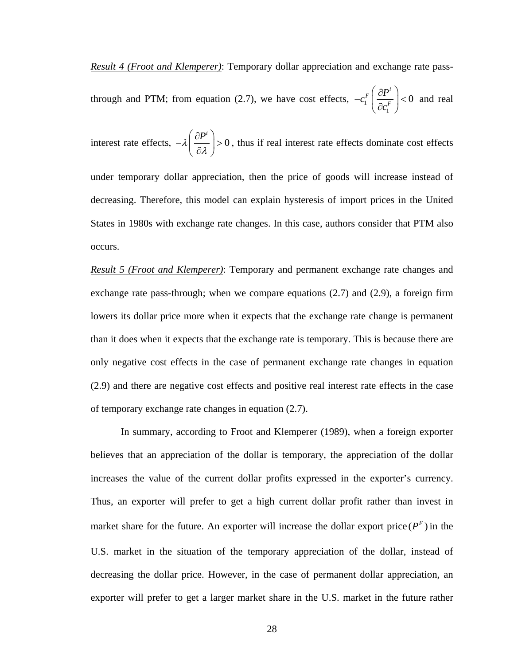*Result 4 (Froot and Klemperer)*: Temporary dollar appreciation and exchange rate pass-

through and PTM; from equation (2.7), we have cost effects,  $-c_1^{\prime}$ 1 0  $_F\left( \begin{array}{c} \partial P^i \end{array} \right)$ *F*  $c_1^F\left(\frac{\partial P}{\partial \rho}\right)$  $-c^{F}_{1}\Bigg(\frac{\partial P^{i}}{\partial c^{F}_{1}}\Bigg)$  $\big(\,\partial c_1^F\,\big)$ and real

interest rate effects,  $-\lambda \left( \frac{\partial P^i}{\partial \lambda} \right) > 0$  $-\lambda\left(\frac{\partial P^i}{\partial\lambda}\right)$  $> 0$ , thus if real interest rate effects dominate cost effects under temporary dollar appreciation, then the price of goods will increase instead of decreasing. Therefore, this model can explain hysteresis of import prices in the United States in 1980s with exchange rate changes. In this case, authors consider that PTM also occurs.

*Result 5 (Froot and Klemperer)*: Temporary and permanent exchange rate changes and exchange rate pass-through; when we compare equations (2.7) and (2.9), a foreign firm lowers its dollar price more when it expects that the exchange rate change is permanent than it does when it expects that the exchange rate is temporary. This is because there are only negative cost effects in the case of permanent exchange rate changes in equation (2.9) and there are negative cost effects and positive real interest rate effects in the case of temporary exchange rate changes in equation (2.7).

In summary, according to Froot and Klemperer (1989), when a foreign exporter believes that an appreciation of the dollar is temporary, the appreciation of the dollar increases the value of the current dollar profits expressed in the exporter's currency. Thus, an exporter will prefer to get a high current dollar profit rather than invest in market share for the future. An exporter will increase the dollar export price  $(P^F)$  in the U.S. market in the situation of the temporary appreciation of the dollar, instead of decreasing the dollar price. However, in the case of permanent dollar appreciation, an exporter will prefer to get a larger market share in the U.S. market in the future rather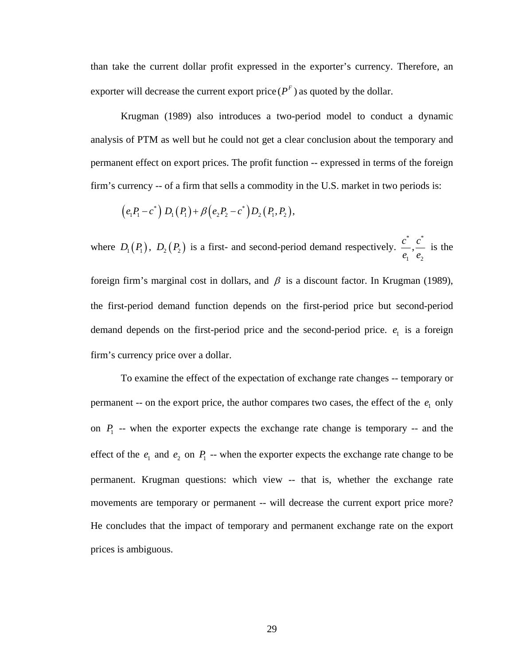than take the current dollar profit expressed in the exporter's currency. Therefore, an exporter will decrease the current export price  $(P^F)$  as quoted by the dollar.

Krugman (1989) also introduces a two-period model to conduct a dynamic analysis of PTM as well but he could not get a clear conclusion about the temporary and permanent effect on export prices. The profit function -- expressed in terms of the foreign firm's currency -- of a firm that sells a commodity in the U.S. market in two periods is:

$$
(e_1P_1-c^*) D_1(P_1) + \beta (e_2P_2-c^*) D_2(P_1,P_2),
$$

where  $D_1(P_1)$ ,  $D_2(P_2)$  is a first- and second-period demand respectively. \* \* 1  $\epsilon_2$  $\frac{c^*}{c}, \frac{c}{c}$ *e e* is the

foreign firm's marginal cost in dollars, and  $\beta$  is a discount factor. In Krugman (1989), the first-period demand function depends on the first-period price but second-period demand depends on the first-period price and the second-period price.  $e_1$  is a foreign firm's currency price over a dollar.

 To examine the effect of the expectation of exchange rate changes -- temporary or permanent -- on the export price, the author compares two cases, the effect of the  $e_1$  only on  $P_1$  -- when the exporter expects the exchange rate change is temporary -- and the effect of the  $e_1$  and  $e_2$  on  $P_1$  -- when the exporter expects the exchange rate change to be permanent. Krugman questions: which view -- that is, whether the exchange rate movements are temporary or permanent -- will decrease the current export price more? He concludes that the impact of temporary and permanent exchange rate on the export prices is ambiguous.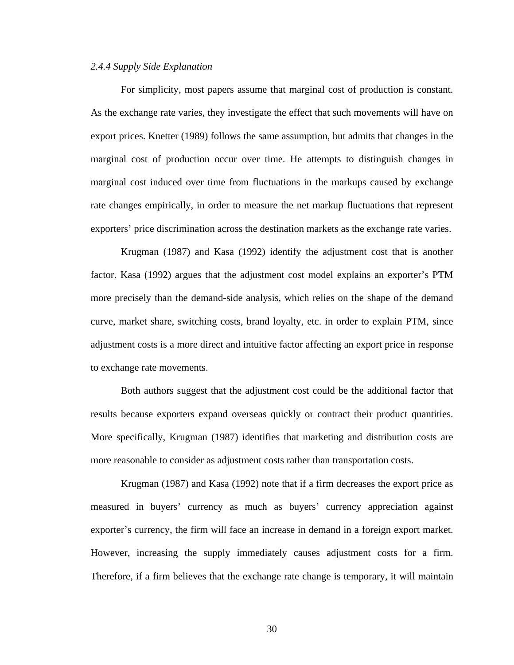#### *2.4.4 Supply Side Explanation*

For simplicity, most papers assume that marginal cost of production is constant. As the exchange rate varies, they investigate the effect that such movements will have on export prices. Knetter (1989) follows the same assumption, but admits that changes in the marginal cost of production occur over time. He attempts to distinguish changes in marginal cost induced over time from fluctuations in the markups caused by exchange rate changes empirically, in order to measure the net markup fluctuations that represent exporters' price discrimination across the destination markets as the exchange rate varies.

Krugman (1987) and Kasa (1992) identify the adjustment cost that is another factor. Kasa (1992) argues that the adjustment cost model explains an exporter's PTM more precisely than the demand-side analysis, which relies on the shape of the demand curve, market share, switching costs, brand loyalty, etc. in order to explain PTM, since adjustment costs is a more direct and intuitive factor affecting an export price in response to exchange rate movements.

Both authors suggest that the adjustment cost could be the additional factor that results because exporters expand overseas quickly or contract their product quantities. More specifically, Krugman (1987) identifies that marketing and distribution costs are more reasonable to consider as adjustment costs rather than transportation costs.

 Krugman (1987) and Kasa (1992) note that if a firm decreases the export price as measured in buyers' currency as much as buyers' currency appreciation against exporter's currency, the firm will face an increase in demand in a foreign export market. However, increasing the supply immediately causes adjustment costs for a firm. Therefore, if a firm believes that the exchange rate change is temporary, it will maintain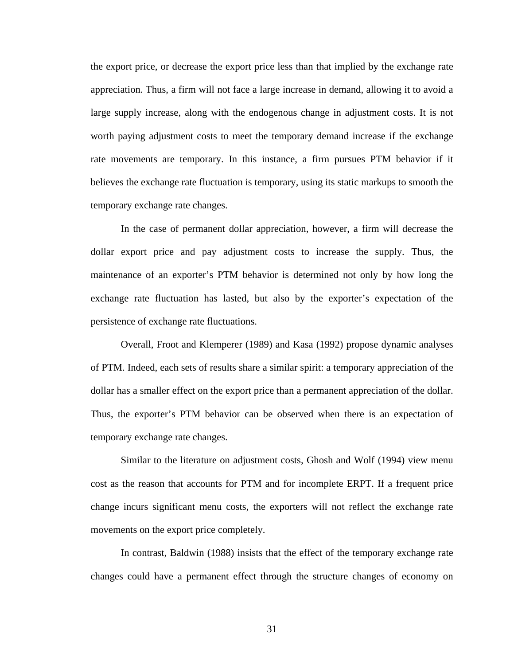the export price, or decrease the export price less than that implied by the exchange rate appreciation. Thus, a firm will not face a large increase in demand, allowing it to avoid a large supply increase, along with the endogenous change in adjustment costs. It is not worth paying adjustment costs to meet the temporary demand increase if the exchange rate movements are temporary. In this instance, a firm pursues PTM behavior if it believes the exchange rate fluctuation is temporary, using its static markups to smooth the temporary exchange rate changes.

In the case of permanent dollar appreciation, however, a firm will decrease the dollar export price and pay adjustment costs to increase the supply. Thus, the maintenance of an exporter's PTM behavior is determined not only by how long the exchange rate fluctuation has lasted, but also by the exporter's expectation of the persistence of exchange rate fluctuations.

Overall, Froot and Klemperer (1989) and Kasa (1992) propose dynamic analyses of PTM. Indeed, each sets of results share a similar spirit: a temporary appreciation of the dollar has a smaller effect on the export price than a permanent appreciation of the dollar. Thus, the exporter's PTM behavior can be observed when there is an expectation of temporary exchange rate changes.

Similar to the literature on adjustment costs, Ghosh and Wolf (1994) view menu cost as the reason that accounts for PTM and for incomplete ERPT. If a frequent price change incurs significant menu costs, the exporters will not reflect the exchange rate movements on the export price completely.

In contrast, Baldwin (1988) insists that the effect of the temporary exchange rate changes could have a permanent effect through the structure changes of economy on

31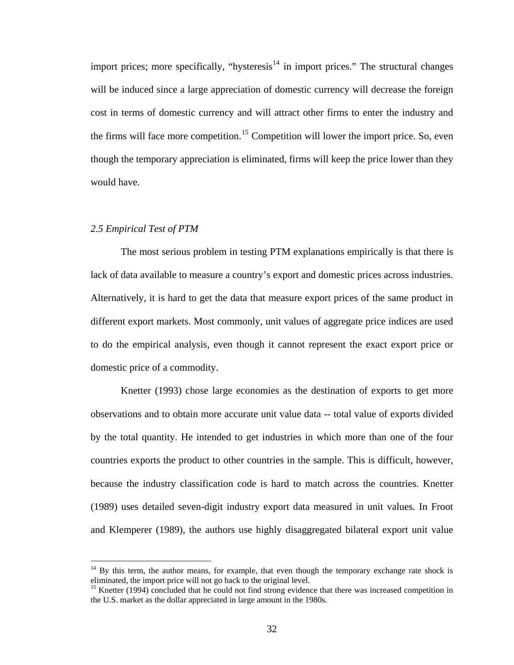import prices; more specifically, "hysteresis $14$  in import prices." The structural changes will be induced since a large appreciation of domestic currency will decrease the foreign cost in terms of domestic currency and will attract other firms to enter the industry and the firms will face more competition.<sup>[15](#page-40-1)</sup> Competition will lower the import price. So, even though the temporary appreciation is eliminated, firms will keep the price lower than they would have.

#### *2.5 Empirical Test of PTM*

 $\overline{a}$ 

The most serious problem in testing PTM explanations empirically is that there is lack of data available to measure a country's export and domestic prices across industries. Alternatively, it is hard to get the data that measure export prices of the same product in different export markets. Most commonly, unit values of aggregate price indices are used to do the empirical analysis, even though it cannot represent the exact export price or domestic price of a commodity.

Knetter (1993) chose large economies as the destination of exports to get more observations and to obtain more accurate unit value data -- total value of exports divided by the total quantity. He intended to get industries in which more than one of the four countries exports the product to other countries in the sample. This is difficult, however, because the industry classification code is hard to match across the countries. Knetter (1989) uses detailed seven-digit industry export data measured in unit values. In Froot and Klemperer (1989), the authors use highly disaggregated bilateral export unit value

<span id="page-40-0"></span> $14$  By this term, the author means, for example, that even though the temporary exchange rate shock is eliminated, the import price will not go back to the original level.

<span id="page-40-1"></span><sup>&</sup>lt;sup>15</sup> Knetter (1994) concluded that he could not find strong evidence that there was increased competition in the U.S. market as the dollar appreciated in large amount in the 1980s.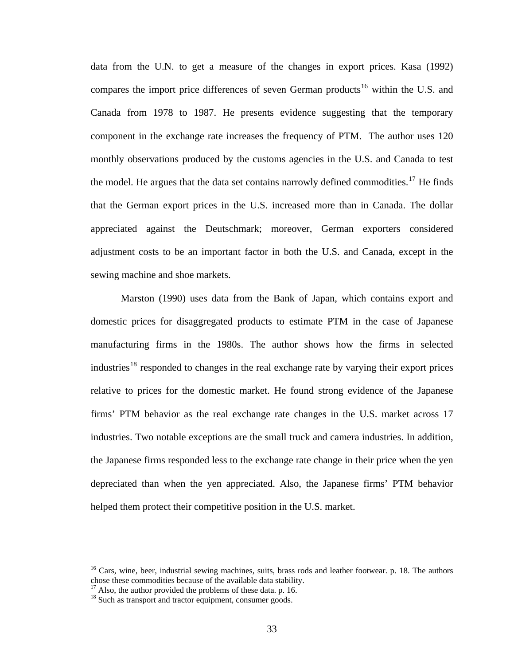data from the U.N. to get a measure of the changes in export prices. Kasa (1992) compares the import price differences of seven German products<sup>[16](#page-41-0)</sup> within the U.S. and Canada from 1978 to 1987. He presents evidence suggesting that the temporary component in the exchange rate increases the frequency of PTM. The author uses 120 monthly observations produced by the customs agencies in the U.S. and Canada to test the model. He argues that the data set contains narrowly defined commodities.<sup>[17](#page-41-1)</sup> He finds that the German export prices in the U.S. increased more than in Canada. The dollar appreciated against the Deutschmark; moreover, German exporters considered adjustment costs to be an important factor in both the U.S. and Canada, except in the sewing machine and shoe markets.

Marston (1990) uses data from the Bank of Japan, which contains export and domestic prices for disaggregated products to estimate PTM in the case of Japanese manufacturing firms in the 1980s. The author shows how the firms in selected industries<sup>[18](#page-41-2)</sup> responded to changes in the real exchange rate by varying their export prices relative to prices for the domestic market. He found strong evidence of the Japanese firms' PTM behavior as the real exchange rate changes in the U.S. market across 17 industries. Two notable exceptions are the small truck and camera industries. In addition, the Japanese firms responded less to the exchange rate change in their price when the yen depreciated than when the yen appreciated. Also, the Japanese firms' PTM behavior helped them protect their competitive position in the U.S. market.

 $\overline{a}$ 

<span id="page-41-0"></span> $16$  Cars, wine, beer, industrial sewing machines, suits, brass rods and leather footwear. p. 18. The authors chose these commodities because of the available data stability.

<span id="page-41-1"></span> $17$  Also, the author provided the problems of these data. p. 16.

<span id="page-41-2"></span><sup>&</sup>lt;sup>18</sup> Such as transport and tractor equipment, consumer goods.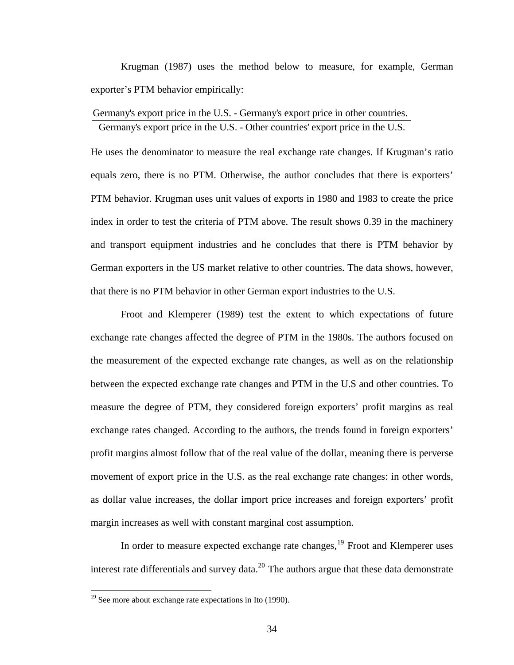Krugman (1987) uses the method below to measure, for example, German exporter's PTM behavior empirically:

Germany's export price in the U.S. - Germany's export price in other countries. Germany's export price in the U.S. - Other countries' export price in the U.S.

He uses the denominator to measure the real exchange rate changes. If Krugman's ratio equals zero, there is no PTM. Otherwise, the author concludes that there is exporters' PTM behavior. Krugman uses unit values of exports in 1980 and 1983 to create the price index in order to test the criteria of PTM above. The result shows 0.39 in the machinery and transport equipment industries and he concludes that there is PTM behavior by German exporters in the US market relative to other countries. The data shows, however, that there is no PTM behavior in other German export industries to the U.S.

Froot and Klemperer (1989) test the extent to which expectations of future exchange rate changes affected the degree of PTM in the 1980s. The authors focused on the measurement of the expected exchange rate changes, as well as on the relationship between the expected exchange rate changes and PTM in the U.S and other countries. To measure the degree of PTM, they considered foreign exporters' profit margins as real exchange rates changed. According to the authors, the trends found in foreign exporters' profit margins almost follow that of the real value of the dollar, meaning there is perverse movement of export price in the U.S. as the real exchange rate changes: in other words, as dollar value increases, the dollar import price increases and foreign exporters' profit margin increases as well with constant marginal cost assumption.

In order to measure expected exchange rate changes,<sup>[19](#page-42-0)</sup> Froot and Klemperer uses interest rate differentials and survey data.<sup>[20](#page-42-1)</sup> The authors argue that these data demonstrate

<span id="page-42-1"></span> $\overline{a}$ 

<span id="page-42-0"></span><sup>&</sup>lt;sup>19</sup> See more about exchange rate expectations in Ito (1990).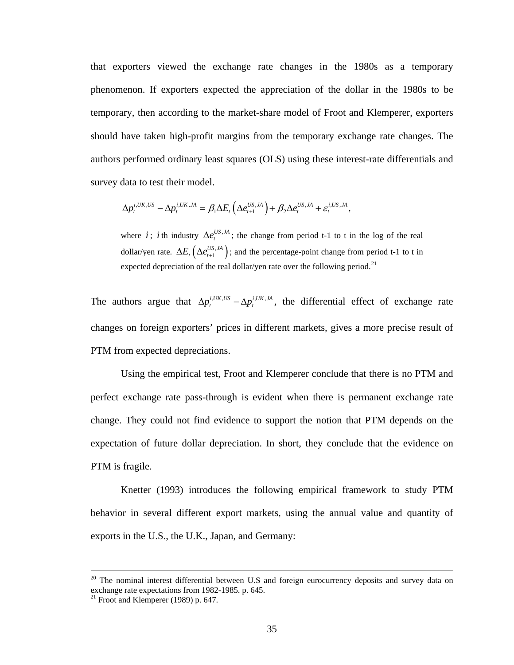that exporters viewed the exchange rate changes in the 1980s as a temporary phenomenon. If exporters expected the appreciation of the dollar in the 1980s to be temporary, then according to the market-share model of Froot and Klemperer, exporters should have taken high-profit margins from the temporary exchange rate changes. The authors performed ordinary least squares (OLS) using these interest-rate differentials and survey data to test their model.

$$
\Delta p_t^{i,UK,US} - \Delta p_t^{i,UK,JA} = \beta_1 \Delta E_t \left( \Delta e_{t+1}^{US,JA} \right) + \beta_2 \Delta e_t^{US,JA} + \varepsilon_t^{i,US,JA},
$$

dollar/yen rate.  $\Delta E_t \left( \Delta e_{t+1}^{US, JA} \right)$ ; and the percentage-point change from period t-1 to t in where *i*; *i* th industry  $\Delta e_i^{US,IA}$ ; the change from period t-1 to t in the log of the real expected depreciation of the real dollar/yen rate over the following period.<sup>[21](#page-43-0)</sup>

The authors argue that  $\Delta p_i^{i, UK, US} - \Delta p_i^{i, UK, JA}$ , the differential effect of exchange rate changes on foreign exporters' prices in different markets, gives a more precise result of PTM from expected depreciations.

Using the empirical test, Froot and Klemperer conclude that there is no PTM and perfect exchange rate pass-through is evident when there is permanent exchange rate change. They could not find evidence to support the notion that PTM depends on the expectation of future dollar depreciation. In short, they conclude that the evidence on PTM is fragile.

Knetter (1993) introduces the following empirical framework to study PTM behavior in several different export markets, using the annual value and quantity of exports in the U.S., the U.K., Japan, and Germany:

 $\overline{a}$ 

 $20$  The nominal interest differential between U.S and foreign eurocurrency deposits and survey data on exchange rate expectations from 1982-1985. p. 645.

<span id="page-43-0"></span> $21$  Froot and Klemperer (1989) p. 647.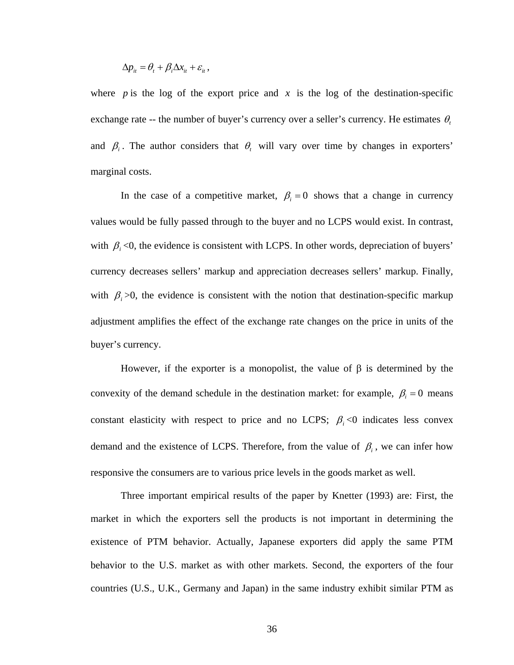$$
\Delta p_{it} = \theta_t + \beta_i \Delta x_{it} + \varepsilon_{it},
$$

where *p* is the log of the export price and *x* is the log of the destination-specific exchange rate -- the number of buyer's currency over a seller's currency. He estimates  $\theta$ , and  $\beta_i$ . The author considers that  $\theta_i$  will vary over time by changes in exporters' marginal costs.

In the case of a competitive market,  $\beta_i = 0$  shows that a change in currency values would be fully passed through to the buyer and no LCPS would exist. In contrast, with  $\beta_i$  <0, the evidence is consistent with LCPS. In other words, depreciation of buyers' currency decreases sellers' markup and appreciation decreases sellers' markup. Finally, with  $\beta_i$  >0, the evidence is consistent with the notion that destination-specific markup adjustment amplifies the effect of the exchange rate changes on the price in units of the buyer's currency.

However, if the exporter is a monopolist, the value of  $\beta$  is determined by the convexity of the demand schedule in the destination market: for example,  $\beta_i = 0$  means constant elasticity with respect to price and no LCPS;  $\beta_i$  <0 indicates less convex demand and the existence of LCPS. Therefore, from the value of  $\beta_i$ , we can infer how responsive the consumers are to various price levels in the goods market as well.

Three important empirical results of the paper by Knetter (1993) are: First, the market in which the exporters sell the products is not important in determining the existence of PTM behavior. Actually, Japanese exporters did apply the same PTM behavior to the U.S. market as with other markets. Second, the exporters of the four countries (U.S., U.K., Germany and Japan) in the same industry exhibit similar PTM as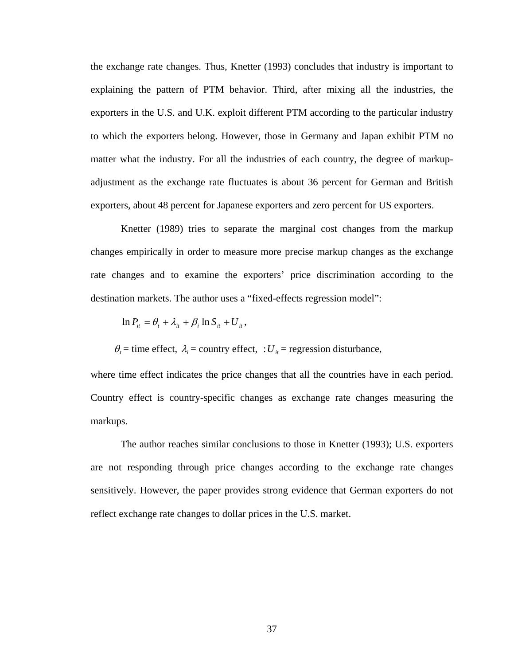the exchange rate changes. Thus, Knetter (1993) concludes that industry is important to explaining the pattern of PTM behavior. Third, after mixing all the industries, the exporters in the U.S. and U.K. exploit different PTM according to the particular industry to which the exporters belong. However, those in Germany and Japan exhibit PTM no matter what the industry. For all the industries of each country, the degree of markupadjustment as the exchange rate fluctuates is about 36 percent for German and British exporters, about 48 percent for Japanese exporters and zero percent for US exporters.

Knetter (1989) tries to separate the marginal cost changes from the markup changes empirically in order to measure more precise markup changes as the exchange rate changes and to examine the exporters' price discrimination according to the destination markets. The author uses a "fixed-effects regression model":

$$
\ln P_{it} = \theta_t + \lambda_{it} + \beta_i \ln S_{it} + U_{it},
$$

 $\theta_t$  = time effect,  $\lambda_i$  = country effect,  $U_i$  = regression disturbance,

where time effect indicates the price changes that all the countries have in each period. Country effect is country-specific changes as exchange rate changes measuring the markups.

 The author reaches similar conclusions to those in Knetter (1993); U.S. exporters are not responding through price changes according to the exchange rate changes sensitively. However, the paper provides strong evidence that German exporters do not reflect exchange rate changes to dollar prices in the U.S. market.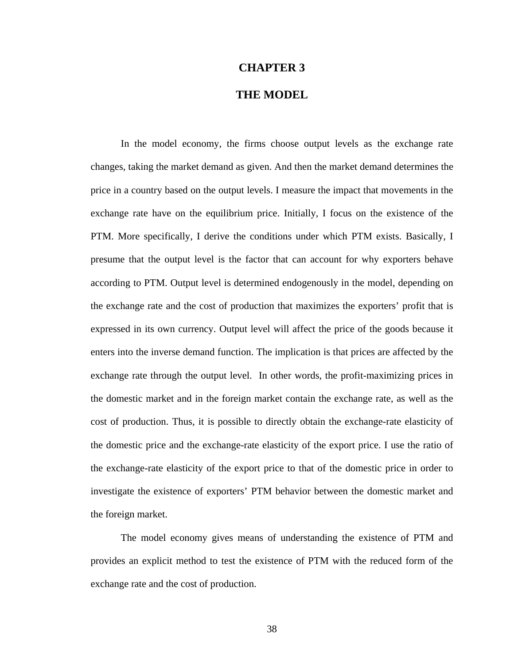## **CHAPTER 3**

## **THE MODEL**

In the model economy, the firms choose output levels as the exchange rate changes, taking the market demand as given. And then the market demand determines the price in a country based on the output levels. I measure the impact that movements in the exchange rate have on the equilibrium price. Initially, I focus on the existence of the PTM. More specifically, I derive the conditions under which PTM exists. Basically, I presume that the output level is the factor that can account for why exporters behave according to PTM. Output level is determined endogenously in the model, depending on the exchange rate and the cost of production that maximizes the exporters' profit that is expressed in its own currency. Output level will affect the price of the goods because it enters into the inverse demand function. The implication is that prices are affected by the exchange rate through the output level. In other words, the profit-maximizing prices in the domestic market and in the foreign market contain the exchange rate, as well as the cost of production. Thus, it is possible to directly obtain the exchange-rate elasticity of the domestic price and the exchange-rate elasticity of the export price. I use the ratio of the exchange-rate elasticity of the export price to that of the domestic price in order to investigate the existence of exporters' PTM behavior between the domestic market and the foreign market.

The model economy gives means of understanding the existence of PTM and provides an explicit method to test the existence of PTM with the reduced form of the exchange rate and the cost of production.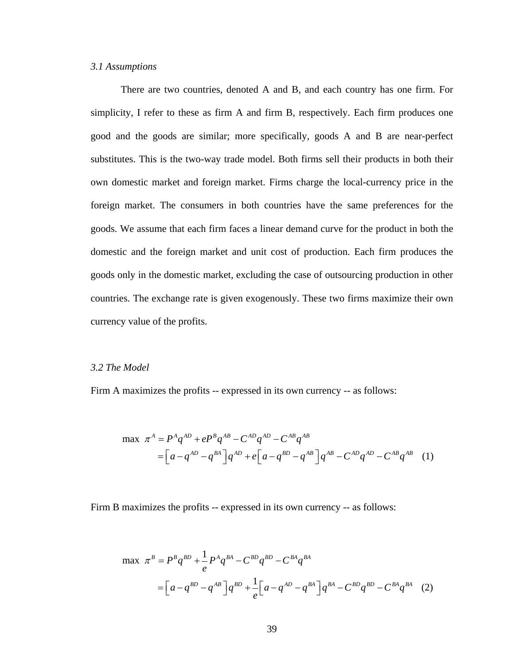## *3.1 Assumptions*

There are two countries, denoted A and B, and each country has one firm. For simplicity, I refer to these as firm A and firm B, respectively. Each firm produces one good and the goods are similar; more specifically, goods A and B are near-perfect substitutes. This is the two-way trade model. Both firms sell their products in both their own domestic market and foreign market. Firms charge the local-currency price in the foreign market. The consumers in both countries have the same preferences for the goods. We assume that each firm faces a linear demand curve for the product in both the domestic and the foreign market and unit cost of production. Each firm produces the goods only in the domestic market, excluding the case of outsourcing production in other countries. The exchange rate is given exogenously. These two firms maximize their own currency value of the profits.

#### *3.2 The Model*

Firm A maximizes the profits -- expressed in its own currency -- as follows:

$$
\max \ \pi^{A} = P^{A}q^{AD} + eP^{B}q^{AB} - C^{AD}q^{AD} - C^{AB}q^{AB}
$$
\n
$$
= \left[a - q^{AD} - q^{BA}\right]q^{AD} + e\left[a - q^{BD} - q^{AB}\right]q^{AB} - C^{AD}q^{AD} - C^{AB}q^{AB} \quad (1)
$$

Firm B maximizes the profits -- expressed in its own currency -- as follows:

$$
\max \ \pi^{B} = P^{B} q^{BD} + \frac{1}{e} P^{A} q^{BA} - C^{BD} q^{BD} - C^{BA} q^{BA}
$$
\n
$$
= \left[ a - q^{BD} - q^{AB} \right] q^{BD} + \frac{1}{e} \left[ a - q^{AD} - q^{BA} \right] q^{BA} - C^{BD} q^{BD} - C^{BA} q^{BA} \tag{2}
$$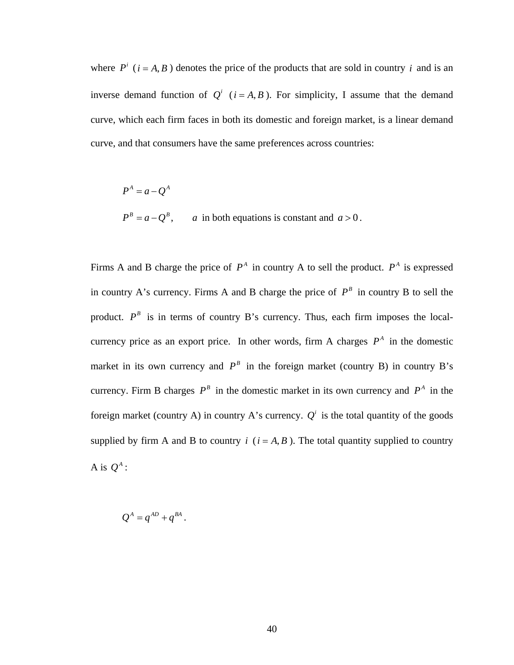where  $P^{i}$  ( $i = A, B$ ) denotes the price of the products that are sold in country *i* and is an inverse demand function of  $Q^{i}$  ( $i = A, B$ ). For simplicity, I assume that the demand curve, which each firm faces in both its domestic and foreign market, is a linear demand curve, and that consumers have the same preferences across countries:

$$
P^A = a - Q^A
$$
  
\n
$$
P^B = a - Q^B, \qquad a \text{ in both equations is constant and } a > 0.
$$

Firms A and B charge the price of  $P^A$  in country A to sell the product.  $P^A$  is expressed in country A's currency. Firms A and B charge the price of  $P^B$  in country B to sell the product.  $P^B$  is in terms of country B's currency. Thus, each firm imposes the localcurrency price as an export price. In other words, firm A charges  $P^A$  in the domestic market in its own currency and  $P^B$  in the foreign market (country B) in country B's currency. Firm B charges  $P^B$  in the domestic market in its own currency and  $P^A$  in the foreign market (country A) in country A's currency.  $Q^i$  is the total quantity of the goods supplied by firm A and B to country  $i$  ( $i = A, B$ ). The total quantity supplied to country A is  $O^A$  :

 $Q^{A} = q^{AD} + q^{BA}$ .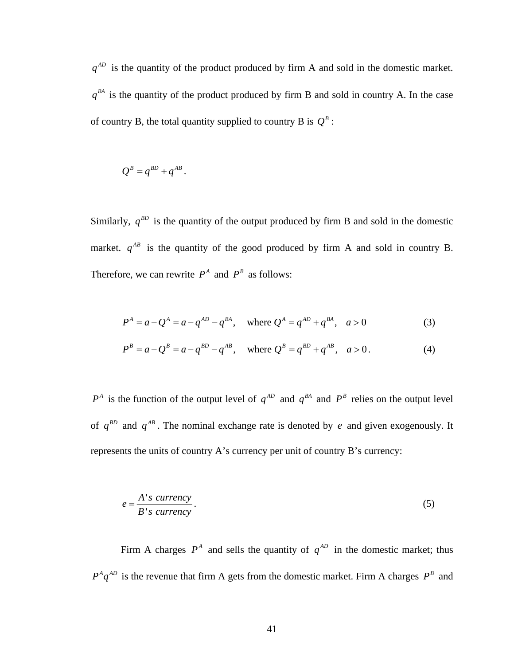$q^{AD}$  is the quantity of the product produced by firm A and sold in the domestic market.  $q^{BA}$  is the quantity of the product produced by firm B and sold in country A. In the case of country B, the total quantity supplied to country B is  $Q^B$ :

$$
Q^B = q^{BD} + q^{AB}.
$$

Similarly,  $q^{BD}$  is the quantity of the output produced by firm B and sold in the domestic market.  $q^{AB}$  is the quantity of the good produced by firm A and sold in country B. Therefore, we can rewrite  $P^A$  and  $P^B$  as follows:

$$
P^{A} = a - Q^{A} = a - q^{AD} - q^{BA}, \text{ where } Q^{A} = q^{AD} + q^{BA}, a > 0
$$
 (3)

$$
P^{B} = a - Q^{B} = a - q^{BD} - q^{AB}, \text{ where } Q^{B} = q^{BD} + q^{AB}, \quad a > 0.
$$
 (4)

 $P^A$  is the function of the output level of  $q^{AD}$  and  $q^{BA}$  and  $P^B$  relies on the output level of  $q^{BD}$  and  $q^{AB}$ . The nominal exchange rate is denoted by e and given exogenously. It represents the units of country A's currency per unit of country B's currency:

$$
e = \frac{A's \; \text{currency}}{B's \; \text{currency}}.\tag{5}
$$

Firm A charges  $P^A$  and sells the quantity of  $q^{AD}$  in the domestic market; thus  $P^A q^{AD}$  is the revenue that firm A gets from the domestic market. Firm A charges  $P^B$  and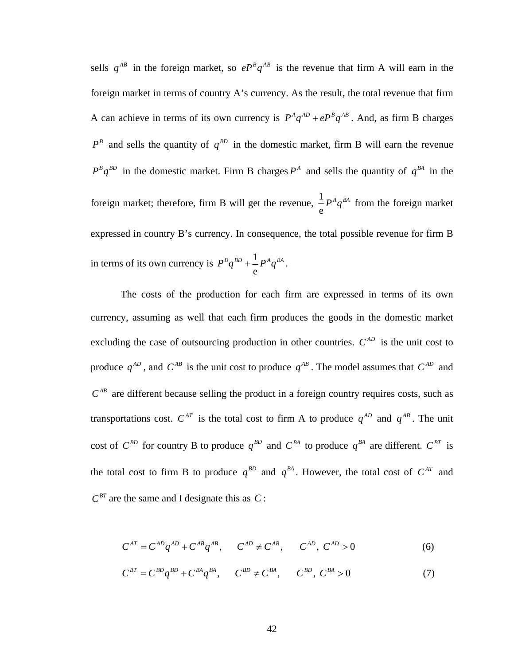sells  $q^{AB}$  in the foreign market, so  $e^{p^B}q^{AB}$  is the revenue that firm A will earn in the foreign market in terms of country A's currency. As the result, the total revenue that firm A can achieve in terms of its own currency is  $P^A q^{AD} + eP^B q^{AB}$ . And, as firm B charges  $P^B$  and sells the quantity of  $q^{BD}$  in the domestic market, firm B will earn the revenue  $P^B q^{BD}$  in the domestic market. Firm B charges  $P^A$  and sells the quantity of  $q^{BA}$  in the foreign market; therefore, firm B will get the revenue,  $\frac{1}{x}$ e  $P^A q^{BA}$  from the foreign market expressed in country B's currency. In consequence, the total possible revenue for firm B in terms of its own currency is  $P^B q^{BD} + \frac{1}{2}$ e  $P^B q^{BD} + \frac{1}{\tau} P^A q^{BA}$ .

The costs of the production for each firm are expressed in terms of its own currency, assuming as well that each firm produces the goods in the domestic market excluding the case of outsourcing production in other countries.  $C^{AD}$  is the unit cost to produce  $q^{AD}$ , and  $C^{AB}$  is the unit cost to produce  $q^{AB}$ . The model assumes that  $C^{AD}$  and  $C^{AB}$  are different because selling the product in a foreign country requires costs, such as transportations cost.  $C^{AT}$  is the total cost to firm A to produce  $q^{AD}$  and  $q^{AB}$ . The unit cost of  $C^{BD}$  for country B to produce  $q^{BD}$  and  $C^{BA}$  to produce  $q^{BA}$  are different.  $C^{BT}$  is the total cost to firm B to produce  $q^{BD}$  and  $q^{BA}$ . However, the total cost of  $C^{AT}$  and  $C^{BT}$  are the same and I designate this as C:

$$
C^{AT} = C^{AD}q^{AD} + C^{AB}q^{AB}, \qquad C^{AD} \neq C^{AB}, \qquad C^{AD}, C^{AD} > 0
$$
 (6)

$$
C^{BT} = C^{BD}q^{BD} + C^{BA}q^{BA}, \qquad C^{BD} \neq C^{BA}, \qquad C^{BD}, C^{BA} > 0 \tag{7}
$$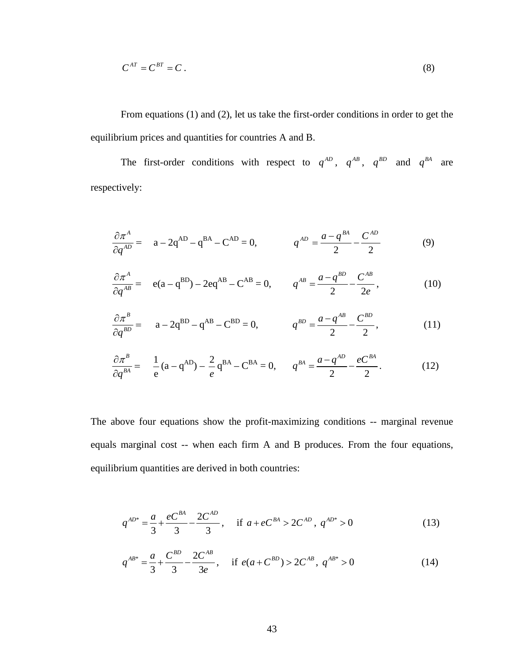$$
C^{AT} = C^{BT} = C \tag{8}
$$

From equations (1) and (2), let us take the first-order conditions in order to get the equilibrium prices and quantities for countries A and B.

The first-order conditions with respect to  $q^{AD}$ ,  $q^{AB}$ ,  $q^{BD}$  and  $q^{BA}$  are respectively:

$$
\frac{\partial \pi^A}{\partial q^{AD}} = a - 2q^{AD} - q^{BA} - C^{AD} = 0, \qquad q^{AD} = \frac{a - q^{BA}}{2} - \frac{C^{AD}}{2} \tag{9}
$$

$$
\frac{\partial \pi^A}{\partial q^{AB}} = e(a - q^{BD}) - 2eq^{AB} - C^{AB} = 0, \qquad q^{AB} = \frac{a - q^{BD}}{2} - \frac{C^{AB}}{2e}, \qquad (10)
$$

$$
\frac{\partial \pi^B}{\partial q^{BD}} = a - 2q^{BD} - q^{AB} - C^{BD} = 0, \qquad q^{BD} = \frac{a - q^{AB}}{2} - \frac{C^{BD}}{2}, \qquad (11)
$$

$$
\frac{\partial \pi^B}{\partial q^{BA}} = \frac{1}{e}(a - q^{AD}) - \frac{2}{e}q^{BA} - C^{BA} = 0, \qquad q^{BA} = \frac{a - q^{AD}}{2} - \frac{eC^{BA}}{2}.
$$
 (12)

The above four equations show the profit-maximizing conditions -- marginal revenue equals marginal cost -- when each firm A and B produces. From the four equations, equilibrium quantities are derived in both countries:

$$
q^{AD^*} = \frac{a}{3} + \frac{eC^{BA}}{3} - \frac{2C^{AD}}{3}, \quad \text{if } a + eC^{BA} > 2C^{AD}, \ q^{AD^*} > 0 \tag{13}
$$

$$
q^{AB^*} = \frac{a}{3} + \frac{C^{BD}}{3} - \frac{2C^{AB}}{3e}, \quad \text{if } e(a + C^{BD}) > 2C^{AB}, \ q^{AB^*} > 0 \tag{14}
$$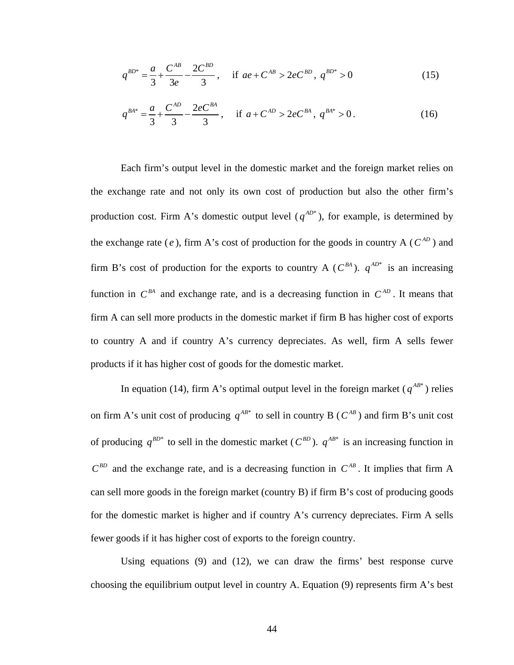$$
q^{BD^*} = \frac{a}{3} + \frac{C^{AB}}{3e} - \frac{2C^{BD}}{3}, \quad \text{if } ae + C^{AB} > 2e^{BD}, \ q^{BD^*} > 0 \tag{15}
$$

$$
q^{BA^*} = \frac{a}{3} + \frac{C^{AD}}{3} - \frac{2eC^{BA}}{3}, \quad \text{if } a + C^{AD} > 2eC^{BA}, \ q^{BA^*} > 0. \tag{16}
$$

Each firm's output level in the domestic market and the foreign market relies on the exchange rate and not only its own cost of production but also the other firm's production cost. Firm A's domestic output level  $(q^{AD^*})$ , for example, is determined by the exchange rate (*e*), firm A's cost of production for the goods in country A ( $C^{AD}$ ) and firm B's cost of production for the exports to country A ( $C^{BA}$ ).  $q^{AD^*}$  is an increasing function in  $C^{BA}$  and exchange rate, and is a decreasing function in  $C^{AD}$ . It means that firm A can sell more products in the domestic market if firm B has higher cost of exports to country A and if country A's currency depreciates. As well, firm A sells fewer products if it has higher cost of goods for the domestic market.

In equation (14), firm A's optimal output level in the foreign market  $(q^{AB^*})$  relies on firm A's unit cost of producing  $q^{AB^*}$  to sell in country B ( $C^{AB}$ ) and firm B's unit cost of producing  $q^{BD^*}$  to sell in the domestic market ( $C^{BD}$ ).  $q^{AB^*}$  is an increasing function in  $C^{BD}$  and the exchange rate, and is a decreasing function in  $C^{AB}$ . It implies that firm A can sell more goods in the foreign market (country B) if firm B's cost of producing goods for the domestic market is higher and if country A's currency depreciates. Firm A sells fewer goods if it has higher cost of exports to the foreign country.

Using equations (9) and (12), we can draw the firms' best response curve choosing the equilibrium output level in country A. Equation (9) represents firm A's best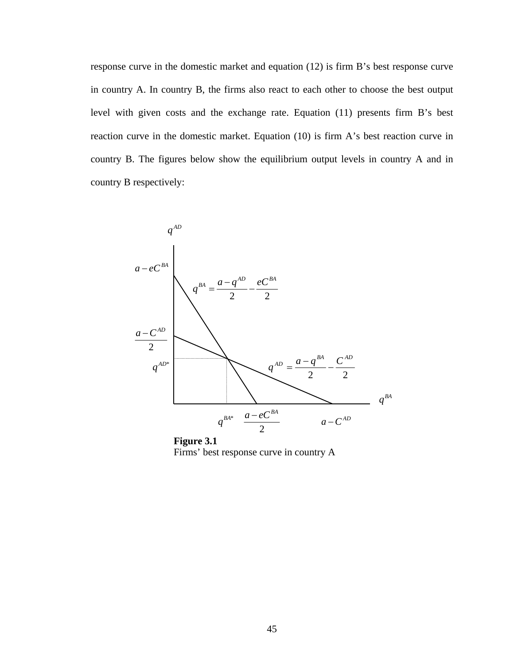response curve in the domestic market and equation (12) is firm B's best response curve in country A. In country B, the firms also react to each other to choose the best output level with given costs and the exchange rate. Equation (11) presents firm B's best reaction curve in the domestic market. Equation (10) is firm A's best reaction curve in country B. The figures below show the equilibrium output levels in country A and in country B respectively:



 **Figure 3.1**  Firms' best response curve in country A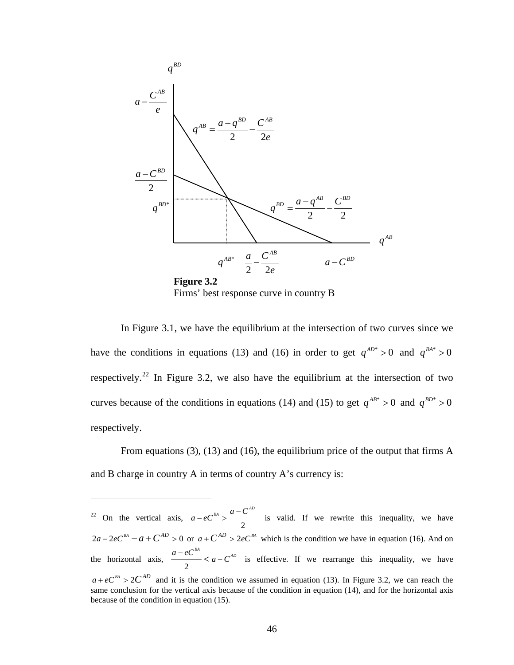

In Figure 3.1, we have the equilibrium at the intersection of two curves since we have the conditions in equations (13) and (16) in order to get  $q^{AD^*} > 0$  and  $q^{BA^*} > 0$ respectively.<sup>[22](#page-54-0)</sup> In Figure 3.2, we also have the equilibrium at the intersection of two curves because of the conditions in equations (14) and (15) to get  $q^{AB^*} > 0$  and  $q^{BD^*} > 0$ respectively.

From equations (3), (13) and (16), the equilibrium price of the output that firms A and B charge in country A in terms of country A's currency is:

<u>.</u>

<span id="page-54-0"></span> $22$  On the vertical axis, 2  $a - eC^{BA} > \frac{a - C^{AD}}{A}$  is valid. If we rewrite this inequality, we have  $2a - 2eC^{BA} - a + C^{AD} > 0$  or  $a + C^{AD} > 2eC^{BA}$  which is the condition we have in equation (16). And on the horizontal axis, 2  $\frac{a - eC^{BA}}{a - eC^{AB}}$  is effective. If we rearrange this inequality, we have  $a + eC<sup>BA</sup> > 2C<sup>AD</sup>$  and it is the condition we assumed in equation (13). In Figure 3.2, we can reach the same conclusion for the vertical axis because of the condition in equation (14), and for the horizontal axis because of the condition in equation (15).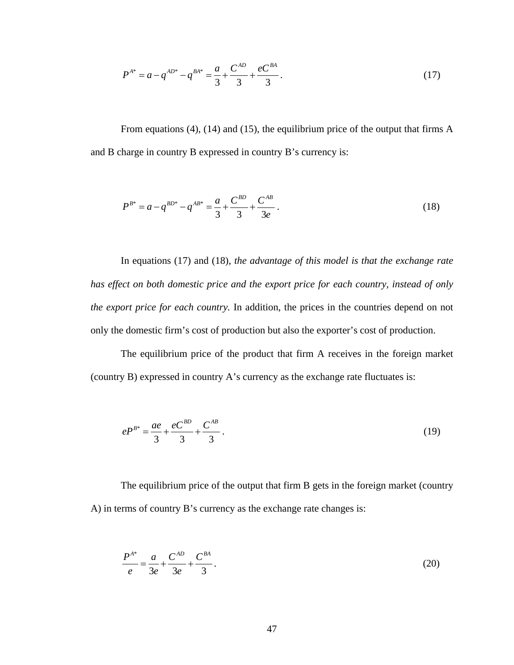$$
P^{A^*} = a - q^{AD^*} - q^{BA^*} = \frac{a}{3} + \frac{C^{AD}}{3} + \frac{eC^{BA}}{3}.
$$
 (17)

From equations (4), (14) and (15), the equilibrium price of the output that firms A and B charge in country B expressed in country B's currency is:

$$
P^{B^*} = a - q^{BD^*} - q^{AB^*} = \frac{a}{3} + \frac{C^{BD}}{3} + \frac{C^{AB}}{3e}.
$$
 (18)

In equations (17) and (18), *the advantage of this model is that the exchange rate has effect on both domestic price and the export price for each country, instead of only the export price for each country.* In addition, the prices in the countries depend on not only the domestic firm's cost of production but also the exporter's cost of production.

The equilibrium price of the product that firm A receives in the foreign market (country B) expressed in country A's currency as the exchange rate fluctuates is:

$$
eP^{B^*} = \frac{ae}{3} + \frac{eC^{BD}}{3} + \frac{C^{AB}}{3} \,. \tag{19}
$$

The equilibrium price of the output that firm B gets in the foreign market (country A) in terms of country B's currency as the exchange rate changes is:

$$
\frac{P^{A^*}}{e} = \frac{a}{3e} + \frac{C^{AD}}{3e} + \frac{C^{BA}}{3}.
$$
 (20)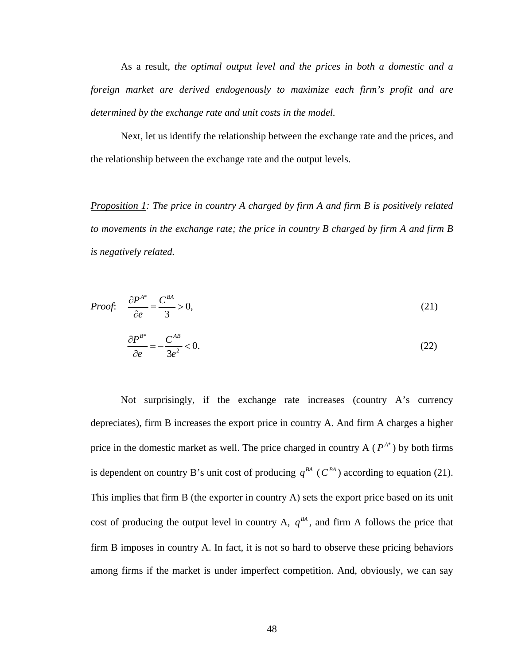As a result, *the optimal output level and the prices in both a domestic and a foreign market are derived endogenously to maximize each firm's profit and are determined by the exchange rate and unit costs in the model.*

Next, let us identify the relationship between the exchange rate and the prices, and the relationship between the exchange rate and the output levels.

*Proposition 1: The price in country A charged by firm A and firm B is positively related to movements in the exchange rate; the price in country B charged by firm A and firm B is negatively related.* 

*Proof*: 
$$
\frac{\partial P^{A^*}}{\partial e} = \frac{C^{BA}}{3} > 0,
$$
 (21)

$$
\frac{\partial P^{B^*}}{\partial e} = -\frac{C^{AB}}{3e^2} < 0. \tag{22}
$$

Not surprisingly, if the exchange rate increases (country A's currency depreciates), firm B increases the export price in country A. And firm A charges a higher price in the domestic market as well. The price charged in country  $A(P^{A^*})$  by both firms is dependent on country B's unit cost of producing  $q^{BA}$  ( $C^{BA}$ ) according to equation (21). This implies that firm B (the exporter in country A) sets the export price based on its unit cost of producing the output level in country A,  $q^{BA}$ , and firm A follows the price that firm B imposes in country A. In fact, it is not so hard to observe these pricing behaviors among firms if the market is under imperfect competition. And, obviously, we can say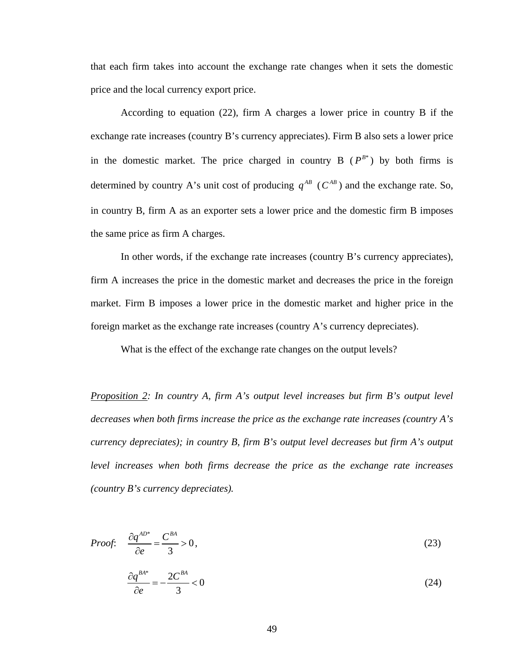that each firm takes into account the exchange rate changes when it sets the domestic price and the local currency export price.

According to equation (22), firm A charges a lower price in country B if the exchange rate increases (country B's currency appreciates). Firm B also sets a lower price in the domestic market. The price charged in country  $B(P^{B^*})$  by both firms is determined by country A's unit cost of producing  $q^{AB}$  ( $C^{AB}$ ) and the exchange rate. So, in country B, firm A as an exporter sets a lower price and the domestic firm B imposes the same price as firm A charges.

In other words, if the exchange rate increases (country B's currency appreciates), firm A increases the price in the domestic market and decreases the price in the foreign market. Firm B imposes a lower price in the domestic market and higher price in the foreign market as the exchange rate increases (country A's currency depreciates).

What is the effect of the exchange rate changes on the output levels?

*Proposition 2: In country A, firm A's output level increases but firm B's output level decreases when both firms increase the price as the exchange rate increases (country A's currency depreciates); in country B, firm B's output level decreases but firm A's output level increases when both firms decrease the price as the exchange rate increases (country B's currency depreciates).* 

Proof: 
$$
\frac{\partial q^{AD^*}}{\partial e} = \frac{C^{BA}}{3} > 0,
$$
 (23)  

$$
\frac{\partial q^{BA^*}}{\partial e} = -\frac{2C^{BA}}{3} < 0
$$
 (24)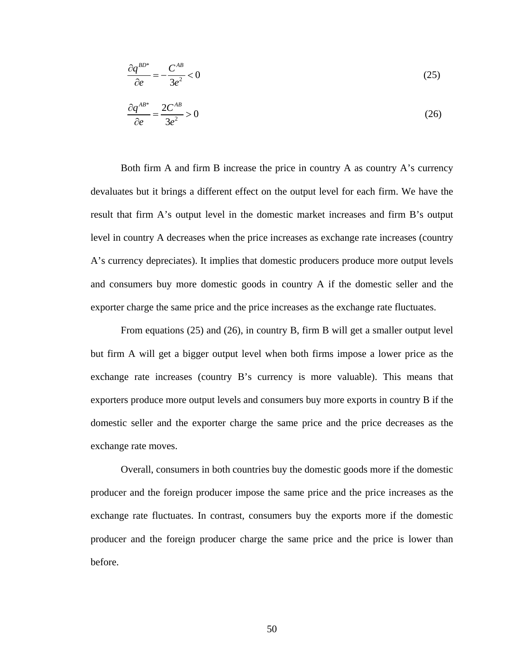$$
\frac{\partial q^{BD^*}}{\partial e} = -\frac{C^{AB}}{3e^2} < 0\tag{25}
$$

$$
\frac{\partial q^{AB^*}}{\partial e} = \frac{2C^{AB}}{3e^2} > 0\tag{26}
$$

Both firm A and firm B increase the price in country A as country A's currency devaluates but it brings a different effect on the output level for each firm. We have the result that firm A's output level in the domestic market increases and firm B's output level in country A decreases when the price increases as exchange rate increases (country A's currency depreciates). It implies that domestic producers produce more output levels and consumers buy more domestic goods in country A if the domestic seller and the exporter charge the same price and the price increases as the exchange rate fluctuates.

From equations (25) and (26), in country B, firm B will get a smaller output level but firm A will get a bigger output level when both firms impose a lower price as the exchange rate increases (country B's currency is more valuable). This means that exporters produce more output levels and consumers buy more exports in country B if the domestic seller and the exporter charge the same price and the price decreases as the exchange rate moves.

Overall, consumers in both countries buy the domestic goods more if the domestic producer and the foreign producer impose the same price and the price increases as the exchange rate fluctuates. In contrast, consumers buy the exports more if the domestic producer and the foreign producer charge the same price and the price is lower than before.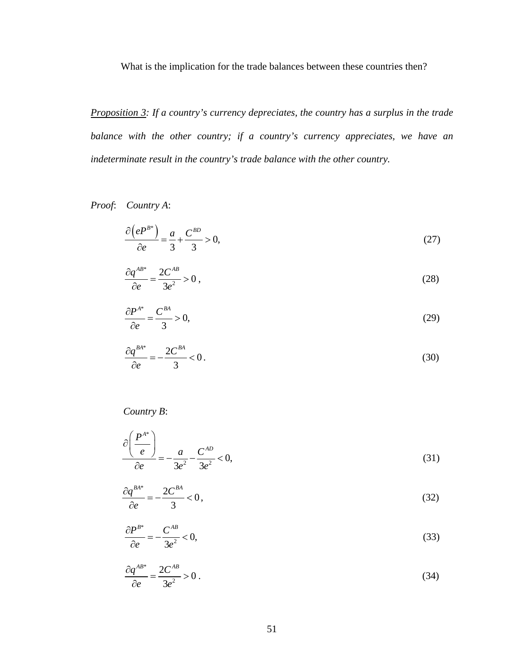What is the implication for the trade balances between these countries then?

*Proposition 3: If a country's currency depreciates, the country has a surplus in the trade balance with the other country; if a country's currency appreciates, we have an indeterminate result in the country's trade balance with the other country.* 

*Proof*: *Country A*:

$$
\frac{\partial \left(e^{P^{B^*}}\right)}{\partial e} = \frac{a}{3} + \frac{C^{BD}}{3} > 0,\tag{27}
$$

$$
\frac{\partial q^{AB^*}}{\partial e} = \frac{2C^{AB}}{3e^2} > 0,
$$
\n(28)

$$
\frac{\partial P^{A^*}}{\partial e} = \frac{C^{BA}}{3} > 0,\tag{29}
$$

$$
\frac{\partial q^{BA^*}}{\partial e} = -\frac{2C^{BA}}{3} < 0. \tag{30}
$$

#### *Country B*:

$$
\frac{\partial \left(\frac{P^{A^*}}{e}\right)}{\partial e} = -\frac{a}{3e^2} - \frac{C^{AD}}{3e^2} < 0,
$$
\n(31)

$$
\frac{\partial q^{BA^*}}{\partial e} = -\frac{2C^{BA}}{3} < 0\,,\tag{32}
$$

$$
\frac{\partial P^{B^*}}{\partial e} = -\frac{C^{AB}}{3e^2} < 0,\tag{33}
$$

$$
\frac{\partial q^{AB^*}}{\partial e} = \frac{2C^{AB}}{3e^2} > 0.
$$
\n(34)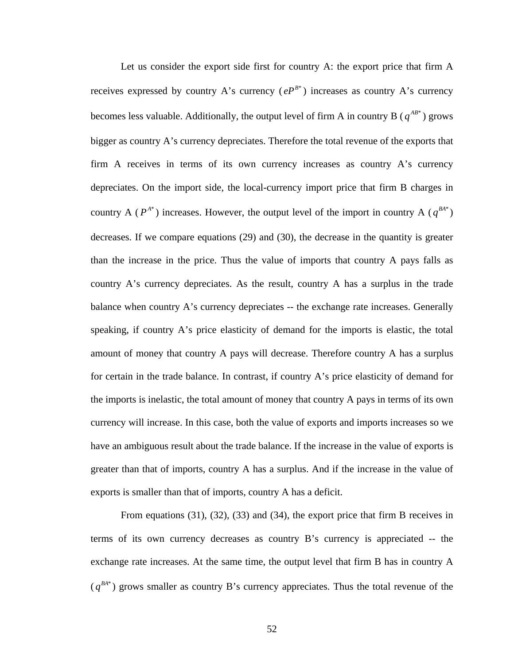Let us consider the export side first for country A: the export price that firm A receives expressed by country A's currency  $(eP^{B*})$  increases as country A's currency becomes less valuable. Additionally, the output level of firm A in country B ( $q^{AB^*}$ ) grows bigger as country A's currency depreciates. Therefore the total revenue of the exports that firm A receives in terms of its own currency increases as country A's currency depreciates. On the import side, the local-currency import price that firm B charges in country A ( $P^{A^*}$ ) increases. However, the output level of the import in country A ( $q^{BA^*}$ ) decreases. If we compare equations (29) and (30), the decrease in the quantity is greater than the increase in the price. Thus the value of imports that country A pays falls as country A's currency depreciates. As the result, country A has a surplus in the trade balance when country A's currency depreciates -- the exchange rate increases. Generally speaking, if country A's price elasticity of demand for the imports is elastic, the total amount of money that country A pays will decrease. Therefore country A has a surplus for certain in the trade balance. In contrast, if country A's price elasticity of demand for the imports is inelastic, the total amount of money that country A pays in terms of its own currency will increase. In this case, both the value of exports and imports increases so we have an ambiguous result about the trade balance. If the increase in the value of exports is greater than that of imports, country A has a surplus. And if the increase in the value of exports is smaller than that of imports, country A has a deficit.

From equations (31), (32), (33) and (34), the export price that firm B receives in terms of its own currency decreases as country B's currency is appreciated -- the exchange rate increases. At the same time, the output level that firm B has in country A  $(q^{BA*})$  grows smaller as country B's currency appreciates. Thus the total revenue of the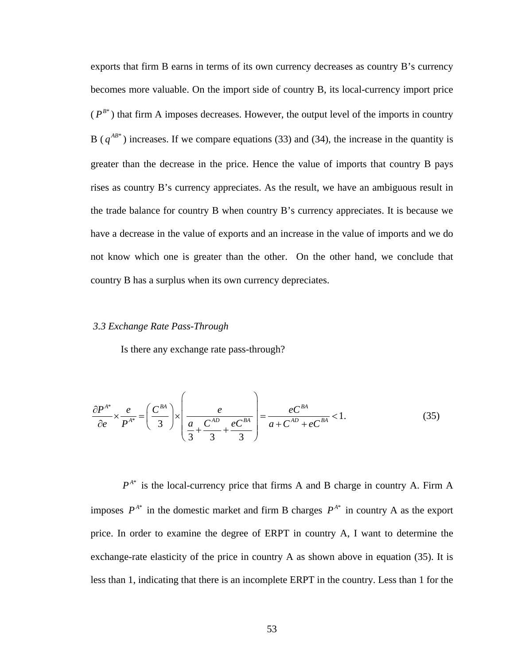exports that firm B earns in terms of its own currency decreases as country B's currency becomes more valuable. On the import side of country B, its local-currency import price  $(P^{B*})$  that firm A imposes decreases. However, the output level of the imports in country B ( $q^{AB*}$ ) increases. If we compare equations (33) and (34), the increase in the quantity is greater than the decrease in the price. Hence the value of imports that country B pays rises as country B's currency appreciates. As the result, we have an ambiguous result in the trade balance for country B when country B's currency appreciates. It is because we have a decrease in the value of exports and an increase in the value of imports and we do not know which one is greater than the other. On the other hand, we conclude that country B has a surplus when its own currency depreciates.

#### *3.3 Exchange Rate Pass-Through*

Is there any exchange rate pass-through?

$$
\frac{\partial P^{A^*}}{\partial e} \times \frac{e}{P^{A^*}} = \left(\frac{C^{BA}}{3}\right) \times \left(\frac{e}{\frac{a}{3} + \frac{C^{AD}}{3} + \frac{eC^{BA}}{3}}\right) = \frac{eC^{BA}}{a + C^{AD} + eC^{BA}} < 1.
$$
 (35)

 $P^{A^*}$  is the local-currency price that firms A and B charge in country A. Firm A imposes  $P^{A^*}$  in the domestic market and firm B charges  $P^{A^*}$  in country A as the export price. In order to examine the degree of ERPT in country A, I want to determine the exchange-rate elasticity of the price in country A as shown above in equation (35). It is less than 1, indicating that there is an incomplete ERPT in the country. Less than 1 for the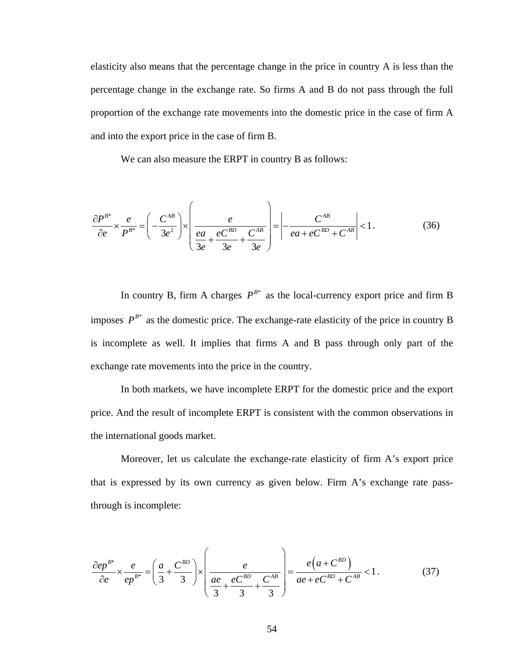elasticity also means that the percentage change in the price in country A is less than the percentage change in the exchange rate. So firms A and B do not pass through the full proportion of the exchange rate movements into the domestic price in the case of firm A and into the export price in the case of firm B.

We can also measure the ERPT in country B as follows:

$$
\frac{\partial P^{B^*}}{\partial e} \times \frac{e}{P^{B^*}} = \left(-\frac{C^{AB}}{3e^2}\right) \times \left(\frac{e}{\frac{ea}{3e} + \frac{eC^{BD}}{3e} + \frac{C^{AB}}{3e}}\right) = \left|-\frac{C^{AB}}{ea + eC^{BD} + C^{AB}}\right| < 1. \tag{36}
$$

In country B, firm A charges  $P^{B*}$  as the local-currency export price and firm B imposes  $P^{B^*}$  as the domestic price. The exchange-rate elasticity of the price in country B is incomplete as well. It implies that firms A and B pass through only part of the exchange rate movements into the price in the country.

 In both markets, we have incomplete ERPT for the domestic price and the export price. And the result of incomplete ERPT is consistent with the common observations in the international goods market.

Moreover, let us calculate the exchange-rate elasticity of firm A's export price that is expressed by its own currency as given below. Firm A's exchange rate passthrough is incomplete:

$$
\frac{\partial e p^{B^*}}{\partial e} \times \frac{e}{e p^{B^*}} = \left(\frac{a}{3} + \frac{C^{BD}}{3}\right) \times \left(\frac{e}{\frac{ae}{3} + \frac{eC^{BD}}{3} + \frac{C^{AB}}{3}}\right) = \frac{e(a + C^{BD})}{ae + eC^{BD} + C^{AB}} < 1.
$$
 (37)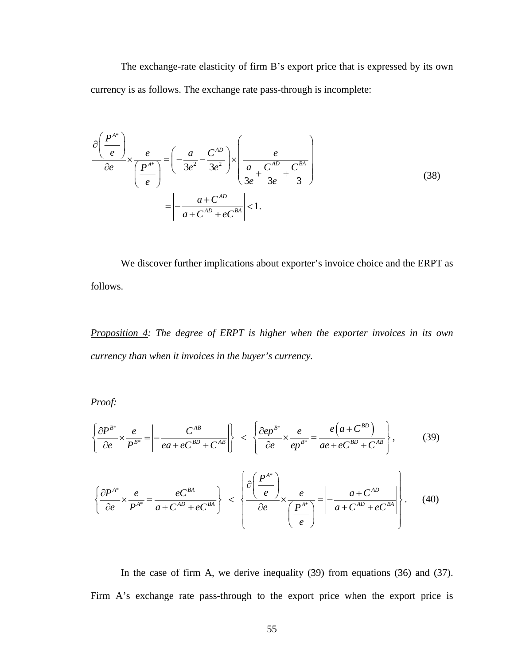The exchange-rate elasticity of firm B's export price that is expressed by its own currency is as follows. The exchange rate pass-through is incomplete:

$$
\frac{\partial \left(\frac{P^{A^*}}{e}\right)}{\partial e} \times \frac{e}{\left(\frac{P^{A^*}}{e}\right)} = \left(-\frac{a}{3e^2} - \frac{C^{AD}}{3e^2}\right) \times \left(\frac{e}{\frac{a}{3e} + \frac{C^{AD}}{3e} + \frac{C^{BA}}{3}}\right)
$$
\n
$$
= \left|-\frac{a + C^{AD}}{a + C^{AD} + eC^{BA}}\right| < 1.
$$
\n(38)

We discover further implications about exporter's invoice choice and the ERPT as follows.

*Proposition 4: The degree of ERPT is higher when the exporter invoices in its own currency than when it invoices in the buyer's currency.* 

*Proof:* 

$$
\left\{\frac{\partial P^{B^*}}{\partial e} \times \frac{e}{P^{B^*}} = \left| -\frac{C^{AB}}{ea + eC^{BD} + C^{AB}} \right| \right\} \ < \ \left\{\frac{\partial e p^{B^*}}{\partial e} \times \frac{e}{e p^{B^*}} = \frac{e\left(a + C^{BD}\right)}{ae + eC^{BD} + C^{AB}} \right\},\tag{39}
$$

$$
\left\{\frac{\partial P^{A^*}}{\partial e} \times \frac{e}{P^{A^*}} = \frac{eC^{BA}}{a + C^{AD} + eC^{BA}}\right\} < \left\{\frac{\partial \left(\frac{P^{A^*}}{e}\right)}{\partial e} \times \frac{e}{\left(\frac{P^{A^*}}{e}\right)} = \left| -\frac{a + C^{AD}}{a + C^{AD} + eC^{BA}} \right| \right\}.
$$
\n(40)

In the case of firm A, we derive inequality (39) from equations (36) and (37). Firm A's exchange rate pass-through to the export price when the export price is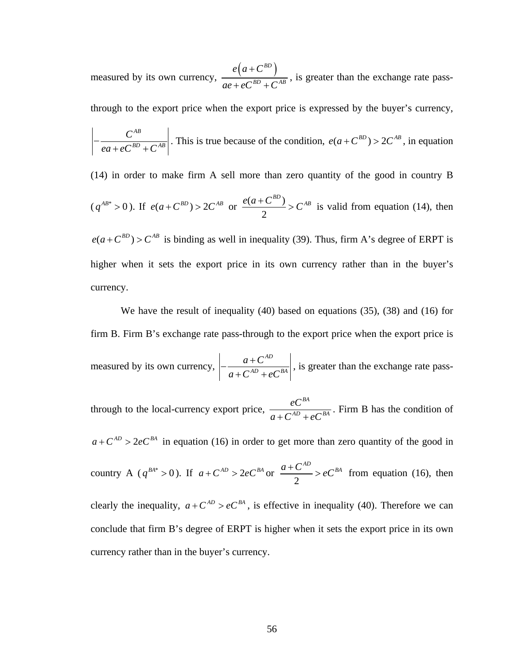measured by its own currency,  $\frac{e(a+C^{BD})}{aB^D + C^{AB}}$  $e(a+C)$  $ae + eC^{BD} + C$ +  $+eC^{BD}+$ , is greater than the exchange rate pass-

through to the export price when the export price is expressed by the buyer's currency,

$$
\left|-\frac{C^{AB}}{ea+eC^{BD}+C^{AB}}\right|
$$
. This is true because of the condition,  $e(a+C^{BD}) > 2C^{AB}$ , in equation

(14) in order to make firm A sell more than zero quantity of the good in country B  $(q^{AB*} > 0)$ . If  $e(a+C^{BD}) > 2C^{AB}$  or  $\frac{e(a+C^{BD})}{2}$ 2  $\frac{e(a + C^{BD})}{2}$  >  $C^{AB}$  is valid from equation (14), then

 $e(a + C^{BD}) > C^{AB}$  is binding as well in inequality (39). Thus, firm A's degree of ERPT is higher when it sets the export price in its own currency rather than in the buyer's currency.

We have the result of inequality (40) based on equations (35), (38) and (16) for firm B. Firm B's exchange rate pass-through to the export price when the export price is measured by its own currency, *AD*  $AD \rightarrow \alpha B$  $a + C$  $-\frac{a + C^{AD}}{a + C^{AD} + eC^{BA}}\right|$ , is greater than the exchange rate pass-

through to the local-currency export price, *BA*  $AD \rightarrow \alpha B$ *eC*  $a + C^{AD} + eC$ . Firm B has the condition of  $a + C^{AD} > 2eC^{BA}$  in equation (16) in order to get more than zero quantity of the good in country A ( $q^{BA^*} > 0$ ). If  $a + C^{AD} > 2eC^{BA}$  or 2  $\frac{a + C^{AD}}{2}$  > eC<sup>BA</sup> from equation (16), then clearly the inequality,  $a + C^{AD} > eC^{BA}$ , is effective in inequality (40). Therefore we can conclude that firm B's degree of ERPT is higher when it sets the export price in its own currency rather than in the buyer's currency.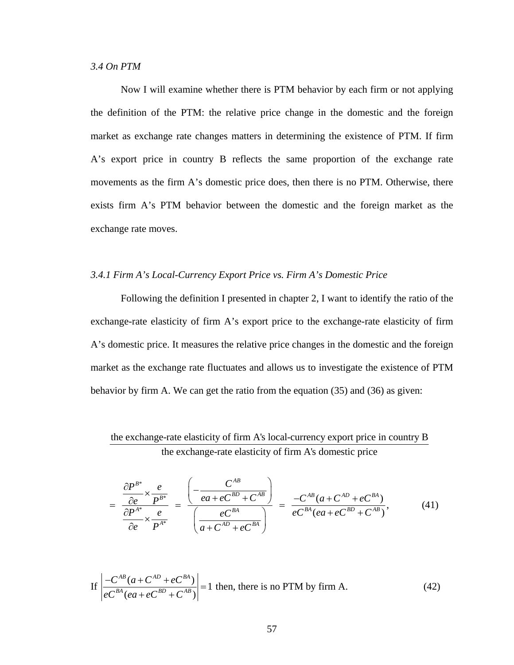#### *3.4 On PTM*

Now I will examine whether there is PTM behavior by each firm or not applying the definition of the PTM: the relative price change in the domestic and the foreign market as exchange rate changes matters in determining the existence of PTM. If firm A's export price in country B reflects the same proportion of the exchange rate movements as the firm A's domestic price does, then there is no PTM. Otherwise, there exists firm A's PTM behavior between the domestic and the foreign market as the exchange rate moves.

## *3.4.1 Firm A's Local-Currency Export Price vs. Firm A's Domestic Price*

Following the definition I presented in chapter 2, I want to identify the ratio of the exchange-rate elasticity of firm A's export price to the exchange-rate elasticity of firm A's domestic price. It measures the relative price changes in the domestic and the foreign market as the exchange rate fluctuates and allows us to investigate the existence of PTM behavior by firm A. We can get the ratio from the equation (35) and (36) as given:

# the exchange-rate elasticity of firm A's local-currency export price in country B the exchange-rate elasticity of firm A's domestic price

$$
= \frac{\frac{\partial P^{B^*}}{\partial e} \times \frac{e}{P^{B^*}}}{\frac{\partial P^{A^*}}{\partial e} \times \frac{e}{P^{A^*}}} = \frac{\left(-\frac{C^{AB}}{ea + eC^{BD} + C^{AB}}\right)}{\left(\frac{eC^{BA}}{a + C^{AD} + eC^{BA}}\right)} = \frac{-C^{AB}(a + C^{AD} + eC^{BA})}{eC^{BA}(ea + eC^{BD} + C^{AB})},\tag{41}
$$

If 
$$
\left| \frac{-C^{AB}(a + C^{AD} + e^{BA})}{e^{BA}(ea + e^{BD} + C^{AB})} \right| = 1
$$
 then, there is no PTM by firm A. (42)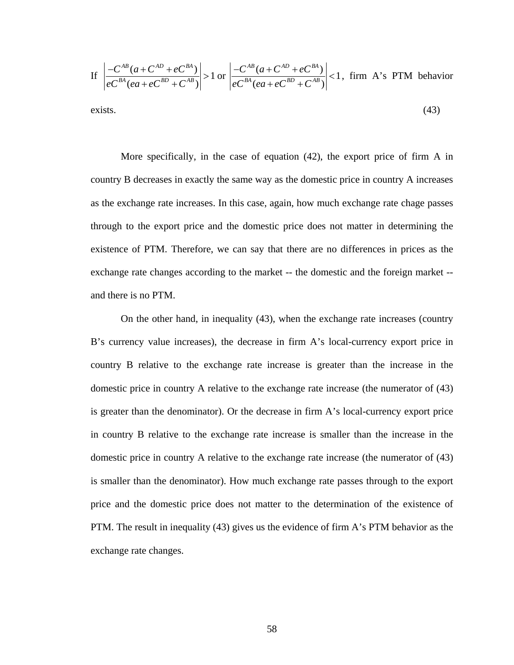If 
$$
\left| \frac{-C^{AB}(a + C^{AD} + eC^{BA})}{eC^{BA}(ea + eC^{BD} + C^{AB})} \right| > 1
$$
 or  $\left| \frac{-C^{AB}(a + C^{AD} + eC^{BA})}{eC^{BA}(ea + eC^{BD} + C^{AB})} \right| < 1$ , firm A's PTM behavior exists. (43)

More specifically, in the case of equation (42), the export price of firm A in country B decreases in exactly the same way as the domestic price in country A increases as the exchange rate increases. In this case, again, how much exchange rate chage passes through to the export price and the domestic price does not matter in determining the existence of PTM. Therefore, we can say that there are no differences in prices as the exchange rate changes according to the market -- the domestic and the foreign market - and there is no PTM.

On the other hand, in inequality (43), when the exchange rate increases (country B's currency value increases), the decrease in firm A's local-currency export price in country B relative to the exchange rate increase is greater than the increase in the domestic price in country A relative to the exchange rate increase (the numerator of (43) is greater than the denominator). Or the decrease in firm A's local-currency export price in country B relative to the exchange rate increase is smaller than the increase in the domestic price in country A relative to the exchange rate increase (the numerator of (43) is smaller than the denominator). How much exchange rate passes through to the export price and the domestic price does not matter to the determination of the existence of PTM. The result in inequality (43) gives us the evidence of firm A's PTM behavior as the exchange rate changes.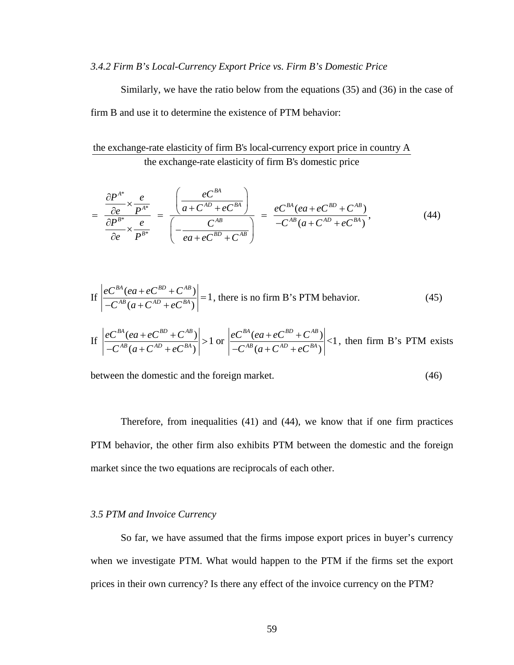#### *3.4.2 Firm B's Local-Currency Export Price vs. Firm B's Domestic Price*

Similarly, we have the ratio below from the equations (35) and (36) in the case of firm B and use it to determine the existence of PTM behavior:

the exchange-rate elasticity of firm B's local-currency export price in country A the exchange-rate elasticity of firm B's domestic price

$$
= \frac{\frac{\partial P^{A^*}}{\partial e} \times \frac{e}{P^{A^*}}}{\frac{\partial P^{B^*}}{\partial e} \times \frac{e}{P^{B^*}}} = \frac{\left(\frac{eC^{BA}}{a + C^{AD} + eC^{BA}}\right)}{\left(-\frac{C^{AB}}{ea + eC^{BD} + C^{AB}}\right)} = \frac{eC^{BA}(ea + eC^{BD} + C^{AB})}{-C^{AB}(a + C^{AD} + eC^{BA})},
$$
(44)

If 
$$
\left| \frac{eC^{BA}(ea + eC^{BD} + C^{AB})}{-C^{AB}(a + C^{AD} + eC^{BA})} \right| = 1
$$
, there is no firm B's PTM behavior. (45)

If 
$$
\left| \frac{eC^{BA}(ea + eC^{BD} + C^{AB})}{-C^{AB}(a + C^{AD} + eC^{BA})} \right| > 1
$$
 or  $\left| \frac{eC^{BA}(ea + eC^{BD} + C^{AB})}{-C^{AB}(a + C^{AD} + eC^{BA})} \right| < 1$ , then firm B's PTM exists

between the domestic and the foreign market. (46)

Therefore, from inequalities (41) and (44), we know that if one firm practices PTM behavior, the other firm also exhibits PTM between the domestic and the foreign market since the two equations are reciprocals of each other.

#### *3.5 PTM and Invoice Currency*

So far, we have assumed that the firms impose export prices in buyer's currency when we investigate PTM. What would happen to the PTM if the firms set the export prices in their own currency? Is there any effect of the invoice currency on the PTM?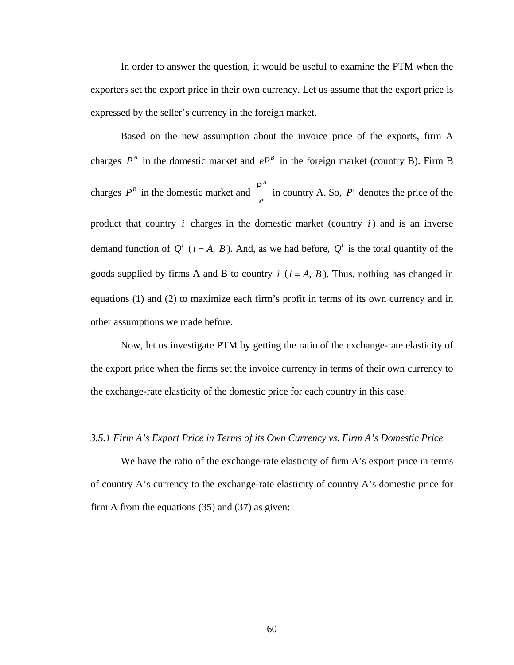In order to answer the question, it would be useful to examine the PTM when the exporters set the export price in their own currency. Let us assume that the export price is expressed by the seller's currency in the foreign market.

 Based on the new assumption about the invoice price of the exports, firm A charges  $P^A$  in the domestic market and  $e^{P^B}$  in the foreign market (country B). Firm B charges  $P^B$  in the domestic market and  $\frac{P^A}{P^B}$ *e* in country A. So,  $P^i$  denotes the price of the product that country  $i$  charges in the domestic market (country  $i$ ) and is an inverse demand function of  $Q^{i}$  ( $i = A, B$ ). And, as we had before,  $Q^{i}$  is the total quantity of the goods supplied by firms A and B to country  $i$  ( $i = A, B$ ). Thus, nothing has changed in equations (1) and (2) to maximize each firm's profit in terms of its own currency and in other assumptions we made before.

 Now, let us investigate PTM by getting the ratio of the exchange-rate elasticity of the export price when the firms set the invoice currency in terms of their own currency to the exchange-rate elasticity of the domestic price for each country in this case.

## *3.5.1 Firm A's Export Price in Terms of its Own Currency vs. Firm A's Domestic Price*

We have the ratio of the exchange-rate elasticity of firm A's export price in terms of country A's currency to the exchange-rate elasticity of country A's domestic price for firm A from the equations (35) and (37) as given: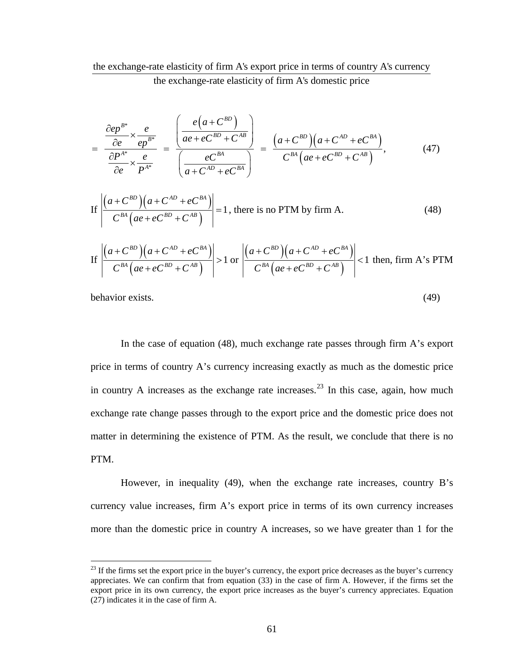# the exchange-rate elasticity of firm A's export price in terms of country A's currency the exchange-rate elasticity of firm A's domestic price

$$
= \frac{\frac{\partial e p^{B^*}}{\partial e} \times \frac{e}{e p^{B^*}}}{\frac{\partial P^{A^*}}{\partial e} \times \frac{e}{P^{A^*}}} = \frac{\left(\frac{e(a + C^{BD})}{ae + e C^{BD} + C^{AB}}\right)}{\left(\frac{e C^{BA}}{a + C^{AD} + e C^{BA}}\right)} = \frac{(a + C^{BD})(a + C^{AD} + e C^{BA})}{C^{BA}(ae + e C^{BD} + C^{AB})},
$$
(47)

If 
$$
\left| \frac{(a + C^{BD})(a + C^{AD} + e^{BA})}{C^{BA}(ae + e^{AB} + C^{AB})} \right| = 1
$$
, there is no PTM by firm A. (48)

If 
$$
\left| \frac{(a + C^{BD})(a + C^{AD} + e^{BA})}{C^{BA}(ae + e^{BD} + C^{AB})} \right| > 1
$$
 or  $\left| \frac{(a + C^{BD})(a + C^{AD} + e^{BA})}{C^{BA}(ae + e^{BD} + C^{AB})} \right| < 1$  then, firm A's PTM

behavior exists. (49)

 $\overline{a}$ 

In the case of equation (48), much exchange rate passes through firm A's export price in terms of country A's currency increasing exactly as much as the domestic price in country A increases as the exchange rate increases.<sup>[23](#page-69-0)</sup> In this case, again, how much exchange rate change passes through to the export price and the domestic price does not matter in determining the existence of PTM. As the result, we conclude that there is no PTM.

However, in inequality (49), when the exchange rate increases, country B's currency value increases, firm A's export price in terms of its own currency increases more than the domestic price in country A increases, so we have greater than 1 for the

<span id="page-69-0"></span> $^{23}$  If the firms set the export price in the buyer's currency, the export price decreases as the buyer's currency appreciates. We can confirm that from equation (33) in the case of firm A. However, if the firms set the export price in its own currency, the export price increases as the buyer's currency appreciates. Equation (27) indicates it in the case of firm A.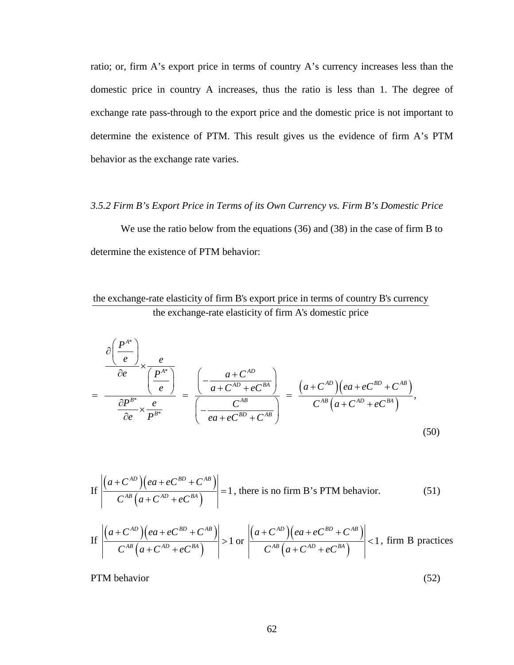ratio; or, firm A's export price in terms of country A's currency increases less than the domestic price in country A increases, thus the ratio is less than 1. The degree of exchange rate pass-through to the export price and the domestic price is not important to determine the existence of PTM. This result gives us the evidence of firm A's PTM behavior as the exchange rate varies.

#### *3.5.2 Firm B's Export Price in Terms of its Own Currency vs. Firm B's Domestic Price*

We use the ratio below from the equations (36) and (38) in the case of firm B to determine the existence of PTM behavior:

the exchange-rate elasticity of firm B's export price in terms of country B's currency the exchange-rate elasticity of firm A's domestic price

$$
\frac{\partial \left(\frac{P^{A^*}}{e}\right)}{\partial e} \times \frac{e}{\left(\frac{P^{A^*}}{e}\right)} = \frac{\left(-\frac{a + C^{AD}}{a + C^{AD} + eC^{BA}}\right)}{\left(-\frac{C^{AB}}{ea + eC^{BD} + C^{AB}}\right)} = \frac{(a + C^{AD})(ea + eC^{BD} + C^{AB})}{C^{AB}(a + C^{AD} + eC^{BA})},\tag{50}
$$

If 
$$
\left| \frac{(a + C^{AD})(ea + eC^{BD} + C^{AB})}{C^{AB}(a + C^{AD} + eC^{BA})} \right| = 1
$$
, there is no firm B's PTM behavior. (51)

If 
$$
\left| \frac{(a+C^{AD})(ea+eC^{BD}+C^{AB})}{C^{AB}(a+C^{AD}+eC^{BA})} \right| > 1
$$
 or  $\left| \frac{(a+C^{AD})(ea+eC^{BD}+C^{AB})}{C^{AB}(a+C^{AD}+eC^{BA})} \right| < 1$ , firm B practices

PTM behavior (52)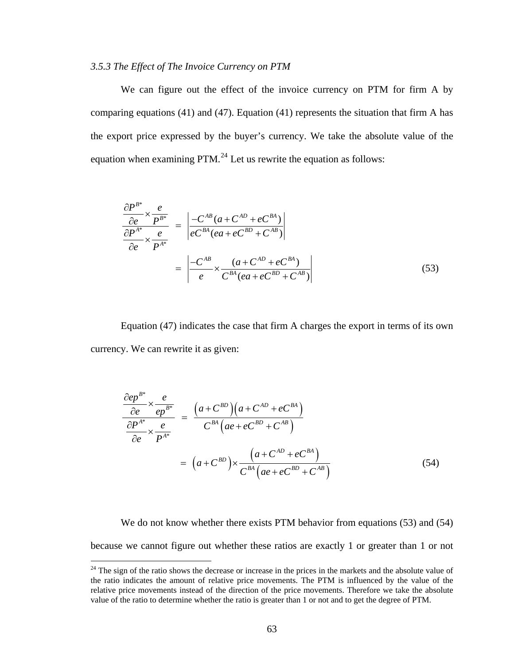## *3.5.3 The Effect of The Invoice Currency on PTM*

We can figure out the effect of the invoice currency on PTM for firm A by comparing equations  $(41)$  and  $(47)$ . Equation  $(41)$  represents the situation that firm A has the export price expressed by the buyer's currency. We take the absolute value of the equation when examining  $PTM<sup>24</sup>$  $PTM<sup>24</sup>$  $PTM<sup>24</sup>$  Let us rewrite the equation as follows:

$$
\frac{\partial P^{B^*}}{\partial e} \times \frac{e}{P^{B^*}} = \left| \frac{-C^{AB}(a + C^{AD} + eC^{BA})}{eC^{BA}(ea + eC^{BD} + C^{AB})} \right|
$$

$$
= \left| \frac{-C^{AB}}{e} \times \frac{(a + C^{AD} + eC^{BA})}{C^{BA}(ea + eC^{BD} + C^{AB})} \right|
$$
(53)

Equation (47) indicates the case that firm A charges the export in terms of its own currency. We can rewrite it as given:

$$
\frac{\partial e^{B^*}}{\partial e} \times \frac{e}{ep^{B^*}} = \frac{(a + C^{BD})(a + C^{AD} + e^{BA})}{C^{BA}(ae + e^{AB} + C^{AB})}
$$

$$
= (a + C^{BD}) \times \frac{(a + C^{AD} + e^{AB})}{C^{BA}(ae + e^{AB} + C^{AB})}
$$
(54)

We do not know whether there exists PTM behavior from equations (53) and (54) because we cannot figure out whether these ratios are exactly 1 or greater than 1 or not

<u>.</u>

<span id="page-71-0"></span> $24$  The sign of the ratio shows the decrease or increase in the prices in the markets and the absolute value of the ratio indicates the amount of relative price movements. The PTM is influenced by the value of the relative price movements instead of the direction of the price movements. Therefore we take the absolute value of the ratio to determine whether the ratio is greater than 1 or not and to get the degree of PTM.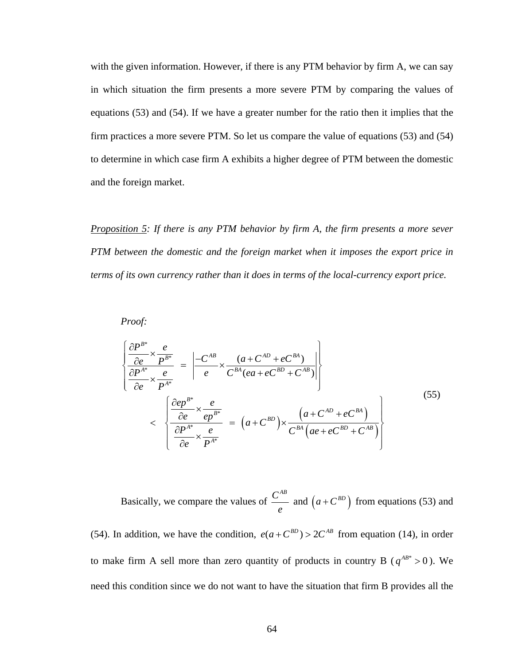with the given information. However, if there is any PTM behavior by firm A, we can say in which situation the firm presents a more severe PTM by comparing the values of equations (53) and (54). If we have a greater number for the ratio then it implies that the firm practices a more severe PTM. So let us compare the value of equations (53) and (54) to determine in which case firm A exhibits a higher degree of PTM between the domestic and the foreign market.

*Proposition 5: If there is any PTM behavior by firm A, the firm presents a more sever PTM between the domestic and the foreign market when it imposes the export price in terms of its own currency rather than it does in terms of the local-currency export price.* 

*Proof:* 

$$
\begin{cases}\n\frac{\partial P^{B^*}}{\partial e} \times \frac{e}{P^{B^*}} \\
\frac{\partial P^{A^*}}{\partial e} \times \frac{e}{P^{A^*}}\n\end{cases} = \left| \frac{-C^{AB}}{e} \times \frac{(a + C^{AD} + e^{B^A})}{C^{BA}(ea + e^{B^D} + C^{AB})} \right|
$$
\n
$$
< \left| \frac{\frac{\partial e}{\partial e}^{B^*}}{\frac{\partial e}{\partial e}^{A^*}} \times \frac{e}{e^{B^*}}}{\frac{\partial P^{A^*}}{\partial e}^{A^*}} = (a + C^{BD}) \times \frac{(a + C^{AD} + e^{B^A})}{C^{BA}(ae + e^{C^{BD}} + C^{AB})}\right|
$$
\n
$$
(55)
$$

e compare the values of  $\frac{C^{AB}}{A}$ Basically, we compare the values of  $\frac{C}{e}$  and  $(a + C^{BD})$  from equations (53) and

(54). In addition, we have the condition,  $e(a + C^{BD}) > 2C^{AB}$  from equation (14), in order to make firm A sell more than zero quantity of products in country B ( $q^{AB^*} > 0$ ). We need this condition since we do not want to have the situation that firm B provides all the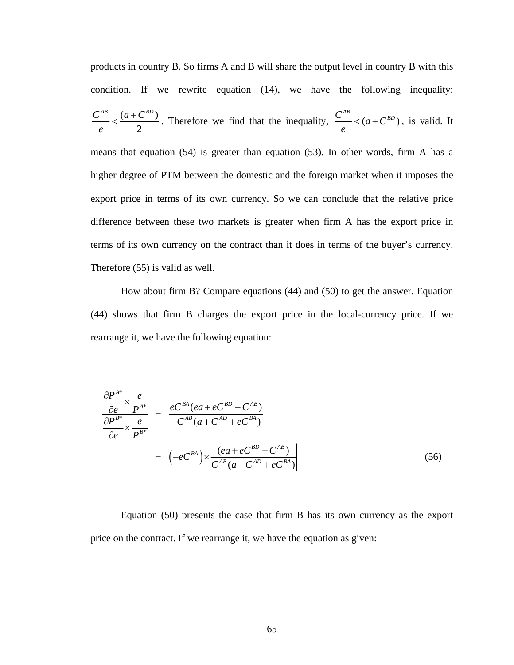products in country B. So firms A and B will share the output level in country B with this condition. If we rewrite equation (14), we have the following inequality:  $(a+C^{BD})$ 2  $C^{AB}$  *(a + C<sup>BD</sup>) e*  $\leq \frac{(a+C^{BD})}{2}$ . Therefore we find that the inequality,  $\frac{C^{AB}}{2} < (a+C^{BD})$ , is valid. *e*  $\langle (a + C^{BD})$ , is valid. It means that equation (54) is greater than equation (53). In other words, firm A has a higher degree of PTM between the domestic and the foreign market when it imposes the export price in terms of its own currency. So we can conclude that the relative price difference between these two markets is greater when firm A has the export price in terms of its own currency on the contract than it does in terms of the buyer's currency. Therefore (55) is valid as well.

How about firm B? Compare equations (44) and (50) to get the answer. Equation (44) shows that firm B charges the export price in the local-currency price. If we rearrange it, we have the following equation:

$$
\frac{\partial P^{A^*}}{\partial e} \times \frac{e}{P^{A^*}} = \left| \frac{eC^{BA}(ea + eC^{BD} + C^{AB})}{-C^{AB}(a + C^{AD} + eC^{BA})} \right|
$$

$$
= \left| (-eC^{BA}) \times \frac{(ea + eC^{BD} + C^{AB})}{C^{AB}(a + C^{AD} + eC^{BA})} \right|
$$
(56)

price on the contract. If we rearrange it, we have the equation as given: Equation (50) presents the case that firm B has its own currency as the export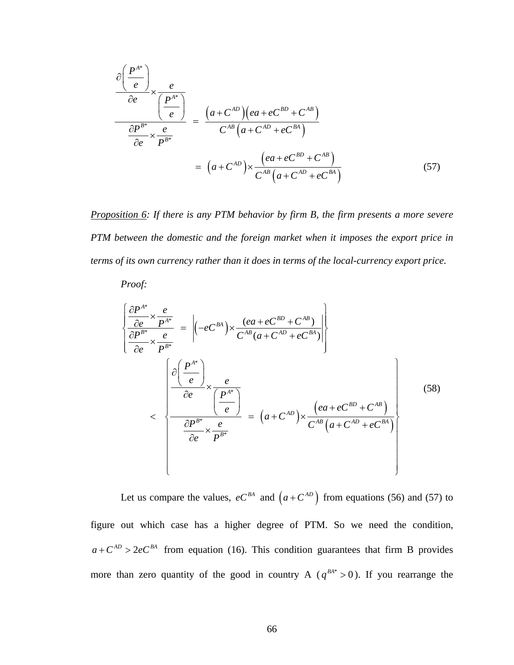$$
\frac{\partial \left(\frac{P^{A^*}}{e}\right)}{\partial e} \times \frac{e}{\left(\frac{P^{A^*}}{e}\right)} = \frac{(a + C^{AD})(ea + e^{B^D} + C^{AB})}{C^{AB}(a + C^{AD} + e^{B^A})}
$$
\n
$$
= (a + C^{AD}) \times \frac{(ea + e^{B^D} + C^{AB})}{C^{AB}(a + C^{AD} + e^{B^A})}
$$
\n(57)

*Proposition 6: If there is any PTM behavior by firm B, the firm presents a more severe PTM between the domestic and the foreign market when it imposes the export price in terms of its own currency rather than it does in terms of the local-currency export price.* 

*Proof:* 

$$
\begin{cases}\n\frac{\partial P^{A^*}}{\partial e} \times \frac{e}{P^{A^*}} \\
\frac{\partial P^{B^*}}{\partial e} \times \frac{e}{P^{B^*}}\n\end{cases} = \left| (-e^{-\beta A}) \times \frac{(ea + e^{-\beta B})}{C^{AB}(a + C^{AB} + e^{-\beta A})} \right|
$$
\n
$$
\left| \frac{\partial \left( \frac{P^{A^*}}{e} \right)}{\partial e} \times \frac{e}{\left( \frac{P^{A^*}}{e} \right)}\n\right| = (a + C^{AD}) \times \frac{(ea + e^{-\beta B}) + C^{AB}}{C^{AB}(a + C^{AD} + e^{-\beta A})}
$$
\n(58)

Let us compare the values,  $eC^{BA}$  and  $(a + C^{AD})$  from equations (56) and (57) to figure out which case has a higher degree of PTM. So we need the condition,  $a + C^{AD} > 2eC^{BA}$  from equation (16). This condition guarantees that firm B provides more than zero quantity of the good in country A ( $q^{BA*} > 0$ ). If you rearrange the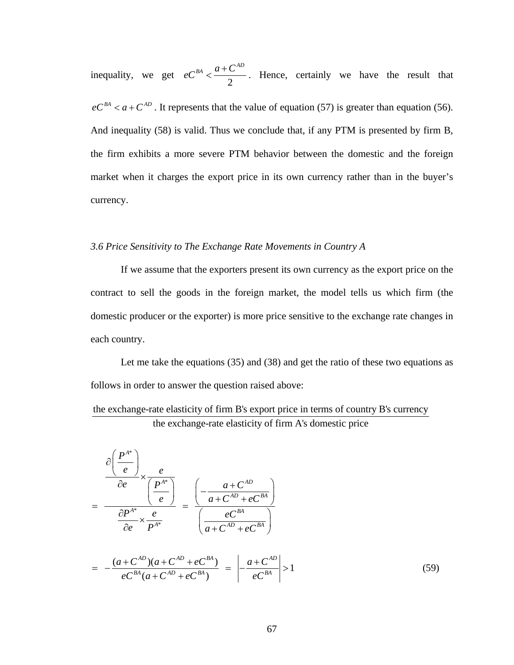2 inequality, we get  $eC^{BA} < \frac{a + C^{AD}}{A}$ . Hence, certainly we have the result that  $eC^{BA} < a + C^{AD}$ . It represents that the value of equation (57) is greater than equation (56). And inequality (58) is valid. Thus we conclude that, if any PTM is presented by firm B, the firm exhibits a more severe PTM behavior between the domestic and the foreign market when it charges the export price in its own currency rather than in the buyer's currency.

# 3.6 Price Sensitivity to The Exchange Rate Movements in Country A

If we assume that the exporters present its own currency as the export price on the domestic produc er or the exporter) is more price sensitive to the exchange rate changes in contract to sell the goods in the foreign market, the model tells us which firm (the each country.

follows in order to answer the question raised above: Let me take the equations (35) and (38) and get the ratio of these two equations as

the exchange-rate elasticity of firm A's domestic price the exchange-rate elasticity of firm B's export price in terms of country B's currency

$$
\frac{\partial \left(\frac{P^{A^*}}{e}\right)}{\partial e} \times \frac{e}{\left(\frac{P^{A^*}}{e}\right)} = \frac{\left(-\frac{a + C^{AD}}{a + C^{AD} + eC^{BA}}\right)}{\left(\frac{eC^{BA}}{a + C^{AD} + eC^{BA}}\right)}
$$
\n
$$
= -\frac{(a + C^{AD})(a + C^{AD} + eC^{BA})}{eC^{BA}(a + C^{AD} + eC^{BA})} = \left|-\frac{a + C^{AD}}{eC^{BA}}\right| > 1
$$
\n(59)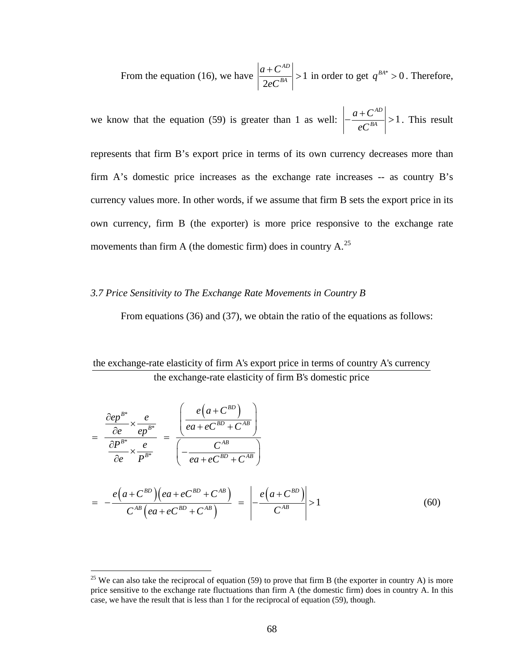1 From the equation (16), we have  $\left| \frac{a + C^{AD}}{2eC^{BA}} \right| > 1$  in order to get  $q^{BA*}$  $> 1$  in order to get  $q^{BA^*} > 0$ . Therefore,

we know that the equation (59) is greater than 1 as well:  $\left|-\frac{a+C^{AD}}{a^R}\right|>1$ ation (59) is greater than 1 as well:  $\left| \frac{a + b}{eC^{BA}} \right| > 1$ . This result

represents that firm B's export price in terms of its own currency decreases more than firm A's domestic price increases as the exchange rate increases -- as country B's currency values more. In other words, if we assume that firm B sets the export price in its own currency, firm B (the exporter) is more price responsive to the exchange rate movements than firm A (the domestic firm) does in country  $A$ <sup>25</sup>

#### *3.7 Price Sensitivity to The Exchange Rate Movements in Country B*

From equations (36) and (37), we obtain the ratio of the equations as follows:

# the exchange-rate elasticity of firm A's export price in terms of country A's currency the exchange-rate elasticity of firm B's domestic price

$$
\frac{\partial e^{B^*}}{\partial e} \times \frac{e}{ep^{B^*}} = \frac{\left(\frac{e(a + C^{BD})}{ea + eC^{BD} + C^{AB}}\right)}{\left(-\frac{C^{AB}}{ea + eC^{BD} + C^{AB}}\right)}
$$
\n
$$
= -\frac{e(a + C^{BD})(ea + eC^{BD} + C^{AB})}{C^{AB}(ea + eC^{BD} + C^{AB})} = \left|\frac{e(a + C^{BD})}{C^{AB}}\right| > 1
$$
\n(60)

 $\overline{a}$ 

<sup>&</sup>lt;sup>25</sup> We can also take the reciprocal of equation (59) to prove that firm B (the exporter in country A) is more price sensitive to the exchange rate fluctuations than firm A (the domestic firm) does in country A. In this case, we have the result that is less than 1 for the reciprocal of equation (59), though.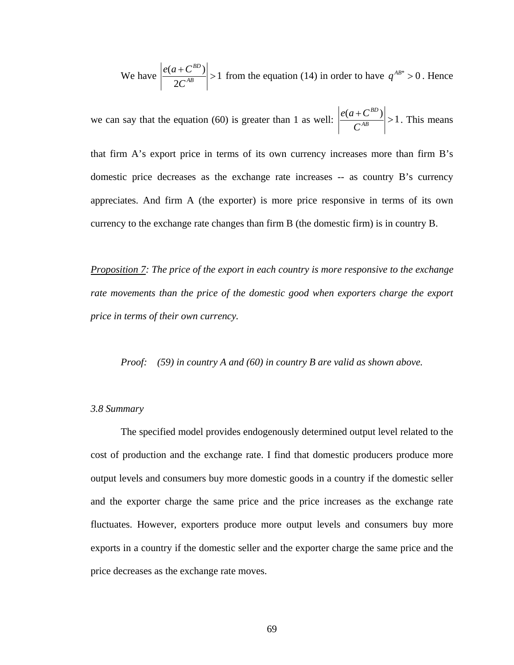We have  $\left| \frac{e(a + C^{BD})}{2C^{AB}} \right| > 1$  from the equation (14) in order to have  $q^{AB^*} > 0$ . Hence 2*C*

we can say that the equation (60) is greater than 1 as well:  $\left| \frac{e(a + C^{BD})}{\sigma A^B} \right| > 1$ *AB*  $e(a+C)$ *C* say that the equation (60) is greater than 1 as well:  $\left| \frac{e(a + C^{BD})}{a^B} \right| > 1$ . This means

that firm A's export price in terms of its own currency increases more than firm B's domestic price decreases as the exchange rate increases -- as country B's currency appreciates. And firm A (the exporter) is more price responsive in terms of its own currency to the exchange rate changes than firm B (the domestic firm) is in country B.

*Proposition 7: The price of the export in each country is more responsive to the exchange*  rate movements than the price of the domestic good when exporters charge the export *fiererifierian price in terms of their own currency.* 

*Proof: (59) in country A and (60) in country B are valid as shown above.* 

#### *3.8 Summary*

and the exporter charge the same price and the price increases as the exchange rate The specified model provides endogenously determined output level related to the cost of production and the exchange rate. I find that domestic producers produce more output levels and consumers buy more domestic goods in a country if the domestic seller fluctuates. However, exporters produce more output levels and consumers buy more exports in a country if the domestic seller and the exporter charge the same price and the price decreases as the exchange rate moves.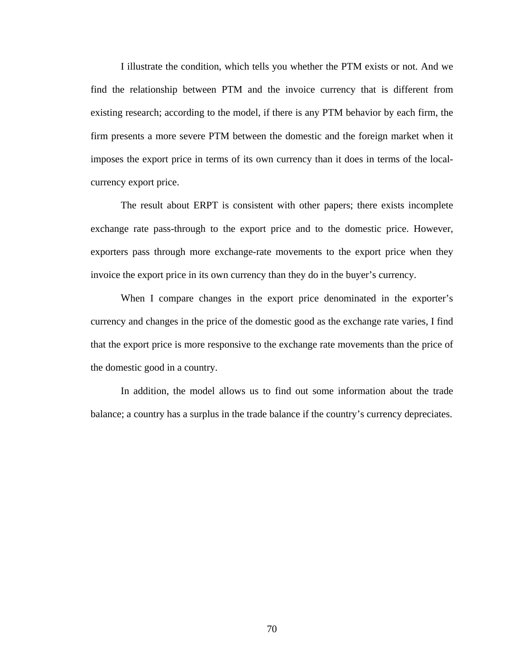I illustrate the condition, which tells you whether the PTM exists or not. And we find the relationship between PTM and the invoice currency that is different from existing research; according to the model, if there is any PTM behavior by each firm, the firm pr esents a more severe PTM between the domestic and the foreign market when it imposes the export price in terms of its own currency than it does in terms of the localcurrency export price.

invoice the export price in its own currency than they do in the buyer's currency. The result about ERPT is consistent with other papers; there exists incomplete exchange rate pass-through to the export price and to the domestic price. However, exporters pass through more exchange-rate movements to the export price when they

When I compare changes in the export price denominated in the exporter's currenc y and changes in the price of the domestic good as the exchange rate varies, I find that the export price is more responsive to the exchange rate movements than the price of the domestic good in a country.

In addition, the model allows us to find out some information about the trade balance; a country has a surplus in the trade balance if the country's currency depreciates.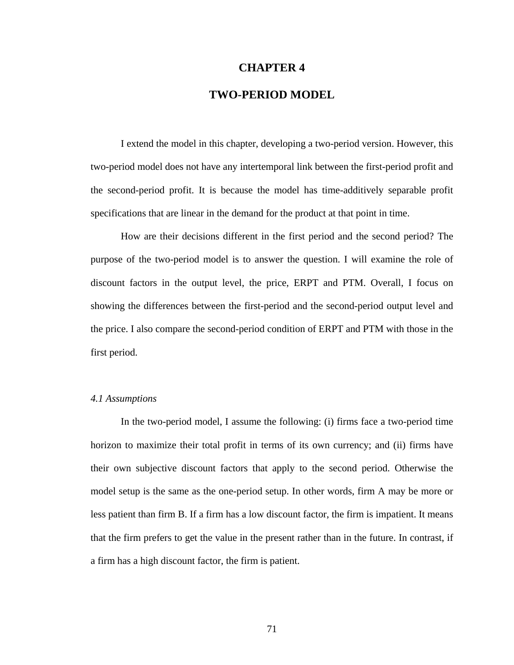# **CHAPTER 4**

# **TWO-PERIOD MODEL**

two-period model does not have any intertemporal link between the first-period profit and the second-period profit. It is because the model has time-additively separable profit specifications that are linear in the demand for the product at that point in time. I extend the model in this chapter, developing a two-period version. However, this

How are their decisions different in the first period and the second period? The purpose of the two-period model is to answer the question. I will examine the role of discount factors in the output level, the price, ERPT and PTM. Overall, I focus on showing the differences between the first-period and the second-period output level and the price. I also compare the second-period condition of ERPT and PTM with those in the first period.

## *4.1 Ass umptions*

their own subjective discount factors that apply to the second period. Otherwise the model setup is the same as the one-period setup. In other words, firm A may be more or In the two-period model, I assume the following: (i) firms face a two-period time horizon to maximize their total profit in terms of its own currency; and (ii) firms have less patient than firm B. If a firm has a low discount factor, the firm is impatient. It means that the firm prefers to get the value in the present rather than in the future. In contrast, if a firm has a high discount factor, the firm is patient.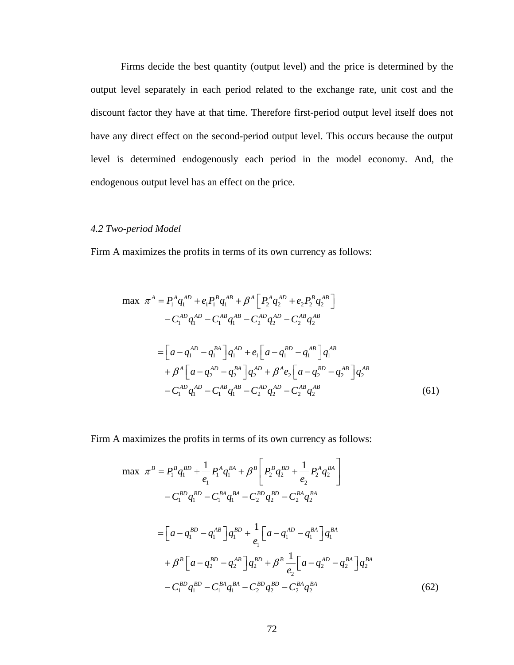Firms decide the best quantity (output level) and the price is determined by the output level separately in each period related to the exchange rate, unit cost and the discount factor they have at that time. Therefore first-period output level itself does not have any direct effect on the second-period output level. This occurs because the output level i s determined endogenously each period in the model economy. And, the endogenous output level has an effect on the price.

### *4.2 Two-period Model*

Firm A maximizes the profits in terms of its own currency as follows:

$$
\max \ \pi^{A} = P_{1}^{A} q_{1}^{AD} + e_{1} P_{1}^{B} q_{1}^{AB} + \beta^{A} \Big[ P_{2}^{A} q_{2}^{AD} + e_{2} P_{2}^{B} q_{2}^{AB} \Big] - C_{1}^{AD} q_{1}^{AD} - C_{1}^{AB} q_{1}^{AB} - C_{2}^{AD} q_{2}^{AD} - C_{2}^{AB} q_{2}^{AB} = \Big[ a - q_{1}^{AD} - q_{1}^{BA} \Big] q_{1}^{AD} + e_{1} \Big[ a - q_{1}^{BD} - q_{1}^{AB} \Big] q_{1}^{AB} + \beta^{A} \Big[ a - q_{2}^{AD} - q_{2}^{BA} \Big] q_{2}^{AD} + \beta^{A} e_{2} \Big[ a - q_{2}^{BD} - q_{2}^{AB} \Big] q_{2}^{AB} - C_{1}^{AD} q_{1}^{AD} - C_{1}^{AB} q_{1}^{AB} - C_{2}^{AD} q_{2}^{AD} - C_{2}^{AB} q_{2}^{AB}
$$
(61)

Firm A maximizes the profits in terms of its own currency as follows:

$$
\max \ \pi^{B} = P_{1}^{B} q_{1}^{BD} + \frac{1}{e_{1}} P_{1}^{A} q_{1}^{BA} + \beta^{B} \left[ P_{2}^{B} q_{2}^{BD} + \frac{1}{e_{2}} P_{2}^{A} q_{2}^{BA} \right] \n- C_{1}^{BD} q_{1}^{BD} - C_{1}^{BA} q_{1}^{BA} - C_{2}^{BD} q_{2}^{BD} - C_{2}^{BA} q_{2}^{BA} \n= \left[ a - q_{1}^{BD} - q_{1}^{AB} \right] q_{1}^{BD} + \frac{1}{e_{1}} \left[ a - q_{1}^{AD} - q_{1}^{BA} \right] q_{1}^{BA} \n+ \beta^{B} \left[ a - q_{2}^{BD} - q_{2}^{AB} \right] q_{2}^{BD} + \beta^{B} \frac{1}{e_{2}} \left[ a - q_{2}^{AD} - q_{2}^{BA} \right] q_{2}^{BA} \n- C_{1}^{BD} q_{1}^{BD} - C_{1}^{BA} q_{1}^{BA} - C_{2}^{BD} q_{2}^{BD} - C_{2}^{BA} q_{2}^{BA}
$$
\n(62)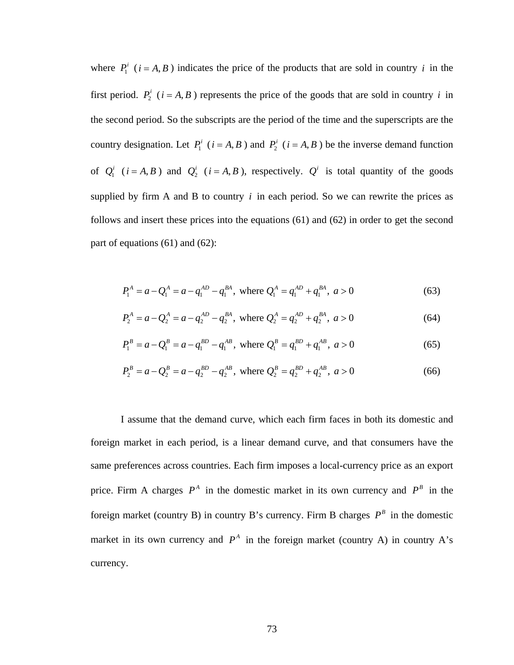where  $P_1^i$  ( $i = A, B$ ) indicates the price of the products that are sold in country i in the first period.  $P_2^i$  ( $i = A, B$ ) represents the price of the goods that are sold in country i in the second period. So the subscripts are the period of the time and the superscripts are the country designation. Let  $P_1^i$  ( $i = A, B$ ) and  $P_2^i$  ( $i = A, B$ ) be the inverse demand function of  $Q_1^i$  ( $i = A, B$ ) and  $Q_2^i$  ( $i = A, B$ ), respectively.  $Q^i$  is total quantity of the goods supplied by firm A and B to country  $i$  in each period. So we can rewrite the prices as follows and insert these prices into the equations (61) and (62) in order to get the second part of equations (61) and (62):

$$
P_1^A = a - Q_1^A = a - q_1^{AD} - q_1^{BA}, \text{ where } Q_1^A = q_1^{AD} + q_1^{BA}, \ a > 0 \tag{63}
$$

$$
P_2^A = a - Q_2^A = a - q_2^{AD} - q_2^{BA}, \text{ where } Q_2^A = q_2^{AD} + q_2^{BA}, \ a > 0 \tag{64}
$$

$$
P_1^B = a - Q_1^B = a - q_1^{BD} - q_1^{AB}, \text{ where } Q_1^B = q_1^{BD} + q_1^{AB}, \ a > 0 \tag{65}
$$

$$
P_2^B = a - Q_2^B = a - q_2^{BD} - q_2^{AB}, \text{ where } Q_2^B = q_2^{BD} + q_2^{AB}, \ a > 0 \tag{66}
$$

I assume that the demand curve, which each firm faces in both its domestic and same preferences across countries. Each firm imposes a local-currency price as an export price. Firm A charges  $P^A$  in the domestic market in its own currency and  $P^B$  in the foreign market in each period, is a linear demand curve, and that consumers have the foreign market (country B) in country B's currency. Firm B charges  $P^B$  in the domestic market in its own currency and  $P^A$  in the foreign market (country A) in country A's currency.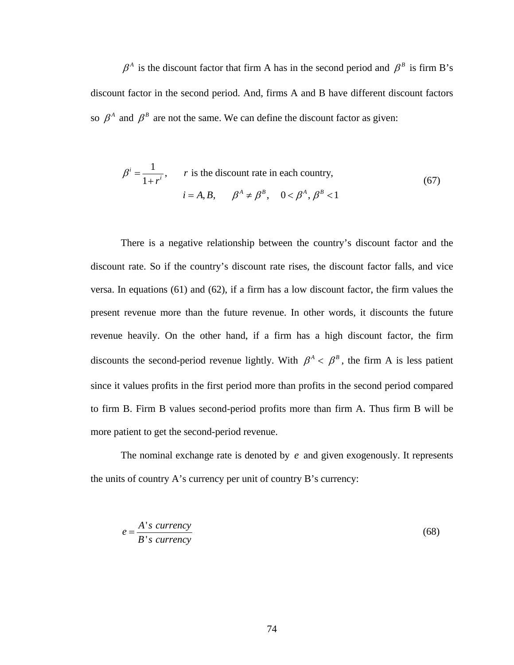$\beta^A$  is the discount factor that firm A has in the second period and  $\beta^B$  is firm B's discount factor in the second period. And, firms A and B have different discount factors so  $\beta^A$  and  $\beta^B$  are not the same. We can define the discount factor as given:

$$
\beta^{i} = \frac{1}{1+r^{i}}, \qquad r \text{ is the discount rate in each country,}
$$
\n
$$
i = A, B, \qquad \beta^{A} \neq \beta^{B}, \quad 0 < \beta^{A}, \beta^{B} < 1
$$
\n
$$
(67)
$$

There is a negative relationship between the country's discount factor and the discount rate. So if the country's discount rate rises, the discount factor falls, and vice versa. In equations (61) and (62), if a firm has a low discount factor, the firm values the present revenue more than the future revenue. In other words, it discounts the future revenue h eavily. On the other hand, if a firm has a high discount factor, the firm discounts the second-period revenue lightly. With  $\beta^A < \beta^B$ , the firm A is less patient since it values profits in the first period more than profits in the second period compared to firm B. Firm B values second-period profits more than firm A. Thus firm B will be more patient to get the second-period revenue.

The nominal exchange rate is denoted by  $e$  and given exogenously. It represents the units of country A's currency per unit of country B's currenc y:

$$
e = \frac{A's \text{ currency}}{B's \text{ currency}}
$$
\n(68)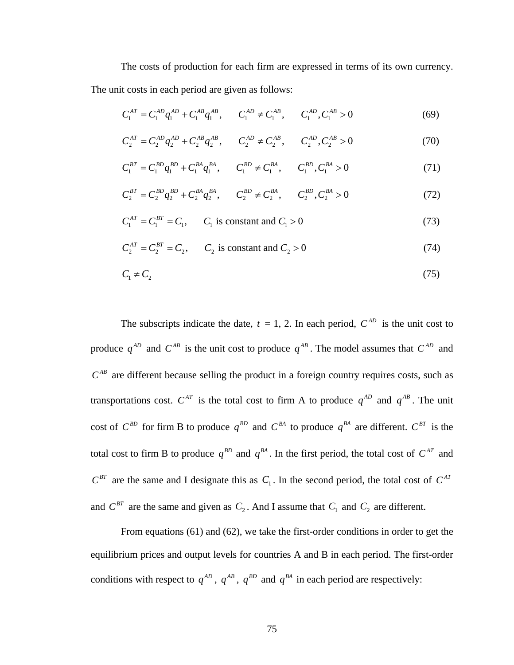The costs of production for each firm are expressed in terms of its own currency. The unit costs in each period are given as follows:

$$
C_1^{AT} = C_1^{AD} q_1^{AD} + C_1^{AB} q_1^{AB}, \qquad C_1^{AD} \neq C_1^{AB}, \qquad C_1^{AD}, C_1^{AB} > 0
$$
 (69)

$$
C_2^{AT} = C_2^{AD} q_2^{AD} + C_2^{AB} q_2^{AB}, \t C_2^{AD} \neq C_2^{AB}, \t C_2^{AD}, C_2^{AD} > 0
$$
 (70)

$$
C_1^{BT} = C_1^{BD} q_1^{BD} + C_1^{BA} q_1^{BA}, \qquad C_1^{BD} \neq C_1^{BA}, \qquad C_1^{BD}, C_1^{BA} > 0 \tag{71}
$$

$$
C_2^{BT} = C_2^{BD}q_2^{BD} + C_2^{BA}q_2^{BA}, \t C_2^{BD} \neq C_2^{BA}, \t C_2^{BD}, C_2^{BA} > 0
$$
 (72)

$$
C_1^{AT} = C_1^{BT} = C_1
$$
,  $C_1$  is constant and  $C_1 > 0$  (73)

$$
C_2^{AT} = C_2^{BT} = C_2, \qquad C_2 \text{ is constant and } C_2 > 0 \tag{74}
$$

$$
C_1 \neq C_2 \tag{75}
$$

The subscripts indicate the date,  $t = 1$ , 2. In each period,  $C^{AD}$  is the unit cost to produce  $q^{AD}$  and  $C^{AB}$  is the unit cost to produce  $q^{AB}$ . The model assumes that  $C^{AD}$  and  $C^{AB}$  are different because selling the product in a foreign country requires costs, such as transportations cost.  $C^{AT}$  is the total cost to firm A to produce  $q^{AD}$  and  $q^{AB}$ . The unit cost of  $C^{BD}$  for firm B to produce  $q^{BD}$  and  $C^{BA}$  to produce  $q^{BA}$  are different.  $C^{BT}$  is the total cost to firm B to produce  $q^{BD}$  and  $q^{BA}$ . In the first period, the total cost of  $C^{AT}$  and  $C^{BT}$  are the same and I designate this as  $C_1$ . In the second period, the total cost of  $C^{AT}$ and  $C^{BT}$  are the same and given as  $C_2$ . And I assume that  $C_1$  and  $C_2$  are different.

From equations  $(61)$  and  $(62)$ , we take the first-order conditions in order to get the equilibrium prices and output levels for countries A and B in each period. The first-order conditions with respect to  $q^{AD}$ ,  $q^{AB}$ ,  $q^{BD}$  and  $q^{BA}$  in each period are respectively: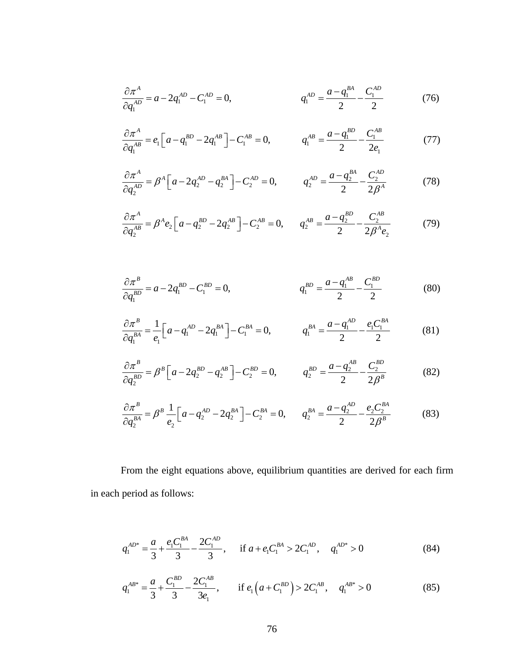$$
\frac{\partial \pi^A}{\partial q_1^{AD}} = a - 2q_1^{AD} - C_1^{AD} = 0, \qquad q_1^{AD} = \frac{a - q_1^{BA}}{2} - \frac{C_1^{AD}}{2} \tag{76}
$$

$$
\frac{\partial \pi^A}{\partial q_1^{AB}} = e_1 \left[ a - q_1^{BD} - 2q_1^{AB} \right] - C_1^{AB} = 0, \qquad q_1^{AB} = \frac{a - q_1^{BD}}{2} - \frac{C_1^{AB}}{2e_1} \tag{77}
$$

$$
\frac{\partial \pi^A}{\partial q_2^{AD}} = \beta^A \left[ a - 2q_2^{AD} - q_2^{BA} \right] - C_2^{AD} = 0, \qquad q_2^{AD} = \frac{a - q_2^{BA}}{2} - \frac{C_2^{AD}}{2\beta^A}
$$
(78)

$$
\frac{\partial \pi^A}{\partial q_2^{AB}} = \beta^A e_2 \Big[ a - q_2^{BD} - 2q_2^{AB} \Big] - C_2^{AB} = 0, \qquad q_2^{AB} = \frac{a - q_2^{BD}}{2} - \frac{C_2^{AB}}{2\beta^A e_2}
$$
(79)

$$
\frac{\partial \pi^B}{\partial q_1^{BD}} = a - 2q_1^{BD} - C_1^{BD} = 0, \qquad q_1^{BD} = \frac{a - q_1^{AB}}{2} - \frac{C_1^{BD}}{2} \tag{80}
$$

$$
\frac{\partial \pi^B}{\partial q_1^{BA}} = \frac{1}{e_1} \Big[ a - q_1^{AD} - 2q_1^{BA} \Big] - C_1^{BA} = 0, \qquad q_1^{BA} = \frac{a - q_1^{AD}}{2} - \frac{e_1 C_1^{BA}}{2} \tag{81}
$$

$$
\frac{\partial \pi^B}{\partial q_2^{BD}} = \beta^B \left[ a - 2q_2^{BD} - q_2^{AB} \right] - C_2^{BD} = 0, \qquad q_2^{BD} = \frac{a - q_2^{AB}}{2} - \frac{C_2^{BD}}{2\beta^B}
$$
(82)

$$
\frac{\partial \pi^B}{\partial q_2^{BA}} = \beta^B \frac{1}{e_2} \Big[ a - q_2^{AD} - 2q_2^{BA} \Big] - C_2^{BA} = 0, \qquad q_2^{BA} = \frac{a - q_2^{AD}}{2} - \frac{e_2 C_2^{BA}}{2\beta^B}
$$
(83)

From the eight equations above, equilibrium quantities are derived for each firm in each period as follows:

$$
q_1^{AD^*} = \frac{a}{3} + \frac{e_1 C_1^{BA}}{3} - \frac{2C_1^{AD}}{3}, \quad \text{if } a + e_1 C_1^{BA} > 2C_1^{AD}, \quad q_1^{AD^*} > 0 \tag{84}
$$

$$
q_1^{AB^*} = \frac{a}{3} + \frac{C_1^{BD}}{3} - \frac{2C_1^{AB}}{3e_1}, \qquad \text{if } e_1\left(a + C_1^{BD}\right) > 2C_1^{AB}, \quad q_1^{AB^*} > 0 \tag{85}
$$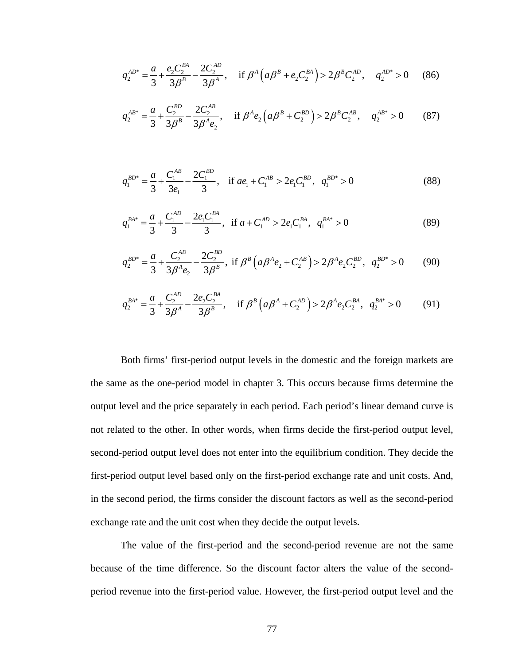$$
q_2^{AD^*} = \frac{a}{3} + \frac{e_2 C_2^{BA}}{3\beta^B} - \frac{2C_2^{AD}}{3\beta^A}, \quad \text{if } \beta^A \left( a\beta^B + e_2 C_2^{BA} \right) > 2\beta^B C_2^{AD}, \quad q_2^{AD^*} > 0 \tag{86}
$$

$$
q_2^{AB^*} = \frac{a}{3} + \frac{C_2^{BD}}{3\beta^B} - \frac{2C_2^{AB}}{3\beta^A e_2}, \quad \text{if } \beta^A e_2 \left( a\beta^B + C_2^{BD} \right) > 2\beta^B C_2^{AB}, \quad q_2^{AB^*} > 0 \tag{87}
$$

$$
q_1^{BD^*} = \frac{a}{3} + \frac{C_1^{AB}}{3e_1} - \frac{2C_1^{BD}}{3}, \quad \text{if } ae_1 + C_1^{AB} > 2e_1C_1^{BD}, \quad q_1^{BD^*} > 0 \tag{88}
$$

$$
q_1^{BA^*} = \frac{a}{3} + \frac{C_1^{AD}}{3} - \frac{2e_1C_1^{BA}}{3}, \text{ if } a + C_1^{AD} > 2e_1C_1^{BA}, \quad q_1^{BA^*} > 0 \tag{89}
$$

$$
q_2^{BD^*} = \frac{a}{3} + \frac{C_2^{AB}}{3\beta^A e_2} - \frac{2C_2^{BD}}{3\beta^B}, \text{ if } \beta^B \left( a\beta^A e_2 + C_2^{AB} \right) > 2\beta^A e_2 C_2^{BD}, \ q_2^{BD^*} > 0 \tag{90}
$$

$$
q_2^{BA^*} = \frac{a}{3} + \frac{C_2^{AD}}{3\beta^A} - \frac{2e_2C_2^{BA}}{3\beta^B}, \quad \text{if } \beta^B \left(a\beta^A + C_2^{AD}\right) > 2\beta^A e_2 C_2^{BA}, \quad q_2^{BA^*} > 0 \tag{91}
$$

Both firms' first-period output levels in the domestic and the foreign markets are the same as the one-period model in chapter 3. This occurs because firms determine the output level and the price separately in each period. Each period's linear demand curve is not related to the other. In other words, when firms decide the first-period output level, second-period output level does not enter into the equilibrium condition. They decide the first-period output level based only on the first-period exchange rate and unit costs. And, in the second period, the firms consider the discount factors as well as the second-period exchange rate and the unit cost when they decide the output leve ls.

The value of the first-period and the second-period revenue are not the same because of the time difference. So the discount factor alters the value of the secondperiod revenue into the first-period value. However, the first-period output level and the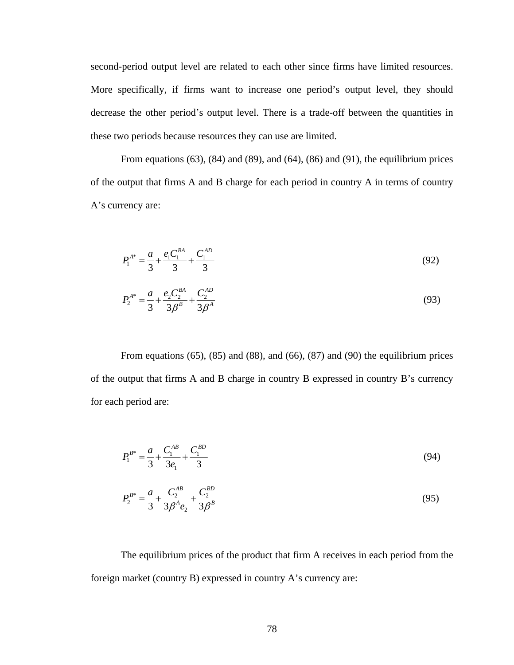second-period output level are related to each other since firms have limited resources. More specifically, if firms want to increase one period's output level, they should decrease the other period's output level. There is a trade-off between the quantities in these two periods because resources they can use are limited.

From equations  $(63)$ ,  $(84)$  and  $(89)$ , and  $(64)$ ,  $(86)$  and  $(91)$ , the equilibrium prices of the output that firms A and B charge for each period in country A in terms of country A's currency are:

$$
P_1^{A^*} = \frac{a}{3} + \frac{e_1 C_1^{BA}}{3} + \frac{C_1^{AD}}{3}
$$
 (92)

$$
P_2^{A^*} = \frac{a}{3} + \frac{e_2 C_2^{BA}}{3\beta^B} + \frac{C_2^{AD}}{3\beta^A}
$$
 (93)

From equations  $(65)$ ,  $(85)$  and  $(88)$ , and  $(66)$ ,  $(87)$  and  $(90)$  the equilibrium prices of the output that firms A and B charge in country B expressed in country B's currency for each period are:

$$
P_1^{B^*} = \frac{a}{3} + \frac{C_1^{AB}}{3e_1} + \frac{C_1^{BD}}{3}
$$
 (94)

$$
P_2^{B^*} = \frac{a}{3} + \frac{C_2^{AB}}{3\beta^A e_2} + \frac{C_2^{BD}}{3\beta^B}
$$
 (95)

The equilibrium prices of the product that firm A receives in each period from the foreign market (country B) expressed in country A's currency are: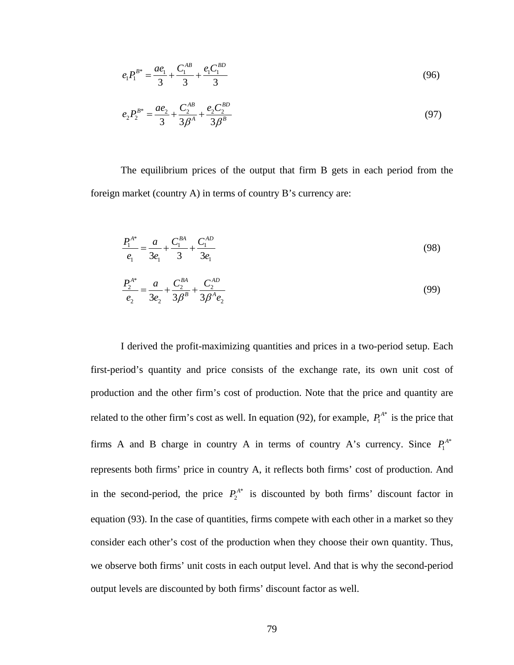$$
e_1 P_1^{B^*} = \frac{ae_1}{3} + \frac{C_1^{AB}}{3} + \frac{e_1 C_1^{BD}}{3} \tag{96}
$$

$$
e_2 P_2^{B^*} = \frac{ae_2}{3} + \frac{C_2^{AB}}{3\beta^A} + \frac{e_2 C_2^{BD}}{3\beta^B}
$$
\n<sup>(97)</sup>

The equilibrium prices of the output that firm B gets in each period from the foreign market (country A) in terms of country B's currency are:

$$
\frac{P_1^{A^*}}{e_1} = \frac{a}{3e_1} + \frac{C_1^{BA}}{3} + \frac{C_1^{AD}}{3e_1}
$$
\n(98)

$$
\frac{P_2^{A^*}}{e_2} = \frac{a}{3e_2} + \frac{C_2^{BA}}{3\beta^B} + \frac{C_2^{AD}}{3\beta^A e_2}
$$
(99)

I derived the profit-maximizing quantities and prices in a two-period setup. Each first-period's quantity and price consists of the exchange rate, its own unit cost of production and the other firm's cost of production. Note that the price and quantity are related to the other firm's cost as well. In equation (92), for example,  $P_1^{A*}$  is the price that \* firms A and B charge in country A in terms of country A's currency. Since  $P_1^A$ represents both firms' price in country A, it reflects both firms' cost of production. And in the second-period, the price  $P_2^{A*}$  is discounted by both firms' discount factor in equation (93). In the case of quantities, firms compete with each other in a market so they consider each other's cost of the production when they choose their own quantity. Thus, we observe both firms' unit cost s in each output level. And that is why the second-period output levels are discounted by both firms' discount factor as well.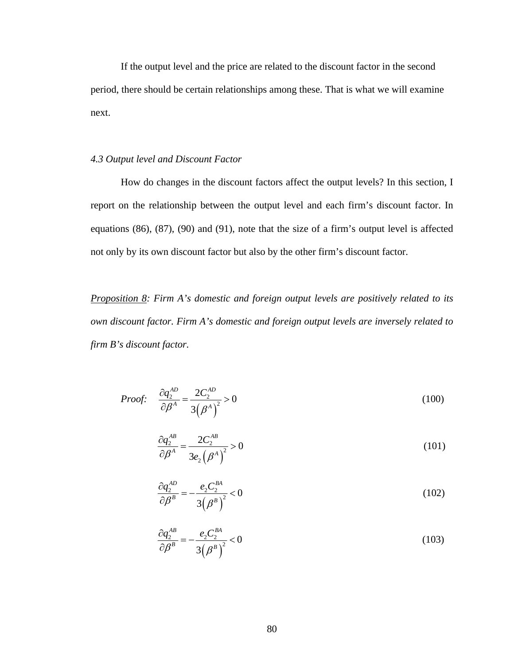If the output level and the price are related to the discount factor in the second period, there should be certain relationships among these. That is what we will examine next.

#### *4.3 Output level and Discount Factor*

 How do changes in the discount factors affect the output levels? In this section, I report on the relationship between the output level and each firm's discount factor. In equations (86), (87), (90) and (91), note that the size of a firm's output level is affected not only by its own discount factor but also by the other firm's discount factor.

*Proposition 8: Firm A's domestic and foreign output levels are positively related to its own discount factor. Firm A's domestic and foreign output levels are inversely related to firm B's discount factor.* 

*Proof:* 
$$
\frac{\partial q_2^{AD}}{\partial \beta^A} = \frac{2C_2^{AD}}{3(\beta^A)^2} > 0
$$
 (100)

$$
\frac{\partial q_2^{AB}}{\partial \beta^A} = \frac{2C_2^{AB}}{3e_2(\beta^A)^2} > 0
$$
\n(101)

$$
\frac{\partial q_2^{AD}}{\partial \beta^B} = -\frac{e_2 C_2^{BA}}{3\left(\beta^B\right)^2} < 0\tag{102}
$$

$$
\frac{\partial q_2^{AB}}{\partial \beta^B} = -\frac{e_2 C_2^{BA}}{3\left(\beta^B\right)^2} < 0\tag{103}
$$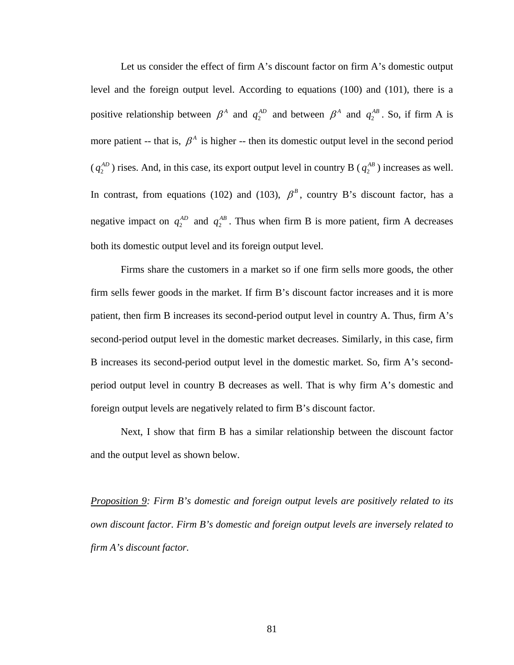Let us consider the effect of firm A's discount factor on firm A's domestic output level and the foreign output level. According to equations (100) and (101), there is a positive relationship between  $\beta^A$  and  $q_2^{AD}$  and between  $\beta^A$  and  $q_2^{AB}$ . So, if firm A is more patient -- that is,  $\beta^A$  is higher -- then its domestic output level in the second period 2  $(q_2^{AD})$  rises. And, in this case, its export output level in country B  $(q_2^{AB})$  increases as well. In contrast, from equations (102) and (103),  $\beta^B$ , country B's discount factor, has a negative impact on  $q_2^{AD}$  and  $q_2^{AB}$ . Thus when firm B is more patient, firm A decreases both its domestic output level and its foreign output level.

Firms share the customers in a market so if one firm sells more goods, the other firm sells fewer goods in the market. If firm B's discount factor increases and it is more patient, then firm B increases its second-period output level in country A. Thus, firm A's second-period output level in the domestic market decreases. Similarly, in this case, firm B increases its second-period output level in the domestic market. So, firm A's secondperiod output level in country B decreases as well. That is why firm A's domestic and foreign output levels are negatively related to firm B's discount factor.

Next, I show that firm B has a similar relationship between the discount factor and the output level as shown below.

*Proposition 9: Firm B's domestic and foreign output levels are positively related to its discount factor. Firm B's domestic and foreign output levels are inversely related to firm A's discount factor.*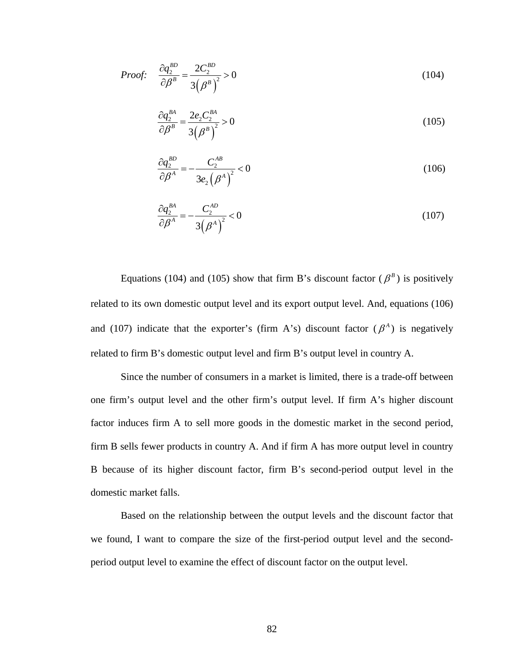*Proof:* 
$$
\frac{\partial q_2^{BD}}{\partial \beta^B} = \frac{2C_2^{BD}}{3(\beta^B)^2} > 0
$$
 (104)

$$
\frac{\partial q_2^{BA}}{\partial \beta^B} = \frac{2e_2 C_2^{BA}}{3(\beta^B)^2} > 0
$$
\n(105)

$$
\frac{\partial q_2^{BD}}{\partial \beta^A} = -\frac{C_2^{AB}}{3e_2 \left(\beta^A\right)^2} < 0 \tag{106}
$$

$$
\frac{\partial q_2^{BA}}{\partial \beta^A} = -\frac{C_2^{AD}}{3(\beta^A)^2} < 0\tag{107}
$$

Equations (104) and (105) show that firm B's discount factor ( $\beta^B$ ) is positively related to its own domestic output level and its export output level. And, equations (106) and (107) indicate that the exporter's (firm A's) discount factor ( $\beta^A$ ) is negatively related to firm B's domestic output level and firm B's output level in country A.

Since the number of consumers in a market is limited, there is a trade-off between one firm's output level and the other firm's output level. If firm A's higher discount factor induces firm A to sell more goods in the domestic market in the second period, firm B sells fewer products in country A. And if firm A has more output level in country B because of its higher discount factor, firm B's second-period output level in the domestic market falls.

Based on the relationship between the output levels and the discount factor that we found, I want to compare the size of the first-period output level and the secondperiod output level to examine the effect of discount factor on the output level.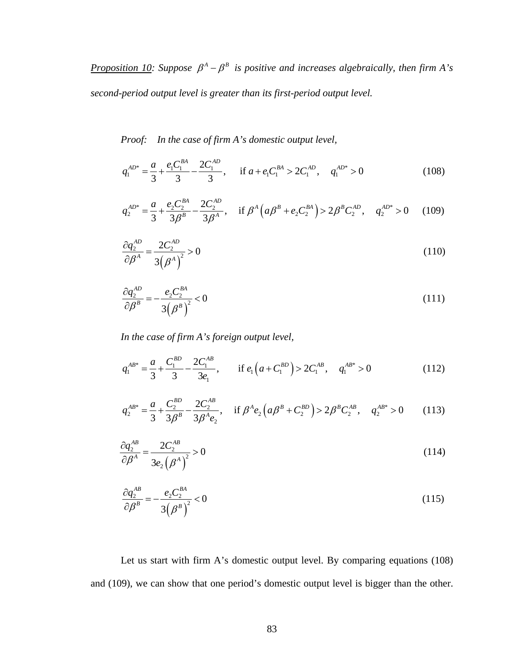*Proposition 10:* Suppose  $\beta^A - \beta^B$  is positive and increases algebraically, then firm A's *second-period output level is greater than its first-period output level.* 

*Proof: In the case of firm A's domestic output level,* 

$$
q_1^{AD^*} = \frac{a}{3} + \frac{e_1 C_1^{BA}}{3} - \frac{2C_1^{AD}}{3}, \quad \text{if } a + e_1 C_1^{BA} > 2C_1^{AD}, \quad q_1^{AD^*} > 0 \tag{108}
$$

$$
q_2^{AD^*} = \frac{a}{3} + \frac{e_2 C_2^{BA}}{3\beta^B} - \frac{2C_2^{AD}}{3\beta^A}, \quad \text{if } \beta^A \left( a\beta^B + e_2 C_2^{BA} \right) > 2\beta^B C_2^{AD}, \quad q_2^{AD^*} > 0 \tag{109}
$$

$$
\frac{\partial q_2^{AD}}{\partial \beta^A} = \frac{2C_2^{AD}}{3(\beta^A)^2} > 0
$$
\n(110)

$$
\frac{\partial q_2^{AD}}{\partial \beta^B} = -\frac{e_2 C_2^{BA}}{3\left(\beta^B\right)^2} < 0\tag{111}
$$

*In the case of firm A's foreign output level,* 

$$
q_1^{AB^*} = \frac{a}{3} + \frac{C_1^{BD}}{3} - \frac{2C_1^{AB}}{3e_1}, \qquad \text{if } e_1\left(a + C_1^{BD}\right) > 2C_1^{AB}, \quad q_1^{AB^*} > 0 \tag{112}
$$

$$
q_2^{AB^*} = \frac{a}{3} + \frac{C_2^{BD}}{3\beta^B} - \frac{2C_2^{AB}}{3\beta^A e_2}, \quad \text{if } \beta^A e_2 \left( a\beta^B + C_2^{BD} \right) > 2\beta^B C_2^{AB}, \quad q_2^{AB^*} > 0 \tag{113}
$$

$$
\frac{\partial q_2^{AB}}{\partial \beta^A} = \frac{2C_2^{AB}}{3e_2(\beta^A)^2} > 0\tag{114}
$$

$$
\frac{\partial q_2^{AB}}{\partial \beta^B} = -\frac{e_2 C_2^{BA}}{3\left(\beta^B\right)^2} < 0\tag{115}
$$

Let us start with firm A's domestic output level. By comparing equations (108) and (109), we can show that one period's domestic output level is bigger than the other.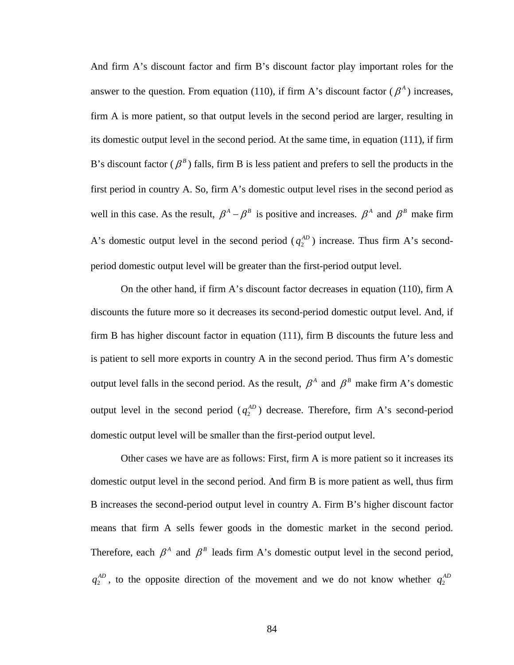And firm A's discount factor and firm B's discount factor play important roles for the answer to the question. From equation (110), if firm A's discount factor  $(\beta^A)$  increases, firm A is more patient, so that output levels in the second period are larger, resulting in its domestic output level in the second period. At the same time, in eq uation (111), if firm B's discount factor ( $\beta^B$ ) falls, firm B is less patient and prefers to sell the products in the first period in country A. So, firm A's domestic output level rises in the second period as well in this case. As the result,  $\beta^A - \beta^B$  is positive and increases.  $\beta^A$  and  $\beta^B$  make firm A's domestic output level in the second period  $(q_2^{AD})$  increase. Thus firm A's secondperiod domestic output level will be greater than the first-period output level.

On the other hand, if firm A's discount factor decreases in equation (110), firm A discounts the future more so it decreases its second-period domestic output level. And, if firm B has higher discount factor in equation (111), firm B discounts the future less and is patient to sell more exports in country A in the second period. Thus firm A's domestic output level falls in the second period. As the result,  $\beta^A$  and  $\beta^B$  make firm A's domestic output level in the second period  $(q_2^{AD})$  decrease. Therefore, firm A's second-period domestic output level will be smaller than the first-period output level.

Other cases we have are as follows: First, firm A is more patient so it increases its domestic output level in the second period. And firm B is more patient as well, thus firm B increases the second-period output level in country A. Firm B's higher discount factor means that firm A sells fewer goods in the domestic market in the second period. Therefore, each  $\beta^A$  and  $\beta^B$  leads firm A's domestic output level in the second period, 2  $q_2^{AD}$ , to the opposite direction of the movement and we do not know whether  $q_2^{AD}$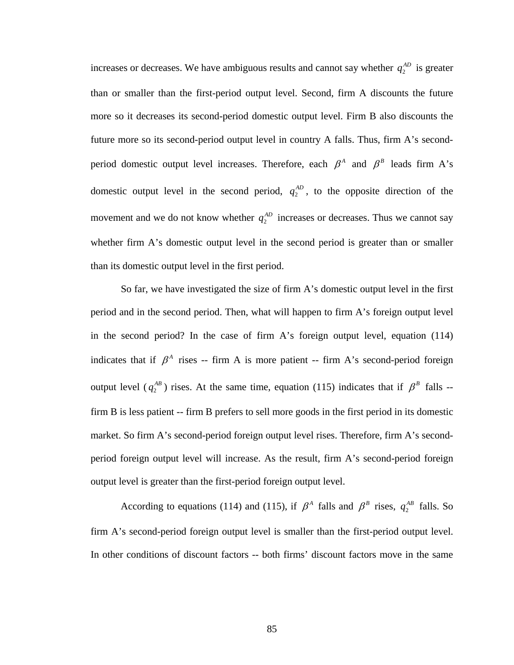increases or decreases. We have ambiguous results and cannot say whether  $q_2^{AD}$  is greater than or smaller than the first-period output level. Second, firm A discounts the future more so it decreases its second-period domestic output level. Firm B also discounts the future more so its second-period output level in country A falls. Thus, firm A's secondperiod domestic output level increases. Therefore, each  $\beta^A$  and  $\beta^B$  leads firm A's domestic output level in the second period,  $q_2^{AD}$ , to the opposite direction of the movement and we do not know whether  $q_2^{AD}$  increases or decreases. Thus we cannot say whether firm A's domestic output level in the second period is greater than or smaller than its domestic output level in the first period.

indicates that if  $\beta^A$  rises -- firm A is more patient -- firm A's second-period foreign So far, we have investigated the size of firm A's domestic output level in the first period and in the second period. Then, what will happen to firm A's foreign output level in the second period? In the case of firm A's foreign output level, equation (114) output level ( $q_2^{AB}$ ) rises. At the same time, equation (115) indicates that if  $\beta^B$  falls -firm B is less patient -- firm B prefers to sell more goods in the first period in its domestic market. So firm A's second-period foreign output level rises. Therefore, firm A's secondperiod foreign output level will increase. As the result, firm A's second-period foreign output level is greater than the first-period foreign output level.

According to equations (114) and (115), if  $\beta^A$  falls and  $\beta^B$  rises,  $q_2^{AB}$  falls. So firm A's second-period foreign output level is smaller than the first-period output level. In other conditions of discount factors -- both firms' discount factors move in the same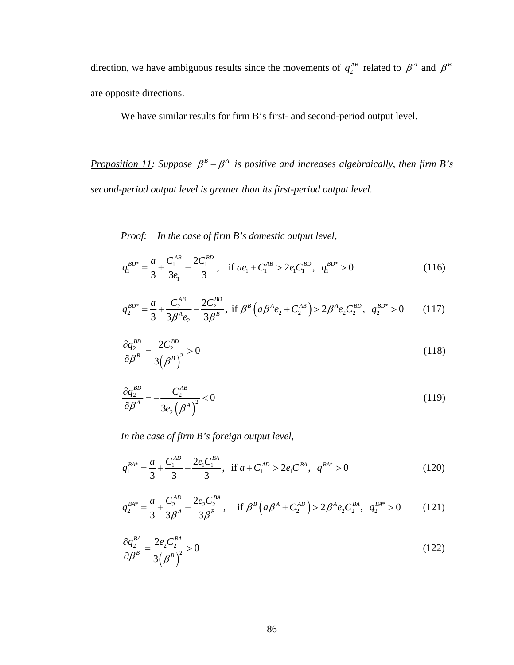direction, we have ambiguous results since the movements of  $q_2^{AB}$  related to  $\beta^A$  and  $\beta^B$ are opposite directions.

We have similar results for firm B's first- and second-period output level.

*<u>Proposition 11</u>: Suppose*  $\beta^B - \beta^A$  *is positive and increases algebraically, then firm B's second-period output level is greater than its first-period output level.*

*Proof: In the case of firm B's domestic output level,* 

$$
q_1^{BD^*} = \frac{a}{3} + \frac{C_1^{AB}}{3e_1} - \frac{2C_1^{BD}}{3}, \quad \text{if } ae_1 + C_1^{AB} > 2e_1C_1^{BD}, \quad q_1^{BD^*} > 0 \tag{116}
$$

$$
q_2^{BD^*} = \frac{a}{3} + \frac{C_2^{AB}}{3\beta^A e_2} - \frac{2C_2^{BD}}{3\beta^B}, \text{ if } \beta^B \left( a\beta^A e_2 + C_2^{AB} \right) > 2\beta^A e_2 C_2^{BD}, \ q_2^{BD^*} > 0 \tag{117}
$$

$$
\frac{\partial q_2^{BD}}{\partial \beta^B} = \frac{2C_2^{BD}}{3(\beta^B)^2} > 0
$$
\n(118)

$$
\frac{\partial q_2^{BD}}{\partial \beta^A} = -\frac{C_2^{AB}}{3e_2 \left(\beta^A\right)^2} < 0\tag{119}
$$

In the case of firm B's foreign output level,

$$
q_1^{BA*} = \frac{a}{3} + \frac{C_1^{AD}}{3} - \frac{2e_1C_1^{BA}}{3}, \text{ if } a + C_1^{AD} > 2e_1C_1^{BA}, \quad q_1^{BA*} > 0 \tag{120}
$$

$$
q_2^{BA^*} = \frac{a}{3} + \frac{C_2^{AD}}{3\beta^A} - \frac{2e_2C_2^{BA}}{3\beta^B}, \quad \text{if } \beta^B \left( a\beta^A + C_2^{AD} \right) > 2\beta^A e_2 C_2^{BA}, \quad q_2^{BA^*} > 0 \tag{121}
$$

$$
\frac{\partial q_2^{BA}}{\partial \beta^B} = \frac{2e_2 C_2^{BA}}{3(\beta^B)^2} > 0
$$
\n(122)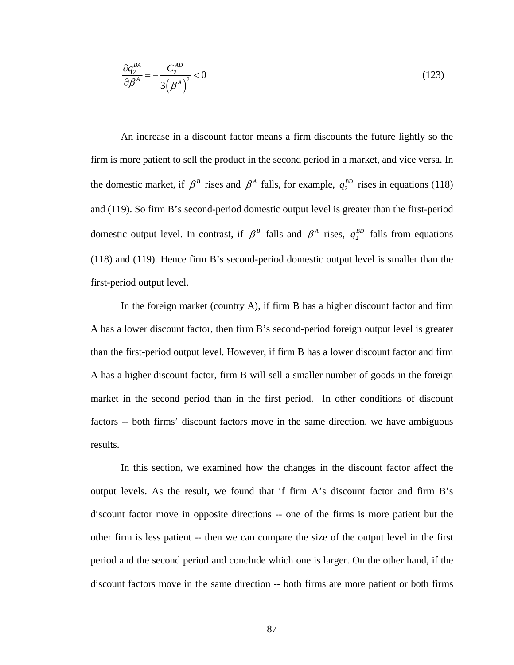$$
\frac{\partial q_2^{BA}}{\partial \beta^A} = -\frac{C_2^{AD}}{3(\beta^A)^2} < 0\tag{123}
$$

An increase in a discount factor means a firm discounts the future lightly so the firm is more patient to sell the product in the second period in a market, and vice versa. In the domestic market, if  $\beta^B$  rises and  $\beta^A$  falls, for example,  $q_2^{BD}$  rises in equations (118) and (119). So firm B's second-period domestic output level is greater than the first-period domestic output level. In contrast, if  $\beta^B$  falls and  $\beta^A$  rises,  $q_2^{BD}$  falls from equations  $q_2^{BD}$ (118) and (119). Hence firm B's second-period domestic output level is smaller than the first-period output level.  $q_2^{BD}$  falls from equation

In the foreign market (country A), if firm B has a higher discount factor and firm A has a lower discount factor, then firm B's second-period foreign output level is greater than the first-period output level. However, if firm B has a lower discount factor and firm A has a higher discount factor, firm B will sell a smaller number of goods in the foreign market in the second period than in the first period. In other conditions of discount factors -- both firms' discount factors move in the same direction, we have ambiguous results.

discount factor move in opposite directions -- one of the firms is more patient but the period and the second period and conclude which one is larger. On the other hand, if the discount factors move in the same direction -- both firms are more patient or both firms In this section, we examined how the changes in the discount factor affect the output levels. As the result, we found that if firm A's discount factor and firm B's other firm is less patient -- then we can compare the size of the output level in the first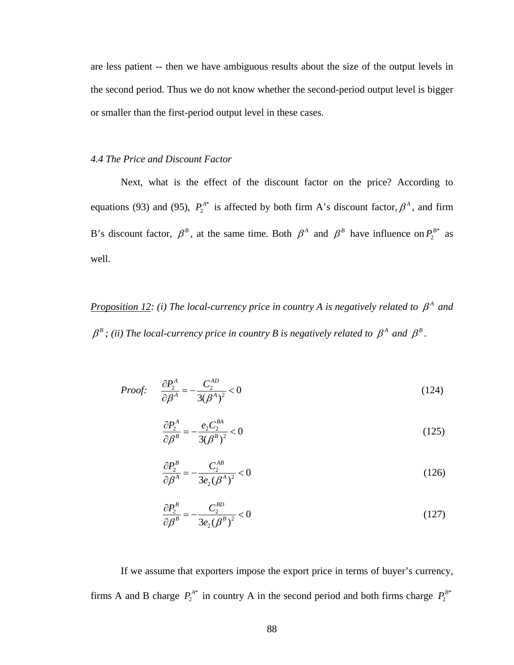are les s patient -- then we have ambiguous results about the size of the output levels in the second period. Thus we do not know whether the second-period output level is bigger or smaller than the first-period output level in these cases.

# *4.4 The Price and Discount Factor*

equations (93) and (95),  $P_2^{A*}$  is affected by both firm A's discount factor,  $\beta^A$ , and firm Next, what is the effect of the discount factor on the price? According to B's discount factor,  $\beta^B$ , at the same time. Both  $\beta^A$  and  $\beta^B$  have influence on  $P_2^{B*}$  as well.

*<u>Proposition 12</u>: (i) The local-currency price in country A is negatively related to*  $\beta^A$  *and*  $\beta^B$ ; (ii) The local-currency price in country *B* is negatively related to  $\beta^A$  and  $\beta^B$ .

*Proof:* 
$$
\frac{\partial P_2^A}{\partial \beta^A} = -\frac{C_2^{AD}}{3(\beta^A)^2} < 0
$$
 (124)

$$
\frac{\partial P_2^A}{\partial \beta^B} = -\frac{e_2 C_2^{BA}}{3(\beta^B)^2} < 0 \tag{125}
$$

$$
\frac{\partial P_2^B}{\partial \beta^A} = -\frac{C_2^{AB}}{3e_2(\beta^A)^2} < 0 \tag{126}
$$

$$
\frac{\partial P_2^B}{\partial \beta^B} = -\frac{C_2^{BD}}{3e_2(\beta^B)^2} < 0 \tag{127}
$$

If we assume that exporters impose the export price in terms of buyer's currency, firms A and B charge  $P_2^{A*}$  in country A in the second period and both firms charge  $P_2^{B*}$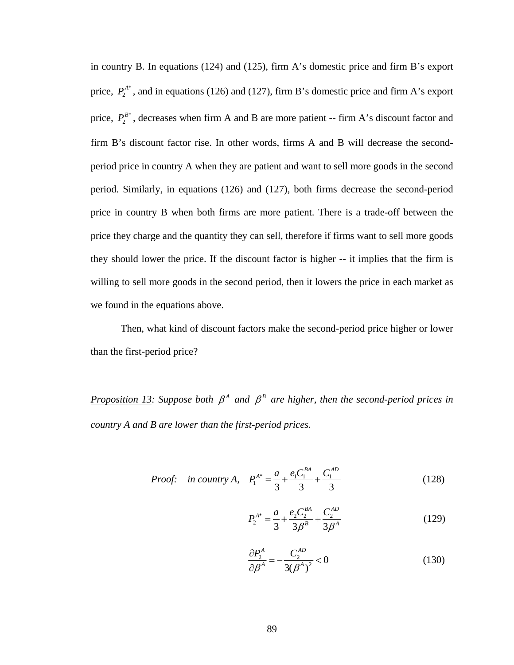in country B. In equations  $(124)$  and  $(125)$ , firm A's domestic price and firm B's export price,  $P_2^{A*}$ , and in equations (126) and (127), firm B's domestic price and firm A's export price,  $P_2^{B*}$ , decreases when firm A and B are more patient -- firm A's discount factor and firm B's discount factor rise. In other words, firms A and B will decrease the secondperiod price in country A when they are patient and want to sell more goods in the second period. Similarly, in equations (126) and (127), both firms decrease the second-period price in country B when both firms are more patient. There is a trade-off between the price they charge and the quantity they can sell, therefore if firms want to sell more goods they should lower the price. If the discount factor is higher -- it implies that the firm is willing to sell more goods in the second period, then it lowers the price in each market as we found in the equations above.

than the first-period price? Then, what kind of discount factors make the second-period price higher or lower

*Proposition 13:* Suppose both  $\beta^A$  and  $\beta^B$  are higher, then the second-period prices in *country A and B are lower than the first-period prices.* 

*Proof:* in country A, 
$$
P_1^{A*} = \frac{a}{3} + \frac{e_1 C_1^{BA}}{3} + \frac{C_1^{AD}}{3}
$$
 (128)

$$
P_2^{A^*} = \frac{a}{3} + \frac{e_2 C_2^{BA}}{3\beta^B} + \frac{C_2^{AD}}{3\beta^A}
$$
 (129)

$$
\frac{\partial P_2^A}{\partial \beta^A} = -\frac{C_2^{AD}}{3(\beta^A)^2} < 0 \tag{130}
$$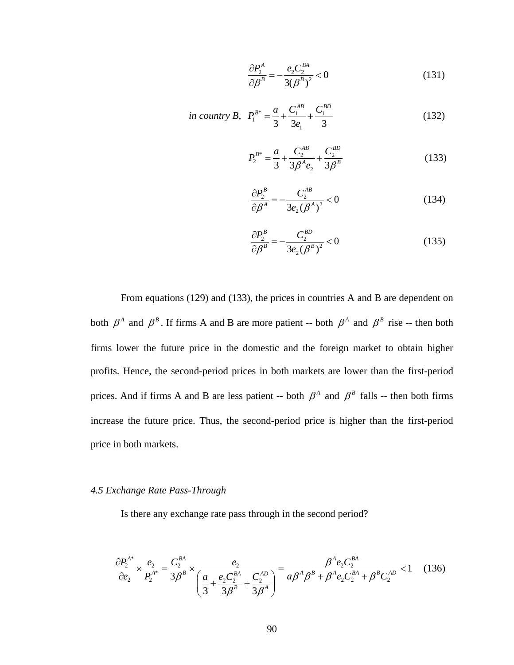$$
\frac{\partial P_2^A}{\partial \beta^B} = -\frac{e_2 C_2^{BA}}{3(\beta^B)^2} < 0 \tag{131}
$$

in country B, 
$$
P_1^{B^*} = \frac{a}{3} + \frac{C_1^{AB}}{3e_1} + \frac{C_1^{BD}}{3}
$$
 (132)

$$
P_2^{B^*} = \frac{a}{3} + \frac{C_2^{AB}}{3\beta^A e_2} + \frac{C_2^{BD}}{3\beta^B}
$$
 (133)

$$
\frac{\partial P_2^B}{\partial \beta^A} = -\frac{C_2^{AB}}{3e_2(\beta^A)^2} < 0 \tag{134}
$$

$$
\frac{\partial P_2^B}{\partial \beta^B} = -\frac{C_2^{BD}}{3e_2(\beta^B)^2} < 0 \tag{135}
$$

From equations  $(129)$  and  $(133)$ , the prices in countries A and B are dependent on both  $\beta^A$  and  $\beta^B$ . If firms A and B are more patient -- both  $\beta^A$  and  $\beta^B$  rise -- then both firms lower the future price in the domestic and the foreign market to obtain higher profits. Hence, the second-period prices in both markets are lower than the first-period prices. And if firms A and B are less patient -- both  $\beta^A$  and  $\beta^B$  falls -- then both firms increase the future price. Thus, the second-period price is higher than the first-period price in both markets.

# *4.5 Exchange Rate Pass-Through*

Is there any exchange rate pass through in the second period?

$$
\frac{\partial P_2^{A*}}{\partial e_2} \times \frac{e_2}{P_2^{A*}} = \frac{C_2^{BA}}{3\beta^B} \times \frac{e_2}{\left(\frac{a}{3} + \frac{e_2 C_2^{BA}}{3\beta^B} + \frac{C_2^{AD}}{3\beta^A}\right)} = \frac{\beta^A e_2 C_2^{BA}}{a\beta^A \beta^B + \beta^A e_2 C_2^{BA} + \beta^B C_2^{AD}} < 1 \quad (136)
$$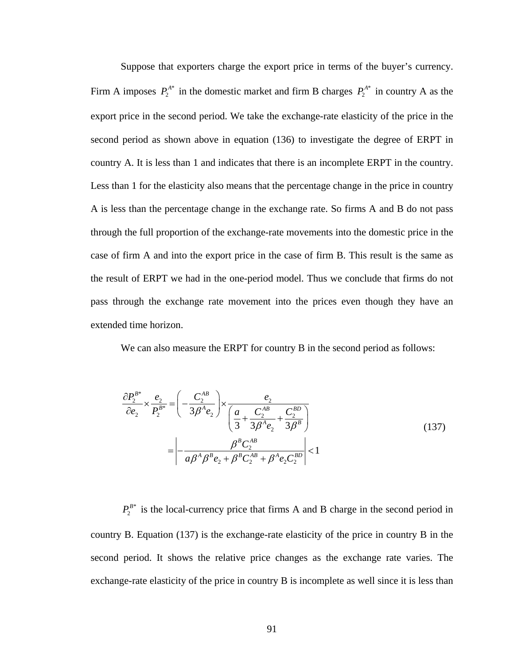Suppose that exporters charge the export price in terms of the buyer's currency. Firm A imposes  $P_2^{A^*}$  in the domestic market and firm B charges  $P_2^{A^*}$  in country A as the export price in the second period. We take the exchange-rate elasticity of the price in the second period as shown above in equation (136) to investigate the degree of ERPT in country A. It is less than 1 and indicates that there is an incomplete ERPT in the country. Less than 1 for the elasticity also means that the percentage change in the price in country A is less than the percen tage change in the exchange rate. So firms A and B do not pass through the full proportion of the exchange-rate movements into the domestic price in the case of firm A and into the export price in the case of firm B. This result is the same as the result of ERPT we had in the one-period model. Thus we conclude that firms do not pass through the exchange rate movement into the prices even though they have an extended time horizon.

We can also measure the ERPT for country B in the second period as follows:

$$
\frac{\partial P_2^{B^*}}{\partial e_2} \times \frac{e_2}{P_2^{B^*}} = \left( -\frac{C_2^{AB}}{3\beta^A e_2} \right) \times \frac{e_2}{\left( \frac{a}{3} + \frac{C_2^{AB}}{3\beta^A e_2} + \frac{C_2^{BD}}{3\beta^B} \right)}
$$
\n
$$
= \left| -\frac{\beta^B C_2^{AB}}{a\beta^A \beta^B e_2 + \beta^B C_2^{AB} + \beta^A e_2 C_2^{BD}} \right| < 1
$$
\n(137)

 $P_2^{B*}$  is the local-currency price that firms A and B charge in the second period in country B. Equation (137) is the exchange-rate elasticity of the price in country B in the second period. It shows the relative price changes as the exchange rate varies. The exchange-rate elasticity of the price in country B is incomplete as well since it is less than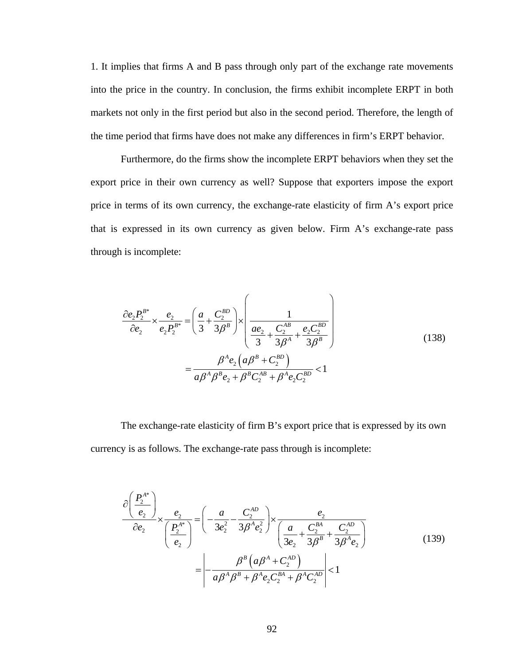1. It implies that firms A and B pass through only part of the exchange rate movements into the price in the country. In conclusion, the firms exhibit incomplete ERPT in both market s not only in the first period but also in the second period. Therefore, the length of the time period that firms have does not make any differences in firm's ERPT behavior.

Furthermore, do the firms show the incomplete ERPT behaviors when they set the export price in their own currency as well? Suppose that exporters impose the export price in terms of its own currency, the exchange-rate elasticity of firm A's export price that is expressed in its own currency as given below. Firm A's exchange-rate pass through is incomplete:

$$
\frac{\partial e_2 P_2^{B^*}}{\partial e_2} \times \frac{e_2}{e_2 P_2^{B^*}} = \left(\frac{a}{3} + \frac{C_2^{BD}}{3\beta^B}\right) \times \left(\frac{1}{\frac{ae_2}{3} + \frac{C_2^{AB}}{3\beta^A} + \frac{e_2 C_2^{BD}}{3\beta^B}}\right)
$$
\n
$$
= \frac{\beta^A e_2 \left(a\beta^B + C_2^{BD}\right)}{a\beta^A \beta^B e_2 + \beta^B C_2^{AB} + \beta^A e_2 C_2^{BD}} < 1
$$
\n(138)

The exchange-rate elasticity of firm B's export price that is expressed by its own currency is as follows. The exchange-rate pass through is incomplete:

$$
\frac{\partial \left(\frac{P_{2}^{A^{*}}}{e_{2}}\right)}{\partial e_{2}} \times \frac{e_{2}}{\left(\frac{P_{2}^{A^{*}}}{e_{2}}\right)} = \left(-\frac{a}{3e_{2}^{2}} - \frac{C_{2}^{AD}}{3\beta^{A}e_{2}^{2}}\right) \times \frac{e_{2}}{\left(\frac{a}{3e_{2}} + \frac{C_{2}^{BA}}{3\beta^{B}} + \frac{C_{2}^{AD}}{3\beta^{A}e_{2}}\right)}
$$
\n
$$
= \left|-\frac{\beta^{B}\left(a\beta^{A} + C_{2}^{AD}\right)}{a\beta^{A}\beta^{B} + \beta^{A}e_{2}C_{2}^{BA} + \beta^{A}C_{2}^{AD}}\right| < 1
$$
\n(139)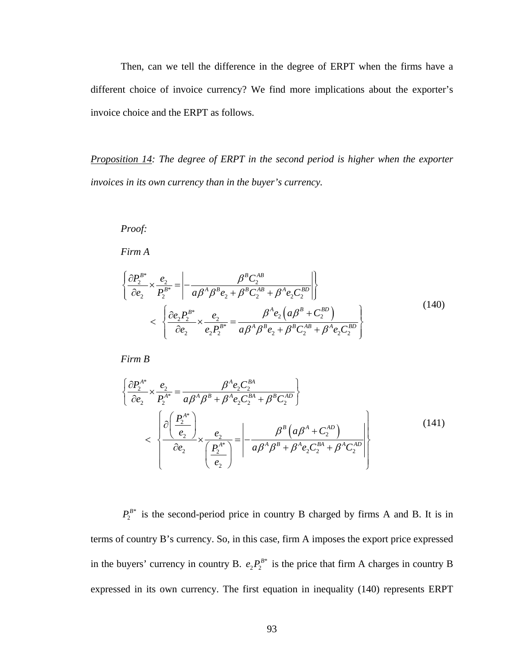Then, can we tell the difference in the degree of ERPT when the firms have a different choice of invoice currency? We find more implications about the exporter's invoice choice and the ERPT as follows.

*Proposition 14: The degree of ERPT in the second period is higher when the exporter invoices in its own currency than in the buyer's currency.* 

# *Proof:*

*Firm A* 

$$
\left\{\frac{\partial P_{2}^{B^{*}}}{\partial e_{2}} \times \frac{e_{2}}{P_{2}^{B^{*}}} = \left| -\frac{\beta^{B} C_{2}^{AB}}{a \beta^{A} \beta^{B} e_{2} + \beta^{B} C_{2}^{AB} + \beta^{A} e_{2} C_{2}^{BD}} \right| \right\}
$$
\n
$$
< \left\{\frac{\partial e_{2} P_{2}^{B^{*}}}{\partial e_{2}} \times \frac{e_{2}}{e_{2} P_{2}^{B^{*}}} = \frac{\beta^{A} e_{2} \left( a \beta^{B} + C_{2}^{BD} \right)}{a \beta^{A} \beta^{B} e_{2} + \beta^{B} C_{2}^{AB} + \beta^{A} e_{2} C_{2}^{BD}} \right\}
$$
\n(140)

*Firm B* 

$$
\left\{\frac{\partial P_{2}^{A^{*}}}{\partial e_{2}} \times \frac{e_{2}}{P_{2}^{A^{*}}} = \frac{\beta^{A} e_{2} C_{2}^{BA}}{a \beta^{A} \beta^{B} + \beta^{A} e_{2} C_{2}^{BA} + \beta^{B} C_{2}^{AD}}\right\}\n<\n\left\{\n\frac{\partial \left(\frac{P_{2}^{A^{*}}}{e_{2}}\right)}{\partial e_{2}} \times \frac{e_{2}}{\left(\frac{P_{2}^{A^{*}}}{e_{2}}\right)} = \left| \frac{\beta^{B} \left(a \beta^{A} + C_{2}^{AD}\right)}{a \beta^{A} \beta^{B} + \beta^{A} e_{2} C_{2}^{BA} + \beta^{A} C_{2}^{AD}}\right|\n\right\}
$$
\n(141)

\* is the second-period price in country B charged by firms A and B. It is in terms of country B's currency. So, in this case, firm A imposes the export price expressed in the buyers' currency in country B.  $e_2 P_2^{B*}$  is the price that firm A charges in country B expressed in its own currency. The first equation in inequality (140) represents ERPT  $P^B_2$  $e_2 P_2^B$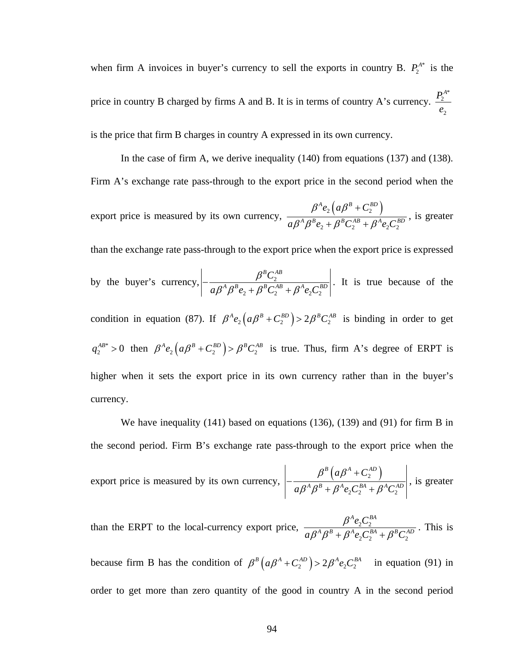\* when firm A invoices in buyer's currency to sell the exports in country B.  $P_2^{A^*}$  is the price in country B charged by firms A and B. It is in terms of country A's currency. \* 2 2  $P_2^A$ *e* is the price that firm B charges in country A expressed in its own currency.

In the case of firm A, we derive inequality  $(140)$  from equations  $(137)$  and  $(138)$ . Firm A's exchange rate pass-through to the export price in the second period when the

export price is measured by its own currency,  $\mathcal{L}_2 \left( a\beta^B + C_2^{BD} \right)$  $2 \cdot \rho$   $C_2 \cdot \rho$   $C_2$  $A_{\alpha}$   $\int$   $\alpha$  *BB*  $\int$   $\mathcal{C}^{BD}$  $A \rho B$ <sub>2</sub>  $\beta B \rho AB$ 2  $e_2$  (a $\beta^B$  + C  $a\beta^A\beta^Be_\gamma+\beta^BC^{AB}_\gamma+\beta^Ae_\gamma C$  $\beta^A e_\gamma$  (a $\beta^B$  $\beta^{\scriptscriptstyle A}\beta^{\scriptscriptstyle B}e_{\scriptscriptstyle 2}^{\vphantom{\scriptscriptstyle A}}+\beta$ +  $+ \beta^{\textit{B}} C_{\textit{2}}^{\textit{AB}} +$  $\frac{\beta^A e_2 C_2^{BD}}{\beta^A e_2 C_2^{BD}}$ , is greater

than the exchange rate pass-through to the export price when the export price is expressed

by the buyer's currency, 
$$
\left| -\frac{\beta^B C_2^{AB}}{a\beta^A \beta^B e_2 + \beta^B C_2^{AB} + \beta^A e_2 C_2^{BD}} \right|
$$
. It is true because of the

condition in equation (87). If  $\beta^A e_2 (a \beta^B + C_2^{BD}) > 2 \beta^B C_2^{AB}$  is binding in order to get  $q_2^{AB*} > 0$  then  $\beta^A e_2 (a \beta^B + C_2^{BD}) > \beta^B C_2^{AB}$  is true. Thus, firm A's degree of ERPT is higher when it sets the export price in its own currency rather than in the buyer's currency. \* > 0 then  $\beta^A e_2 (a \beta^B + C_2^{BD}) > \beta^B C_2^{AB}$  is true. Thus, firm

the second period. Firm B's exchange rate pass-through to the export price when the We have inequality (141) based on equations (136), (139) and (91) for firm B in

\n The expected value of the system is measured by its own currency, \n 
$$
\left| \frac{\beta^B \left( a \beta^A + C_2^{AD} \right)}{a \beta^A \beta^B + \beta^A e_2 C_2^{BA} + \beta^A C_2^{AD}} \right|
$$
, \n is greater.\n

than the ERPT to the local-currency export price,  $\frac{P^{-1}e_2C_2}{P^{-1}e_1C_1}$  $A \sim \mathcal{C}^{BA}$ *A*  $a\beta^A\beta^B + \beta^A e_2 C_2^{BA} + \beta^B C_2^{AD}$  $\frac{\beta^A e_2 C_2^{BA}}{\beta^A e_2^{BA} + \beta^B e_3^{AB}}$ . This is

because firm B has the condition of  $\beta^B (a\beta^A + C_2^{AD}) > 2\beta^A e_2 C_2^{BA}$  in equation (91) in order to get more than zero quantity of the good in country A in the second period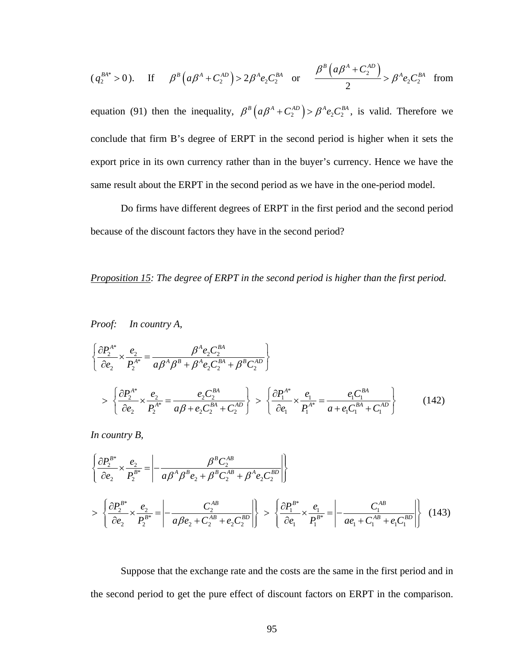$$
(q_2^{BA*}>0)
$$
. If  $\beta^B(a\beta^A + C_2^{AD}) > 2\beta^A e_2 C_2^{BA}$  or  $\frac{\beta^B(a\beta^A + C_2^{AD})}{2} > \beta^A e_2 C_2^{BA}$  from

equation (91) then the inequality,  $\beta^B (a\beta^A + C_2^{AD}) > \beta^A e_2 C_2^{BA}$ , is valid. Therefore we conclude that firm B's degree of ERPT in the second period is higher when it sets the export price in its own currency rather than in the buyer's currency. Hence we have the same result about the E RPT in the second period as we have in the one-period model.

Do firms have different degrees of ERPT in the first period and the second period because of the discount factors they have in the second period?

#### *Proposition 15: The degree of ERPT in the second period is higher than the first period.*

#### *Proof: In country A,*

$$
\left\{\frac{\partial P_{2}^{A^{*}}}{\partial e_{2}} \times \frac{e_{2}}{P_{2}^{A^{*}}} = \frac{\beta^{A} e_{2} C_{2}^{BA}}{a \beta^{A} \beta^{B} + \beta^{A} e_{2} C_{2}^{BA} + \beta^{B} C_{2}^{AD}}\right\}
$$
\n
$$
> \left\{\frac{\partial P_{2}^{A^{*}}}{\partial e_{2}} \times \frac{e_{2}}{P_{2}^{A^{*}}} = \frac{e_{2} C_{2}^{BA}}{a \beta + e_{2} C_{2}^{BA} + C_{2}^{AD}}\right\} > \left\{\frac{\partial P_{1}^{A^{*}}}{\partial e_{1}} \times \frac{e_{1}}{P_{1}^{A^{*}}} = \frac{e_{1} C_{1}^{BA}}{a + e_{1} C_{1}^{BA} + C_{1}^{AD}}\right\} \tag{142}
$$

*In country B,* 

$$
\left\{\frac{\partial P_{2}^{B^{*}}}{\partial e_{2}} \times \frac{e_{2}}{P_{2}^{B^{*}}} = \left| -\frac{\beta^{B} C_{2}^{AB}}{a \beta^{A} \beta^{B} e_{2} + \beta^{B} C_{2}^{AB} + \beta^{A} e_{2} C_{2}^{BD}} \right| \right\}
$$
\n
$$
> \left\{\frac{\partial P_{2}^{B^{*}}}{\partial e_{2}} \times \frac{e_{2}}{P_{2}^{B^{*}}} = \left| -\frac{C_{2}^{AB}}{a \beta e_{2} + C_{2}^{AB} + e_{2} C_{2}^{BD}} \right| \right\} > \left\{\frac{\partial P_{1}^{B^{*}}}{\partial e_{1}} \times \frac{e_{1}}{P_{1}^{B^{*}}} = \left| -\frac{C_{1}^{AB}}{a e_{1} + C_{1}^{AB} + e_{1} C_{1}^{BD}} \right| \right\} \tag{143}
$$

Suppose that the exchange rate and the costs are the same in the first period and in the second period to get the pure effect of discount factors on ERPT in the comparison.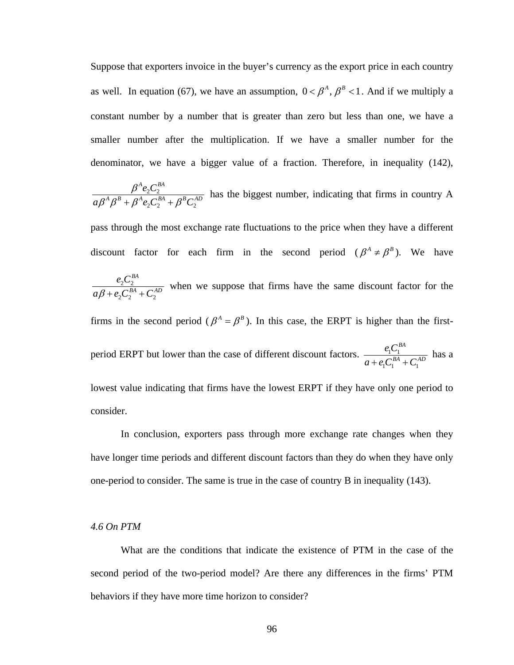Suppose that exporters invoice in the buyer's currency as the export price in each country as well. In equation (67), we have an assumption,  $0 < \beta^A$ ,  $\beta^B < 1$ . And if we multiply a constant number by a number that is greater than zero but less than one, we have a smaller number after the multiplication. If we have a smaller number for the denominator, we have a bigger value of a fraction. Therefore, in inequality (142),

 $2^{\mathcal{L}}2$  $2^{\mathbf{C}}2^{\mathbf{C}}2^{\mathbf{C}}$  $A \sim \mathcal{C}^{BA}$  $A \rho B$   $A \rho A$ <sub>g</sub>  $B^A$   $B^B C^A$  $e_2C$  $a\beta^A\beta^B + \beta^Ae_2C$  $\frac{\beta^A e_2 C_2^{BA}}{\beta^A \beta^B + \beta^A e_2 C_2^{BA} + \beta^B C_2^{AD}}$  has the biggest number, indicating that firms in country A

pass through the most exchange rate fluctuations to the price when they have a different discount factor for each firm in the second period  $(\beta^A \neq \beta^B)$ . We have

 $2^{\mathcal{L}}2$  $2^2$   $\sqrt{2}$ *BA*  $BA \cap CAD$  $e, C$  $a\beta + e_2C_2^{BA} + C$ when we suppose that firms have the same discount factor for the

firms in the second period ( $\beta^A = \beta^B$ ). In this case, the ERPT is higher than the first-

period ERPT but lower than the case of different discount factors.  $\frac{e_1 C_1}{R_A R_A}$  $a + e_1 C_1^{BA} + C_1^{AD}$  $\frac{e_1 C_1^{BA}}{e_1^{BA}}$  has a

lowest value indicating that firms have the lowest ERPT if they have only one period to consider.

In conclusion, exporters pass through more exchange rate changes when they have longer time periods and different discount factors than they do when they have only one-period to consider. The same is true in the case of country B in inequality (143).

## *4.6 On PTM*

second period of the two-period model? Are there any differences in the firms' PTM behaviors if they have more time horizon to consider? What are the conditions that indicate the existence of PTM in the case of the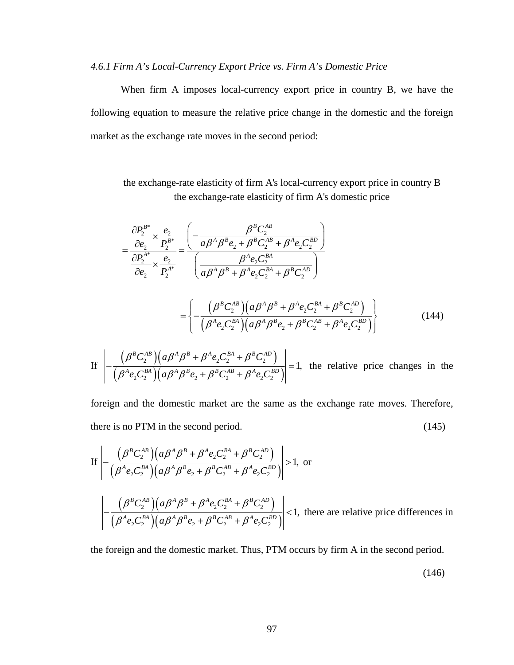#### *4.6.1 Firm A's Local-Currency Export Price vs. Firm A's Domestic Price*

When firm A imposes local-currency export price in country B, we have the following equation to measure the relative price change in the domestic and the foreign market as the exchange rate moves in the second period:

# the exchange-rate elasticity of firm A's local-currency export price in country B the exchange-rate elasticity of firm A's domestic price

$$
=\frac{\frac{\partial P_{2}^{B*}}{\partial e_{2}} \times \frac{e_{2}}{P_{2}^{B*}}}{\frac{\partial P_{2}^{A*}}{\partial e_{2}} \times \frac{e_{2}}{P_{2}^{A*}}} = \frac{\left(-\frac{\beta^{B} C_{2}^{AB}}{a \beta^{A} \beta^{B} e_{2} + \beta^{B} C_{2}^{AB} + \beta^{A} e_{2} C_{2}^{BD}}\right)}{\left(\frac{\beta^{A} e_{2} C_{2}^{BA}}{a \beta^{A} \beta^{B} + \beta^{A} e_{2} C_{2}^{BA} + \beta^{B} C_{2}^{AD}}\right)}
$$

$$
= \left\{ -\frac{\left(\beta^{B} C_{2}^{AB}\right)\left(a\beta^{A}\beta^{B} + \beta^{A} e_{2} C_{2}^{BA} + \beta^{B} C_{2}^{AD}\right)}{\left(\beta^{A} e_{2} C_{2}^{BA}\right)\left(a\beta^{A}\beta^{B} e_{2} + \beta^{B} C_{2}^{AB} + \beta^{A} e_{2} C_{2}^{BD}\right)}\right\}
$$
(144)

If 
$$
\left| - \frac{(\beta^B C_2^{AB})(a\beta^A \beta^B + \beta^A e_2 C_2^{BA} + \beta^B C_2^{AD})}{(\beta^A e_2 C_2^{BA})(a\beta^A \beta^B e_2 + \beta^B C_2^{AB} + \beta^A e_2 C_2^{BD})} \right| = 1
$$
, the relative price changes in the

foreign and the domestic market are the same as the exchange rate moves. Therefore, there is no PTM in the second period. (145)

If 
$$
\left| - \frac{(\beta^B C_2^{AB}) (a \beta^A \beta^B + \beta^A e_2 C_2^{BA} + \beta^B C_2^{AD})}{(\beta^A e_2 C_2^{BA}) (a \beta^A \beta^B e_2 + \beta^B C_2^{AB} + \beta^A e_2 C_2^{BD})} \right| > 1
$$
, or  

$$
\left| - \frac{(\beta^B C_2^{AB}) (a \beta^A \beta^B + \beta^A e_2 C_2^{BA} + \beta^B C_2^{AD})}{(\beta^A e_2 C_2^{BA}) (a \beta^A \beta^B e_2 + \beta^B C_2^{AB} + \beta^A e_2 C_2^{BD})} \right| < 1
$$
, there are relative price differences in

the foreign and the domestic market. Thus, PTM occurs by firm A in the second period.

(146)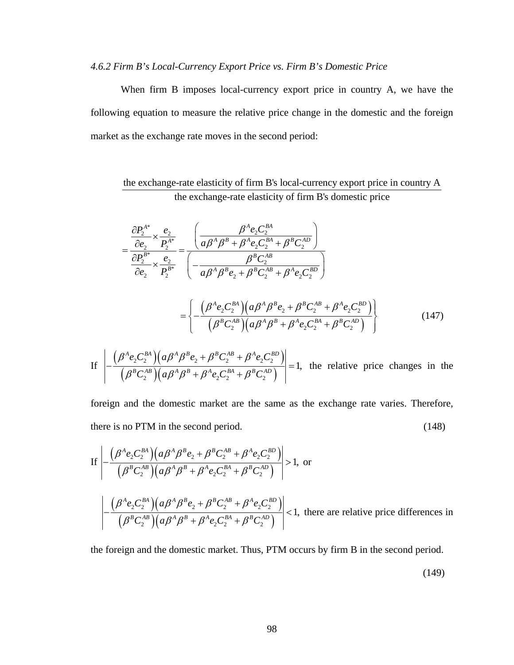#### *4.6.2 Firm B's Local-Currency Export Price vs. Firm B's Domestic Price*

When firm B imposes local-currency export price in country A, we have the following equation to measure the relative price change in the domestic and the foreign market as the exchange rate moves in the second period:

the exchange-rate elasticity of firm B's local-currency export price in country A the exchange-rate elasticity of firm B's domestic price

$$
=\frac{\frac{\partial P_{2}^{A*}}{\partial e_{2}} \times \frac{e_{2}}{P_{2}^{A*}}}{\frac{\partial P_{2}^{B*}}{\partial e_{2}} \times \frac{e_{2}}{P_{2}^{B*}}} = \frac{\left(\frac{\beta^{A}e_{2}C_{2}^{BA}}{\alpha \beta^{A} \beta^{B} + \beta^{A}e_{2}C_{2}^{BA} + \beta^{B}C_{2}^{AD}}\right)}{\left(-\frac{\beta^{B}C_{2}^{AB}}{\alpha \beta^{A} \beta^{B}e_{2} + \beta^{B}C_{2}^{AB} + \beta^{A}e_{2}C_{2}^{BD}\right)}
$$

$$
= \left\{ -\frac{\left(\beta^{A}e_{2}C_{2}^{BA}\right)\left(a\beta^{A}\beta^{B}e_{2} + \beta^{B}C_{2}^{AB} + \beta^{A}e_{2}C_{2}^{BD}\right)}{\left(\beta^{B}C_{2}^{AB}\right)\left(a\beta^{A}\beta^{B} + \beta^{A}e_{2}C_{2}^{BA} + \beta^{B}C_{2}^{AD}\right)}\right\}
$$
(147)

If 
$$
\left| -\frac{(\beta^A e_2 C_2^{BA})(a \beta^A \beta^B e_2 + \beta^B C_2^{AB} + \beta^A e_2 C_2^{BD})}{(\beta^B C_2^{AB})(a \beta^A \beta^B + \beta^A e_2 C_2^{BA} + \beta^B C_2^{AD})} \right| = 1
$$
, the relative price changes in the

foreign and the domestic market are the same as the exchange rate varies. Therefore, there is no PTM in the second period. (148)

If 
$$
\left| - \frac{(\beta^A e_2 C_2^{BA}) (a \beta^A \beta^B e_2 + \beta^B C_2^{AB} + \beta^A e_2 C_2^{BD})}{(\beta^B C_2^{AB}) (a \beta^A \beta^B + \beta^A e_2 C_2^{BA} + \beta^B C_2^{AD})} \right| > 1, \text{ or}
$$
  

$$
\left| - \frac{(\beta^A e_2 C_2^{BA}) (a \beta^A \beta^B e_2 + \beta^B C_2^{AB} + \beta^A e_2 C_2^{BD})}{(\beta^B C_2^{AB}) (a \beta^A \beta^B + \beta^A e_2 C_2^{BA} + \beta^B C_2^{AD})} \right| < 1, \text{ there are relative price differences in}
$$

the foreign and the domestic market. Thus, PTM occurs by firm B in the second period.

(149)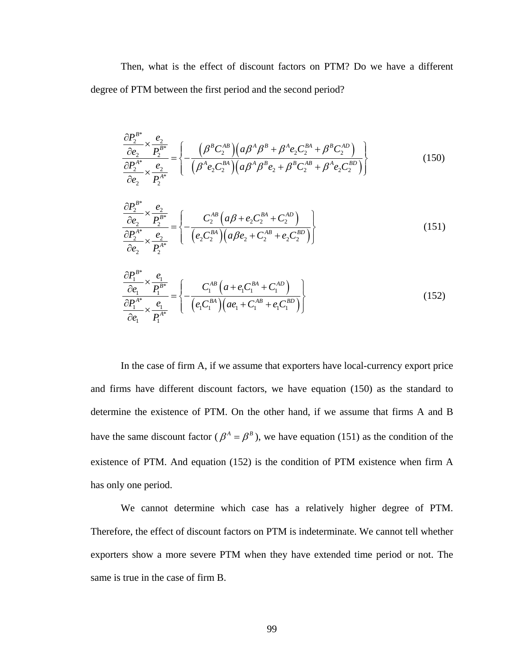Then, what is the effect of discount factors on PTM? Do we have a different degree of PTM between the first period and the second period?

$$
\frac{\partial P_2^{B*}}{\partial e_2} \times \frac{e_2}{P_2^{B*}} = \left\{ -\frac{(\beta^B C_2^{AB})(a\beta^A \beta^B + \beta^A e_2 C_2^{BA} + \beta^B C_2^{AD})}{(\beta^A e_2 C_2^{BA})(a\beta^A \beta^B e_2 + \beta^B C_2^{AB} + \beta^A e_2 C_2^{BD})} \right\}
$$
(150)

$$
\frac{\partial P_2^{B*}}{\partial e_2} \times \frac{e_2}{P_2^{B*}} = \left\{ -\frac{C_2^{AB} \left( a\beta + e_2 C_2^{BA} + C_2^{AD} \right)}{\left( e_2 C_2^{BA} \right) \left( a\beta e_2 + C_2^{AB} + e_2 C_2^{BD} \right)} \right\}
$$
(151)

$$
\frac{\partial P_1^{B^*}}{\partial e_1} \times \frac{e_1}{P_1^{B^*}} = \left\{ -\frac{C_1^{AB} \left( a + e_1 C_1^{BA} + C_1^{AD} \right)}{\left( e_1 C_1^{BA} \right) \left( ae_1 + C_1^{AB} + e_1 C_1^{BD} \right)} \right\}
$$
(152)

In the case of firm A, if we assume that exporters have local-currency export price and firms have different discount factors, we have equation  $(150)$  as the standard to determine the existence of PTM. On the other hand, if we assume that firms A and B have the same discount factor ( $\beta^A = \beta^B$ ), we have equation (151) as the condition of the existence of PTM. And equation (152) is the condition of PTM existence when firm A has only one period.

Therefore, the effect of discount factors on PTM is indeterminate. We cannot tell whether exporters show a more severe PTM when they have extended time period or not. The same is true in the case of firm B. We cannot determine which case has a relatively higher degree of PTM.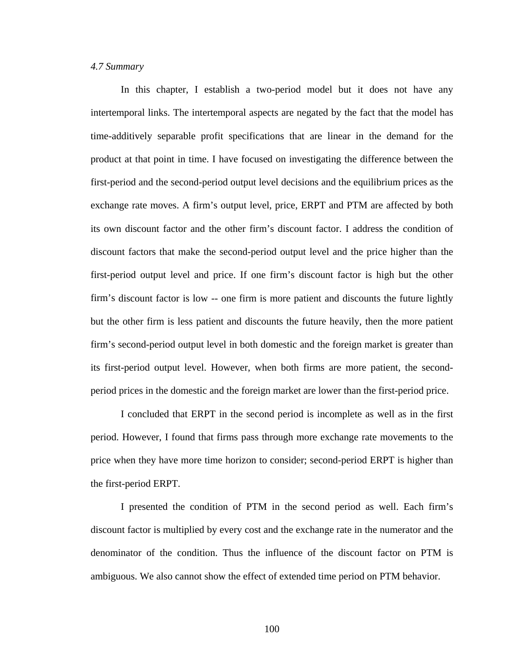#### *4.7 Summary*

In this chapter, I establish a two-period model but it does not have any intertemporal links. The intertemporal aspects are negated by the fact that the model has time-additively separable profit specifications that are linear in the demand for the product at that point in time. I have focused on investi gating the difference between the first-period and the second-period output level decisions and the equilibrium prices as the exchange rate moves. A firm's output level, price, ERPT and PTM are affected by both its own discount factor and the other firm's discount factor. I address the condition of discount factors that make the second-period output level and the price higher than the first-period output level and price. If one firm's discount factor is high but the other firm's discount factor is low -- one firm is more patient and discounts the future lightly but the other firm is less patient and discounts the future heavily, then the more patient firm's second-period output level in both domestic and the foreign market is greater than its first-period output level. However, when both firms are more patient, the secondperiod prices in the domestic and the foreign market are lower than the first-period price.

I concluded that ERPT in the second period is incomplete as well as in the first period. However, I found that firms pass through more exchange rate movements to the price when they have more time horizon to consider; second-period ERPT is higher than the first-period ERPT.

I presented the condition of PTM in the second period as well. Each firm's discount factor is multiplied by every cost and the exchange rate in the numerator and the denomi nator of the condition. Thus the influence of the discount factor on PTM is ambiguous. We also cannot show the effect of extended time period on PTM behavior.

100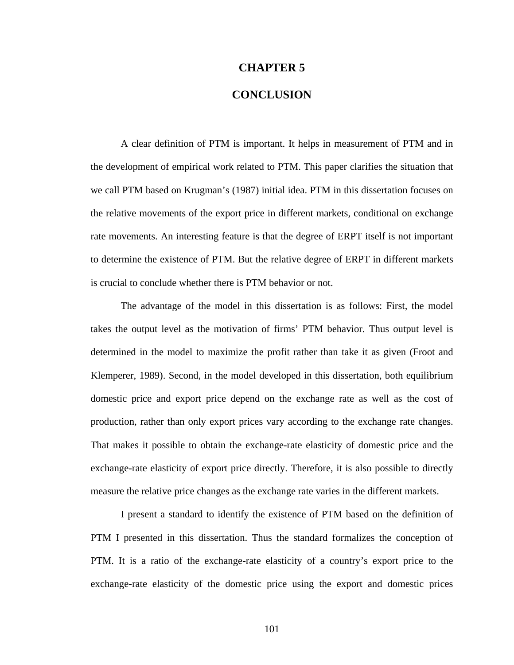#### **CHAPTER 5**

## **CONCLUSION**

A clear definition of PTM is important. It helps in measurement of PTM and in the development of empirical work related to PTM. This paper clarifies the situation that we call PTM based on Krugman's (1987) initial idea. PTM in this dissertation focuses on the relative movements of the export price in different markets, conditional on exchange rate movements. An interesting feature is that the degree of ERPT itself is not important to determine the existence of PTM. But the relative degree of ERPT in different markets is crucial to conclude whether there is PTM behavior or not.

The advantage of the model in this dissertation is as follows: First, the model takes the output level as the motivation of firms' PTM behavior. Thus output level is determined in the m odel to maximize the profit rather than take it as given (Froot and production, rather than only export prices vary according to the exchange rate changes. That m akes it possible to obtain the exchange-rate elasticity of domestic price and the Klemperer, 1989). Second, in the model developed in this dissertation, both equilibrium domestic price and export price depend on the exchange rate as well as the cost of exchange-rate elasticity of export price directly. Therefore, it is also possible to directly measure the relative price changes as the exchange rate varies in the different markets.

PTM I presented in this dissertation. Thus the standard formalizes the conception of PTM. It is a ratio of the exchange-rate elasticity of a country's export price to the xchange-rate elasticity of the domestic price using the export and domestic prices e I present a standard to identify the existence of PTM based on the definition of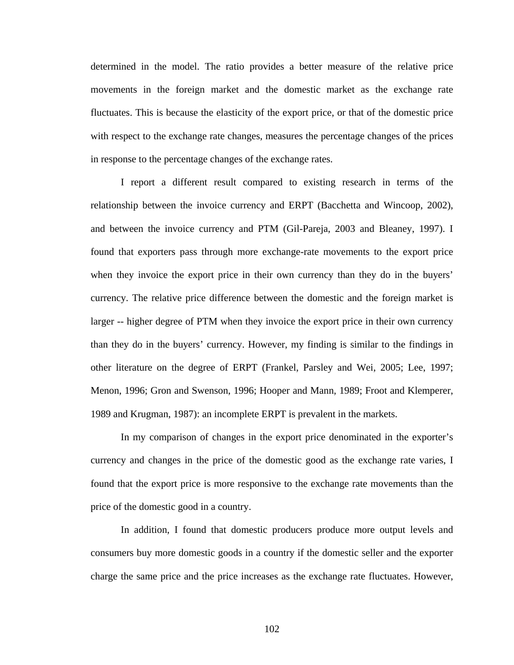determ ined in the model. The ratio provides a better measure of the relative price movements in the foreign market and the domestic market as the exchange rate fluctuates. This is because the elasticity of the export price, or that of the domestic price with respect to the exchange rate changes, measures the percentage changes of the prices in response to the percentage changes of the exchange rates.

relationship between the invoice currency and ERPT (Bacchetta and Wincoop, 2002), and be tween the invoice currency and PTM (Gil-Pareja, 2003 and Bleaney, 1997). I I report a different result compared to existing research in terms of the found that exporters pass through more exchange-rate movements to the export price when they invoice the export price in their own currency than they do in the buyers' currency. The relative price difference between the domestic and the foreign market is larger -- higher degree of PTM when they invoice the export price in their own currency than they do in the buyers' currency. However, my finding is similar to the findings in other literature on the degree of ERPT (Frankel, Parsley and Wei, 2005; Lee, 1997; Menon, 1996; Gron and Swenson, 1996; Hooper and Mann, 1989; Froot and Klemperer, 1989 and Krugman, 1987): an incomplete ERPT is prevalent in the markets.

In my comparison of changes in the export price denominated in the exporter's currency and changes in the price of the domestic good as the exchange rate varies, I found that the export price is more responsive to the exchange rate movements than the price of the domestic good in a country.

In addition, I found that domestic producers produce more output levels and consumers buy more domestic goods in a country if the domestic seller and the exporter charge the same price and the price increases as the exchange rate fluctuates. However,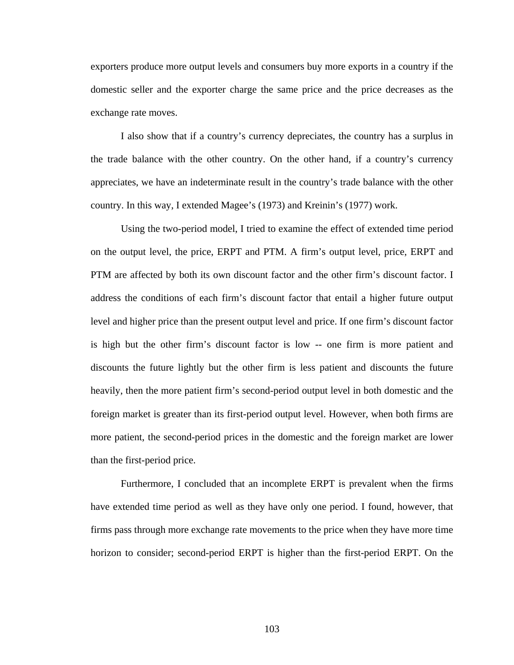exporters produce more output levels and consumers buy more exports in a country if the domestic seller and the exporter charge the same price and the price decreases as the exchan ge rate moves.

I also show that if a country's currency depreciates, the country has a surplus in the trade balance with the other country. On the other hand, if a country's currency appreciates, we have an indeterminate result in the country's trade balance with the other country. In this way, I extended Magee's (1973) and Kreinin's (1977) work.

is high but the other firm's discount factor is low -- one firm is more patient and discoun ts the future lightly but the other firm is less patient and discounts the future more patient, the second-period prices in the domestic and the foreign market are lower than th e first-period price. Using the two-period model, I tried to examine the effect of extended time period on the output level, the price, ERPT and PTM. A firm's output level, price, ERPT and PTM are affected by both its own discount factor and the other firm's discount factor. I address the conditions of each firm's discount factor that entail a higher future output level and higher price than the present output level and price. If one firm's discount factor heavily, then the more patient firm's second-period output level in both domestic and the foreign market is greater than its first-period output level. However, when both firms are

Furthermore, I concluded that an incomplete ERPT is prevalent when the firms have extended time period as well as they have only one period. I found, however, that firms pass through more exchange rate movements to the price when they have more time horizon to consider; second-period ERPT is higher than the first-period ERPT. On the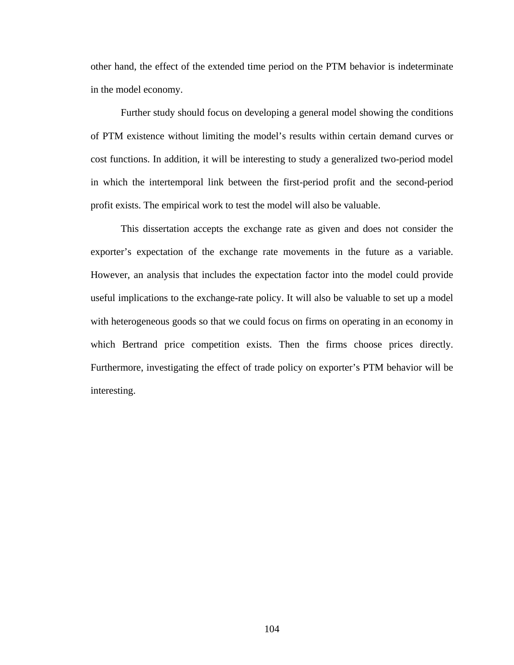other h and, the effect of the extended time period on the PTM behavior is indeterminate in the model economy.

cost functions. In addition, it will be interesting to study a generalized two-period model Further study should focus on developing a general model showing the conditions of PTM existence without limiting the model's results within certain demand curves or in which the intertemporal link between the first-period profit and the second-period profit exists. The empirical work to test the model will also be valuable.

This dissertation accepts the exchange rate as given and does not consider the exporter's expectation of the exchange rate movements in the future as a variable. However, an analysis that includes the expectation factor into the model could provide useful implications to the exchange-rate policy. It will also be valuable to set up a model with heterogeneous goods so that we could focus on firms on operating in an economy in which Bertrand price competition exists. Then the firms choose prices directly. Furthermore, investigating the effect of trade policy on exporter's PTM behavior will be interesting.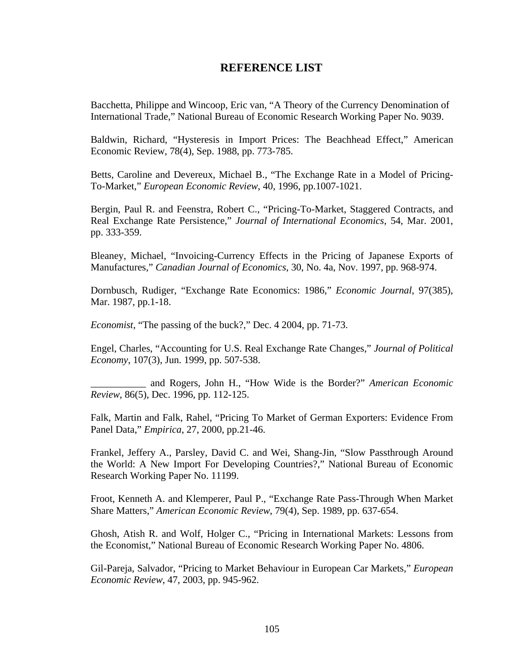### **REFERENCE LIST**

Bacchetta, Philippe and Wincoop, Eric van, "A Theory of the Currency Denom ination of International Trade," National Bureau of Economic Research Working Pa per No. 9039.

Baldwi n, Richard, "Hysteresis in Import Prices: The Beachhead Effect," American Economic Review, 78(4), Sep. 1988, pp. 773-785.

Betts, Caroline and Devereux, Michael B., "The Exchange Rate in a Model of Pricing-To-Market," *European Economic Review*, 40, 1996, pp.1007-1021.

Bergin, Paul R. and Feenstra, Robert C., "Pricing-To-Market, Staggered Contracts, and Real Exchange Rate Persistence," *Journal of International Economics*, 54, Mar. 2001, pp. 333-359.

Bleaney, Michael, "Invoicing-Currency Effects in the Pricing of Japanese Exports of Manufactures," *Canadian Journal of Economics*, 30, No. 4a, Nov. 1997, pp. 968-974.

Dornbusch, Rudiger, "Exchange Rate Economics: 1986," *Economic Journal*, 97(385), Mar. 1987, pp.1-18.

*Economist*, "The passing of the buck?," Dec. 4 2004, pp. 71-73.

Engel, Charles, "Accounting for U.S. Real Exchange Rate Changes," *Journal of Political Economy*, 107(3), Jun. 1999, pp. 507-538.

\_\_\_\_\_\_\_\_\_\_ and Rogers, John H., "How Wide is the Border?" *American Economic*  , 86(5), Dec. 1996, pp. 112-125. *Review*  $\overline{a}$ 

Falk, Martin and Falk, Rahel, "Pricing To Market of German Exporters: Evidence From Panel Data," *Empirica*, 27, 2000, pp.21-46.

Frankel, Jeffery A., Parsley, David C. and Wei, Shang-Jin, "Slow Passthrough Around the World: A New Import For Developing Countries?," National Bureau of Economic Research Working Paper No. 11199.

Froot, Kenneth A. and Klemperer, Paul P., "Exchange Rate Pass-Through When Market Share Matters," American Economic Review, 79(4), Sep. 1989, pp. 637-654.

Ghosh, Atish R. and Wolf, Holger C., "Pricing in International Markets: Lessons from the Economist," National Bureau of Economic Research Working Paper No. 4806.

Gil-Pareja, Salvador, "Pricing to Market Behaviour in European Car Markets," *European Economic Review*, 47, 2003, pp. 945-962.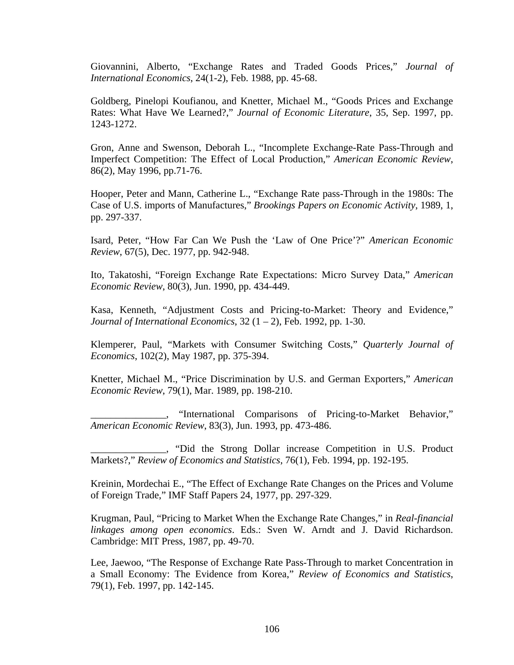Giovannini, Alberto, "Exchange Rates and Traded Goods Prices," *Journal of International Economics*, 24(1-2), Feb. 1988, pp. 45-68.

Goldberg, Pinelopi Koufianou, and Knetter, Michael M., "Goods Prices and Exchange Rates: What Have We Learned?," *Journal of Economic Literature*, 35, Sep. 1997, pp. 1243-1272.

Gron, Anne and Swenson, Deborah L., "Incomplete Exchange-Rate Pass-Through and Imperfect Competition: The Effect of Local Production," *American Economic Review*, 86(2), May 1996, pp.71-76.

Case of U.S. imports of Manufactures," Brookings Papers on Economic Activity, 1989, 1, pp. 297-337. Hooper, Peter and Mann, Catherine L., "Exchange Rate pass-Through in the 1980s: The

Isard, Peter, "How Far Can We Push the 'Law of One Price'?" American Economic *Review*, 67(5), Dec. 1977, pp. 942-948.

Ito, Takatoshi, "Foreign Exchange Rate Expectations: Micro Survey Data," American *Economic Review*, 80(3), Jun. 1990, pp. 434-449.

Kasa, Kenneth, "Adjustment Costs and Pricing-to-Market: Theory and Evidence," *Journal of International Economics*, 32 (1 – 2), Feb. 1992, pp. 1-30.

Klemperer, Paul, "Markets with Consumer Switching Costs," Quarterly Journal of *Economics*, 102(2), May 1987, pp. 375-394.

Knetter, Michael M., "Price Discrimination by U.S. and German Exporters," *American conomic Review*, 79(1), Mar. 1989, pp. 198-210. *E*

\_\_\_\_\_\_\_\_\_\_\_\_\_\_\_, "International Comparisons of Pricing-to-Market Behavior," *merican Economic Review*, 83(3), Jun. 1993, pp. 473-486. *A*

\_\_\_\_\_\_\_\_\_\_\_\_\_, "Did the Strong Dollar increase Competition in U.S. Product Markets?," *Review of Economics and Statistics*, 76(1), Feb. 1994, pp. 192-195.

Kreinin, Mordechai E., "The Effect of Exchange Rate Changes on the Prices and Volume of Foreign Trade," IMF Staff Papers 24, 1977, pp. 297-329.

Krugman, Paul, "Pricing to Market When the Exchange Rate Changes," in *Real-financial nkages among open economics*. Eds.: Sven W. Arndt and J. David Richardson. *li* Cambridge: MIT Press, 1987, pp. 49-70.

Lee, Jaewoo, "The Response of Exchange Rate Pass-Through to market Concentration in Small Economy: The Evidence from Korea," *Review of Economics and Statistics*, a 79(1), Feb. 1997, pp. 142-145.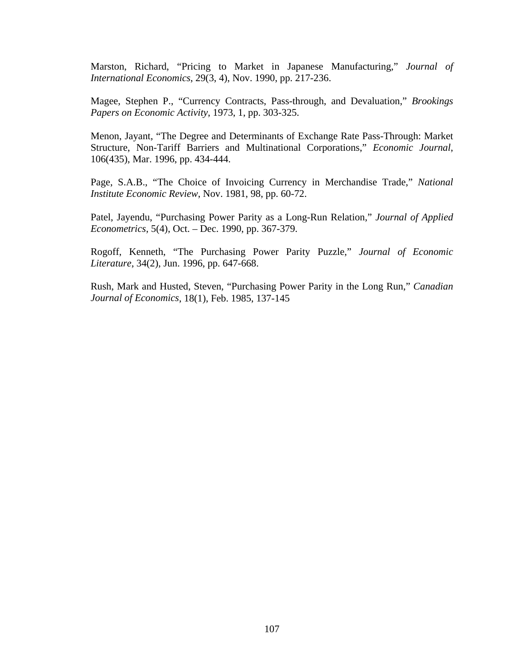Marston, Richard, "Pricing to Market in Japanese Manufacturing," *Journal of International Economics*, 29(3, 4), Nov. 1990, pp. 217-236.

Magee, Stephen P., "Currency Contracts, Pass-through, and Devaluation," *Brookings Papers on Economic Activity*, 1973, 1, pp. 303-325.

Menon, Jayant, "The Degree and Determinants of Exchange Rate Pass-Through: Market Structure, Non-Tariff Barriers and Multinational Corporations," Economic Journal, 106(435), Mar. 1996, pp. 434-444.

Page, S.A.B., "The Choice of Invoicing Currency in Merchandise Trade," National *Institute Economic Review*, Nov. 1981, 98, pp. 60-72.

Patel, Jayendu, "Purchasing Power Parity as a Long-Run Relation," *Journal of Applied Econometrics*, 5(4), Oct. – Dec. 1990, pp. 367-379.

Rogoff, Kenneth, "The Purchasing Power Parity Puzzle," Journal of Economic *Literature*, 34(2), Jun. 1996, pp. 647-668.

Rush, Mark and Husted, Steven, "Purchasing Power Parity in the Long Run," Canadian *Journal of Economics*, 18(1), Feb. 1985, 137-145